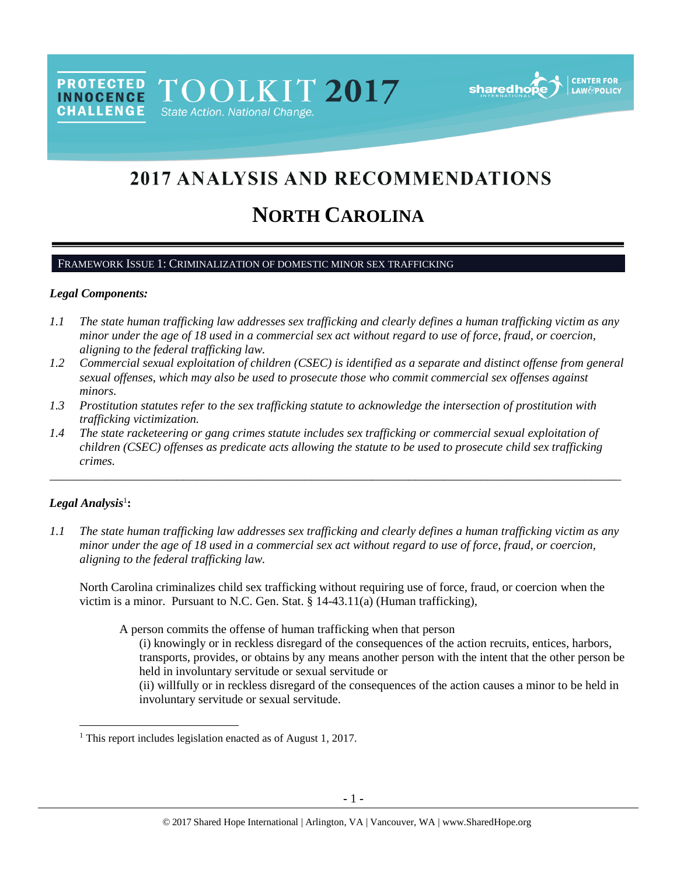PROTECTED TOOLKIT 2017 **INNOCENCE CHALLENGE** State Action. National Change.



# 2017 ANALYSIS AND RECOMMENDATIONS

# **NORTH CAROLINA**

#### FRAMEWORK ISSUE 1: CRIMINALIZATION OF DOMESTIC MINOR SEX TRAFFICKING

#### *Legal Components:*

- *1.1 The state human trafficking law addresses sex trafficking and clearly defines a human trafficking victim as any minor under the age of 18 used in a commercial sex act without regard to use of force, fraud, or coercion, aligning to the federal trafficking law.*
- *1.2 Commercial sexual exploitation of children (CSEC) is identified as a separate and distinct offense from general sexual offenses, which may also be used to prosecute those who commit commercial sex offenses against minors.*
- *1.3 Prostitution statutes refer to the sex trafficking statute to acknowledge the intersection of prostitution with trafficking victimization.*
- *1.4 The state racketeering or gang crimes statute includes sex trafficking or commercial sexual exploitation of children (CSEC) offenses as predicate acts allowing the statute to be used to prosecute child sex trafficking crimes.*

\_\_\_\_\_\_\_\_\_\_\_\_\_\_\_\_\_\_\_\_\_\_\_\_\_\_\_\_\_\_\_\_\_\_\_\_\_\_\_\_\_\_\_\_\_\_\_\_\_\_\_\_\_\_\_\_\_\_\_\_\_\_\_\_\_\_\_\_\_\_\_\_\_\_\_\_\_\_\_\_\_\_\_\_\_\_\_\_\_\_\_\_\_\_

# $Legal$  Analysis<sup>1</sup>:

 $\overline{\phantom{a}}$ 

*1.1 The state human trafficking law addresses sex trafficking and clearly defines a human trafficking victim as any minor under the age of 18 used in a commercial sex act without regard to use of force, fraud, or coercion, aligning to the federal trafficking law.*

North Carolina criminalizes child sex trafficking without requiring use of force, fraud, or coercion when the victim is a minor. Pursuant to N.C. Gen. Stat. § 14-43.11(a) (Human trafficking),

A person commits the offense of human trafficking when that person

(i) knowingly or in reckless disregard of the consequences of the action recruits, entices, harbors, transports, provides, or obtains by any means another person with the intent that the other person be held in involuntary servitude or sexual servitude or

(ii) willfully or in reckless disregard of the consequences of the action causes a minor to be held in involuntary servitude or sexual servitude.

<sup>&</sup>lt;sup>1</sup> This report includes legislation enacted as of August 1, 2017.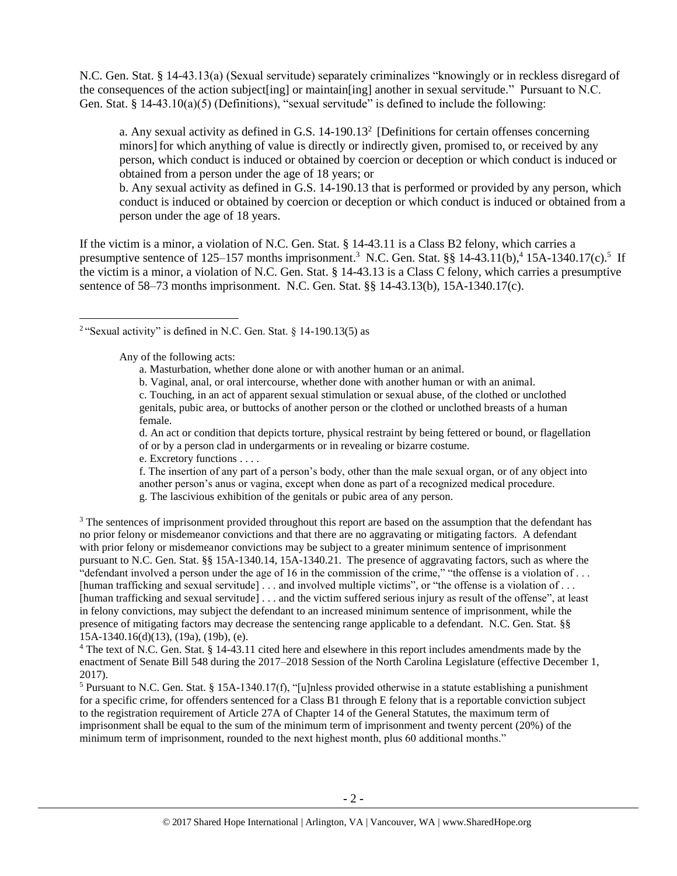N.C. Gen. Stat. § 14-43.13(a) (Sexual servitude) separately criminalizes "knowingly or in reckless disregard of the consequences of the action subject[ing] or maintain[ing] another in sexual servitude." Pursuant to N.C. Gen. Stat. § 14-43.10(a)(5) (Definitions), "sexual servitude" is defined to include the following:

<span id="page-1-0"></span>a. Any sexual activity as defined in G.S.  $14-190.13<sup>2</sup>$  [Definitions for certain offenses concerning minors] for which anything of value is directly or indirectly given, promised to, or received by any person, which conduct is induced or obtained by coercion or deception or which conduct is induced or obtained from a person under the age of 18 years; or

b. Any sexual activity as defined in G.S. 14-190.13 that is performed or provided by any person, which conduct is induced or obtained by coercion or deception or which conduct is induced or obtained from a person under the age of 18 years.

If the victim is a minor, a violation of N.C. Gen. Stat. § 14-43.11 is a Class B2 felony, which carries a presumptive sentence of 125–157 months imprisonment.<sup>3</sup> N.C. Gen. Stat. §§ 14-43.11(b),<sup>4</sup> 15A-1340.17(c).<sup>5</sup> If the victim is a minor, a violation of N.C. Gen. Stat. § 14-43.13 is a Class C felony, which carries a presumptive sentence of 58–73 months imprisonment. N.C. Gen. Stat. §§ 14-43.13(b), 15A-1340.17(c).

Any of the following acts:

 $\overline{\phantom{a}}$ 

<span id="page-1-1"></span>a. Masturbation, whether done alone or with another human or an animal.

b. Vaginal, anal, or oral intercourse, whether done with another human or with an animal.

c. Touching, in an act of apparent sexual stimulation or sexual abuse, of the clothed or unclothed genitals, pubic area, or buttocks of another person or the clothed or unclothed breasts of a human female.

d. An act or condition that depicts torture, physical restraint by being fettered or bound, or flagellation of or by a person clad in undergarments or in revealing or bizarre costume.

e. Excretory functions . . . .

f. The insertion of any part of a person's body, other than the male sexual organ, or of any object into another person's anus or vagina, except when done as part of a recognized medical procedure. g. The lascivious exhibition of the genitals or pubic area of any person.

<sup>3</sup> The sentences of imprisonment provided throughout this report are based on the assumption that the defendant has no prior felony or misdemeanor convictions and that there are no aggravating or mitigating factors. A defendant with prior felony or misdemeanor convictions may be subject to a greater minimum sentence of imprisonment pursuant to N.C. Gen. Stat. §§ 15A-1340.14, 15A-1340.21. The presence of aggravating factors, such as where the "defendant involved a person under the age of 16 in the commission of the crime," "the offense is a violation of ... [human trafficking and sexual servitude]... and involved multiple victims", or "the offense is a violation of ... [human trafficking and sexual servitude] . . . and the victim suffered serious injury as result of the offense", at least in felony convictions, may subject the defendant to an increased minimum sentence of imprisonment, while the presence of mitigating factors may decrease the sentencing range applicable to a defendant. N.C. Gen. Stat. §§ 15A-1340.16(d)(13), (19a), (19b), (e).

<sup>4</sup> The text of N.C. Gen. Stat. § 14-43.11 cited here and elsewhere in this report includes amendments made by the enactment of Senate Bill 548 during the 2017–2018 Session of the North Carolina Legislature (effective December 1, 2017).

<sup>5</sup> Pursuant to N.C. Gen. Stat. § 15A-1340.17(f), "[u]nless provided otherwise in a statute establishing a punishment for a specific crime, for offenders sentenced for a Class B1 through E felony that is a reportable conviction subject to the registration requirement of Article 27A of Chapter 14 of the General Statutes, the maximum term of imprisonment shall be equal to the sum of the minimum term of imprisonment and twenty percent (20%) of the minimum term of imprisonment, rounded to the next highest month, plus 60 additional months."

<sup>&</sup>lt;sup>2</sup> "Sexual activity" is defined in N.C. Gen. Stat.  $\S$  14-190.13(5) as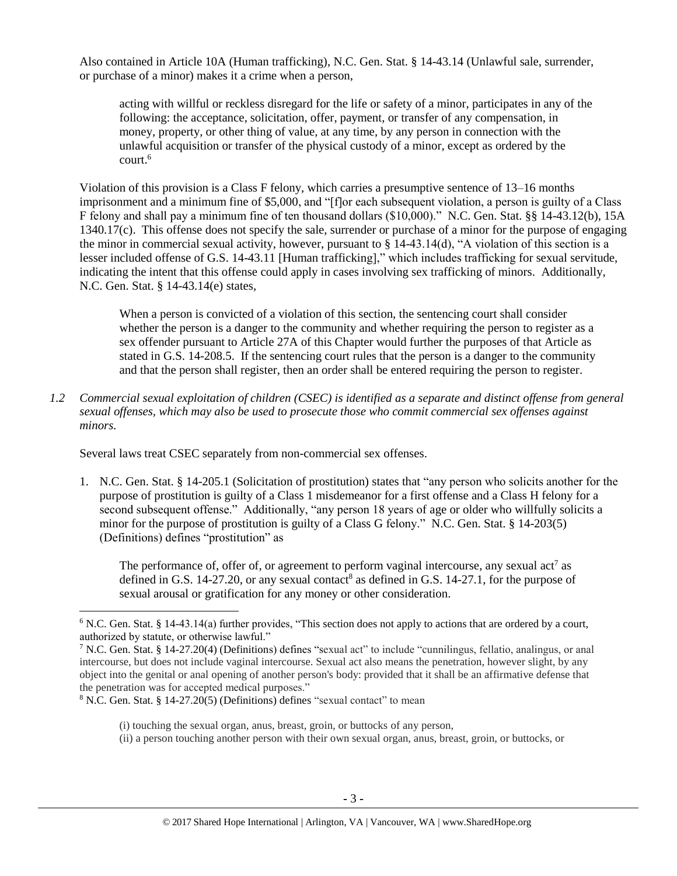Also contained in Article 10A (Human trafficking), N.C. Gen. Stat. § 14-43.14 (Unlawful sale, surrender, or purchase of a minor) makes it a crime when a person,

acting with willful or reckless disregard for the life or safety of a minor, participates in any of the following: the acceptance, solicitation, offer, payment, or transfer of any compensation, in money, property, or other thing of value, at any time, by any person in connection with the unlawful acquisition or transfer of the physical custody of a minor, except as ordered by the court.<sup>6</sup>

Violation of this provision is a Class F felony, which carries a presumptive sentence of 13–16 months imprisonment and a minimum fine of \$5,000, and "[f]or each subsequent violation, a person is guilty of a Class F felony and shall pay a minimum fine of ten thousand dollars (\$10,000)." N.C. Gen. Stat. §§ 14-43.12(b), 15A 1340.17(c). This offense does not specify the sale, surrender or purchase of a minor for the purpose of engaging the minor in commercial sexual activity, however, pursuant to § 14-43.14(d), "A violation of this section is a lesser included offense of G.S. 14-43.11 [Human trafficking]," which includes trafficking for sexual servitude, indicating the intent that this offense could apply in cases involving sex trafficking of minors. Additionally, N.C. Gen. Stat. § 14-43.14(e) states,

When a person is convicted of a violation of this section, the sentencing court shall consider whether the person is a danger to the community and whether requiring the person to register as a sex offender pursuant to Article 27A of this Chapter would further the purposes of that Article as stated in G.S. 14-208.5. If the sentencing court rules that the person is a danger to the community and that the person shall register, then an order shall be entered requiring the person to register.

*1.2 Commercial sexual exploitation of children (CSEC) is identified as a separate and distinct offense from general sexual offenses, which may also be used to prosecute those who commit commercial sex offenses against minors.*

Several laws treat CSEC separately from non-commercial sex offenses.

1. N.C. Gen. Stat. § 14-205.1 (Solicitation of prostitution) states that "any person who solicits another for the purpose of prostitution is guilty of a Class 1 misdemeanor for a first offense and a Class H felony for a second subsequent offense." Additionally, "any person 18 years of age or older who willfully solicits a minor for the purpose of prostitution is guilty of a Class G felony." N.C. Gen. Stat. § 14-203(5) (Definitions) defines "prostitution" as

<span id="page-2-1"></span><span id="page-2-0"></span>The performance of, offer of, or agreement to perform vaginal intercourse, any sexual  $\arctan^7$  as defined in G.S. 14-27.20, or any sexual contact<sup>8</sup> as defined in G.S. 14-27.1, for the purpose of sexual arousal or gratification for any money or other consideration.

 $\overline{a}$  $6$  N.C. Gen. Stat. § 14-43.14(a) further provides, "This section does not apply to actions that are ordered by a court, authorized by statute, or otherwise lawful."

<sup>7</sup> N.C. Gen. Stat. § 14-27.20(4) (Definitions) defines "sexual act" to include "cunnilingus, fellatio, analingus, or anal intercourse, but does not include vaginal intercourse. Sexual act also means the penetration, however slight, by any object into the genital or anal opening of another person's body: provided that it shall be an affirmative defense that the penetration was for accepted medical purposes."

 $8$  N.C. Gen. Stat. § 14-27.20(5) (Definitions) defines "sexual contact" to mean

<sup>(</sup>i) touching the sexual organ, anus, breast, groin, or buttocks of any person,

<sup>(</sup>ii) a person touching another person with their own sexual organ, anus, breast, groin, or buttocks, or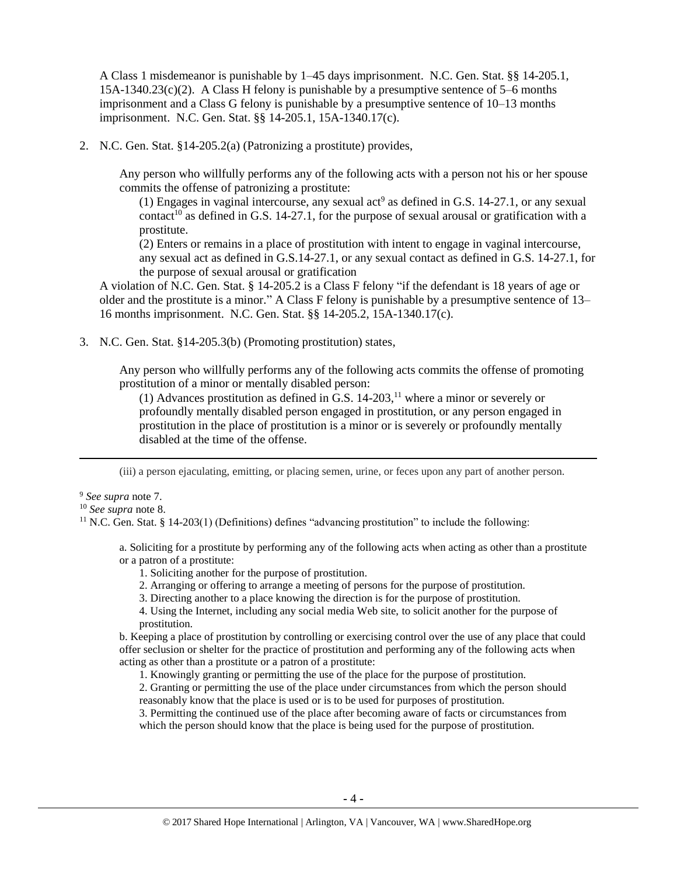A Class 1 misdemeanor is punishable by 1–45 days imprisonment. N.C. Gen. Stat. §§ 14-205.1,  $15A-1340.23(c)(2)$ . A Class H felony is punishable by a presumptive sentence of 5–6 months imprisonment and a Class G felony is punishable by a presumptive sentence of 10–13 months imprisonment. N.C. Gen. Stat. §§ 14-205.1, 15A-1340.17(c).

2. N.C. Gen. Stat. §14-205.2(a) (Patronizing a prostitute) provides,

Any person who willfully performs any of the following acts with a person not his or her spouse commits the offense of patronizing a prostitute:

(1) Engages in vaginal intercourse, any sexual act<sup>9</sup> as defined in G.S. 14-27.1, or any sexual contact<sup>10</sup> as defined in G.S. 14-27.1, for the purpose of sexual arousal or gratification with a prostitute.

(2) Enters or remains in a place of prostitution with intent to engage in vaginal intercourse, any sexual act as defined in G.S.14-27.1, or any sexual contact as defined in G.S. 14-27.1, for the purpose of sexual arousal or gratification

A violation of N.C. Gen. Stat. § 14-205.2 is a Class F felony "if the defendant is 18 years of age or older and the prostitute is a minor." A Class F felony is punishable by a presumptive sentence of 13– 16 months imprisonment. N.C. Gen. Stat. §§ 14-205.2, 15A-1340.17(c).

3. N.C. Gen. Stat. §14-205.3(b) (Promoting prostitution) states,

Any person who willfully performs any of the following acts commits the offense of promoting prostitution of a minor or mentally disabled person:

<span id="page-3-0"></span>(1) Advances prostitution as defined in G.S.  $14-203$ ,<sup>11</sup> where a minor or severely or profoundly mentally disabled person engaged in prostitution, or any person engaged in prostitution in the place of prostitution is a minor or is severely or profoundly mentally disabled at the time of the offense.

(iii) a person ejaculating, emitting, or placing semen, urine, or feces upon any part of another person.

<sup>9</sup> *See supra* note [7.](#page-2-0)

 $\overline{a}$ 

<sup>10</sup> *See supra* note [8.](#page-2-1)

<sup>11</sup> N.C. Gen. Stat. § 14-203(1) (Definitions) defines "advancing prostitution" to include the following:

a. Soliciting for a prostitute by performing any of the following acts when acting as other than a prostitute or a patron of a prostitute:

- 1. Soliciting another for the purpose of prostitution.
- 2. Arranging or offering to arrange a meeting of persons for the purpose of prostitution.
- 3. Directing another to a place knowing the direction is for the purpose of prostitution.
- 4. Using the Internet, including any social media Web site, to solicit another for the purpose of prostitution.

b. Keeping a place of prostitution by controlling or exercising control over the use of any place that could offer seclusion or shelter for the practice of prostitution and performing any of the following acts when acting as other than a prostitute or a patron of a prostitute:

1. Knowingly granting or permitting the use of the place for the purpose of prostitution.

2. Granting or permitting the use of the place under circumstances from which the person should reasonably know that the place is used or is to be used for purposes of prostitution.

3. Permitting the continued use of the place after becoming aware of facts or circumstances from which the person should know that the place is being used for the purpose of prostitution.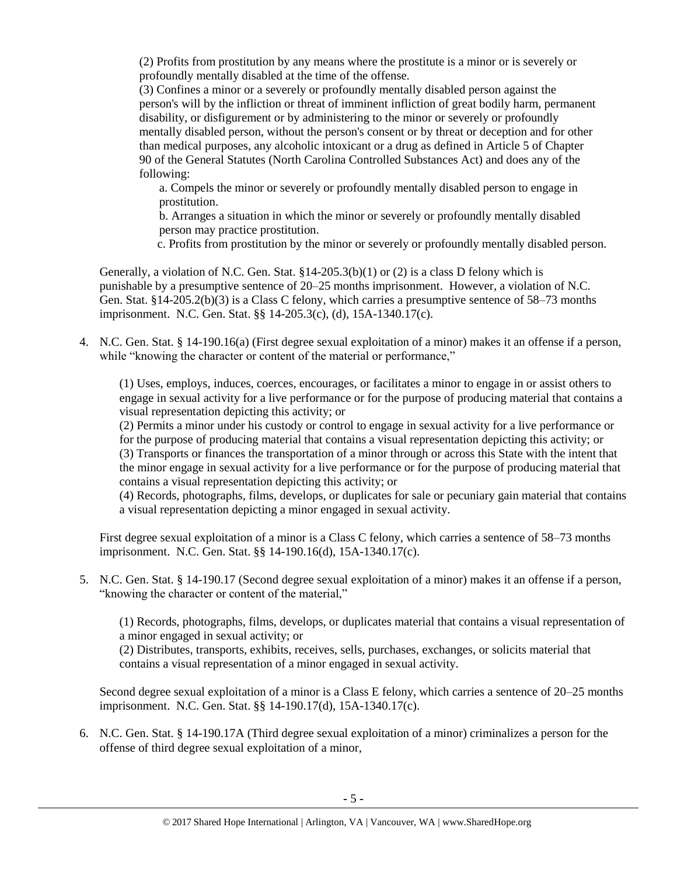(2) Profits from prostitution by any means where the prostitute is a minor or is severely or profoundly mentally disabled at the time of the offense.

(3) Confines a minor or a severely or profoundly mentally disabled person against the person's will by the infliction or threat of imminent infliction of great bodily harm, permanent disability, or disfigurement or by administering to the minor or severely or profoundly mentally disabled person, without the person's consent or by threat or deception and for other than medical purposes, any alcoholic intoxicant or a drug as defined in Article 5 of Chapter 90 of the General Statutes (North Carolina Controlled Substances Act) and does any of the following:

a. Compels the minor or severely or profoundly mentally disabled person to engage in prostitution.

b. Arranges a situation in which the minor or severely or profoundly mentally disabled person may practice prostitution.

c. Profits from prostitution by the minor or severely or profoundly mentally disabled person.

Generally, a violation of N.C. Gen. Stat.  $\S 14-205.3(b)(1)$  or (2) is a class D felony which is punishable by a presumptive sentence of 20–25 months imprisonment. However, a violation of N.C. Gen. Stat. §14-205.2(b)(3) is a Class C felony, which carries a presumptive sentence of 58–73 months imprisonment. N.C. Gen. Stat. §§ 14-205.3(c), (d), 15A-1340.17(c).

4. N.C. Gen. Stat. § 14-190.16(a) (First degree sexual exploitation of a minor) makes it an offense if a person, while "knowing the character or content of the material or performance,"

(1) Uses, employs, induces, coerces, encourages, or facilitates a minor to engage in or assist others to engage in sexual activity for a live performance or for the purpose of producing material that contains a visual representation depicting this activity; or

(2) Permits a minor under his custody or control to engage in sexual activity for a live performance or for the purpose of producing material that contains a visual representation depicting this activity; or (3) Transports or finances the transportation of a minor through or across this State with the intent that the minor engage in sexual activity for a live performance or for the purpose of producing material that contains a visual representation depicting this activity; or

(4) Records, photographs, films, develops, or duplicates for sale or pecuniary gain material that contains a visual representation depicting a minor engaged in sexual activity.

First degree sexual exploitation of a minor is a Class C felony, which carries a sentence of 58–73 months imprisonment. N.C. Gen. Stat. §§ 14-190.16(d), 15A-1340.17(c).

5. N.C. Gen. Stat. § 14-190.17 (Second degree sexual exploitation of a minor) makes it an offense if a person, "knowing the character or content of the material,"

(1) Records, photographs, films, develops, or duplicates material that contains a visual representation of a minor engaged in sexual activity; or

(2) Distributes, transports, exhibits, receives, sells, purchases, exchanges, or solicits material that contains a visual representation of a minor engaged in sexual activity.

Second degree sexual exploitation of a minor is a Class E felony, which carries a sentence of 20–25 months imprisonment. N.C. Gen. Stat. §§ 14-190.17(d), 15A-1340.17(c).

6. N.C. Gen. Stat. § 14-190.17A (Third degree sexual exploitation of a minor) criminalizes a person for the offense of third degree sexual exploitation of a minor,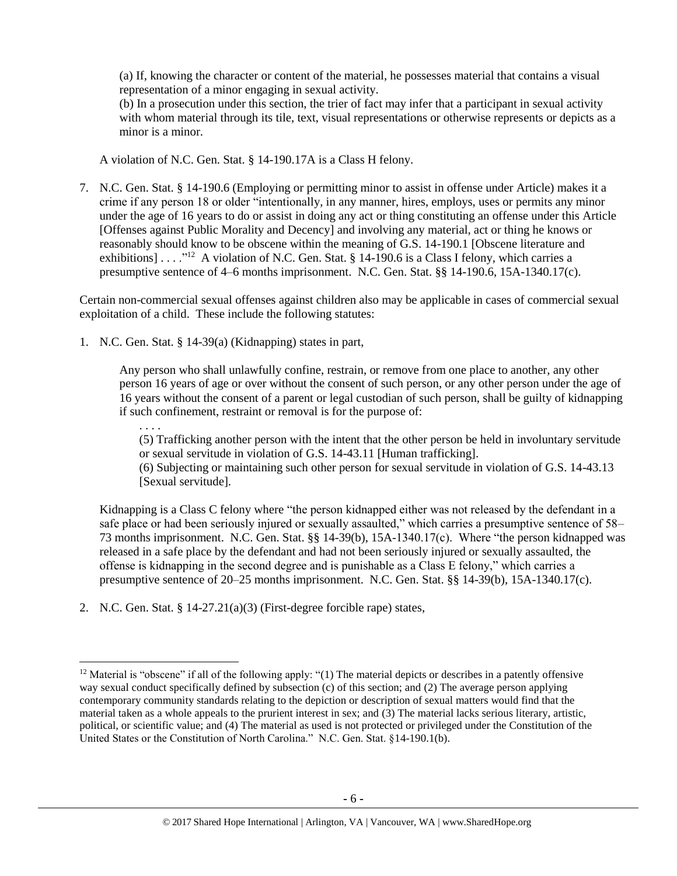(a) If, knowing the character or content of the material, he possesses material that contains a visual representation of a minor engaging in sexual activity.

(b) In a prosecution under this section, the trier of fact may infer that a participant in sexual activity with whom material through its tile, text, visual representations or otherwise represents or depicts as a minor is a minor.

A violation of N.C. Gen. Stat. § 14-190.17A is a Class H felony.

7. N.C. Gen. Stat. § 14-190.6 (Employing or permitting minor to assist in offense under Article) makes it a crime if any person 18 or older "intentionally, in any manner, hires, employs, uses or permits any minor under the age of 16 years to do or assist in doing any act or thing constituting an offense under this Article [Offenses against Public Morality and Decency] and involving any material, act or thing he knows or reasonably should know to be obscene within the meaning of G.S. 14-190.1 [Obscene literature and exhibitions] . . . .<sup>"12</sup> A violation of N.C. Gen. Stat. § 14-190.6 is a Class I felony, which carries a presumptive sentence of 4–6 months imprisonment. N.C. Gen. Stat. §§ 14-190.6, 15A-1340.17(c).

Certain non-commercial sexual offenses against children also may be applicable in cases of commercial sexual exploitation of a child. These include the following statutes:

1. N.C. Gen. Stat. § 14-39(a) (Kidnapping) states in part,

Any person who shall unlawfully confine, restrain, or remove from one place to another, any other person 16 years of age or over without the consent of such person, or any other person under the age of 16 years without the consent of a parent or legal custodian of such person, shall be guilty of kidnapping if such confinement, restraint or removal is for the purpose of:

. . . . (5) Trafficking another person with the intent that the other person be held in involuntary servitude or sexual servitude in violation of G.S. 14-43.11 [Human trafficking].

(6) Subjecting or maintaining such other person for sexual servitude in violation of G.S. 14-43.13 [Sexual servitude].

Kidnapping is a Class C felony where "the person kidnapped either was not released by the defendant in a safe place or had been seriously injured or sexually assaulted," which carries a presumptive sentence of 58– 73 months imprisonment. N.C. Gen. Stat. §§ 14-39(b), 15A-1340.17(c). Where "the person kidnapped was released in a safe place by the defendant and had not been seriously injured or sexually assaulted, the offense is kidnapping in the second degree and is punishable as a Class E felony," which carries a presumptive sentence of 20–25 months imprisonment. N.C. Gen. Stat. §§ 14-39(b), 15A-1340.17(c).

2. N.C. Gen. Stat. §  $14-27.21(a)(3)$  (First-degree forcible rape) states,

<sup>&</sup>lt;sup>12</sup> Material is "obscene" if all of the following apply: " $(1)$  The material depicts or describes in a patently offensive way sexual conduct specifically defined by subsection (c) of this section; and (2) The average person applying contemporary community standards relating to the depiction or description of sexual matters would find that the material taken as a whole appeals to the prurient interest in sex; and (3) The material lacks serious literary, artistic, political, or scientific value; and (4) The material as used is not protected or privileged under the Constitution of the United States or the Constitution of North Carolina." N.C. Gen. Stat. §14-190.1(b).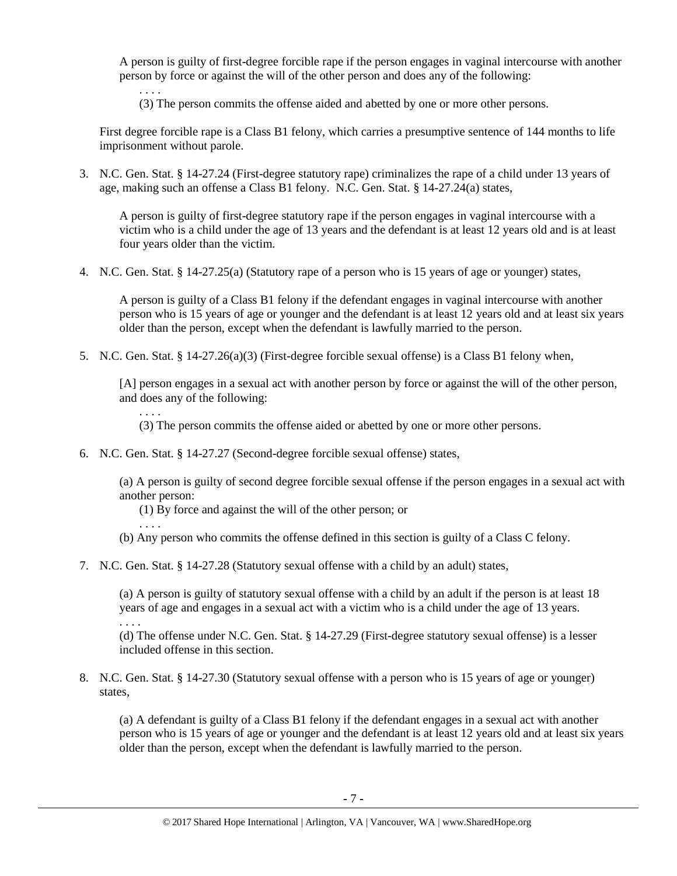A person is guilty of first-degree forcible rape if the person engages in vaginal intercourse with another person by force or against the will of the other person and does any of the following:

. . . . (3) The person commits the offense aided and abetted by one or more other persons.

First degree forcible rape is a Class B1 felony, which carries a presumptive sentence of 144 months to life imprisonment without parole.

3. N.C. Gen. Stat. § 14-27.24 (First-degree statutory rape) criminalizes the rape of a child under 13 years of age, making such an offense a Class B1 felony. N.C. Gen. Stat. § 14-27.24(a) states,

A person is guilty of first-degree statutory rape if the person engages in vaginal intercourse with a victim who is a child under the age of 13 years and the defendant is at least 12 years old and is at least four years older than the victim.

4. N.C. Gen. Stat. § 14-27.25(a) (Statutory rape of a person who is 15 years of age or younger) states,

A person is guilty of a Class B1 felony if the defendant engages in vaginal intercourse with another person who is 15 years of age or younger and the defendant is at least 12 years old and at least six years older than the person, except when the defendant is lawfully married to the person.

5. N.C. Gen. Stat. § 14-27.26(a)(3) (First-degree forcible sexual offense) is a Class B1 felony when,

[A] person engages in a sexual act with another person by force or against the will of the other person, and does any of the following:

- . . . . (3) The person commits the offense aided or abetted by one or more other persons.
- 6. N.C. Gen. Stat. § 14-27.27 (Second-degree forcible sexual offense) states,

(a) A person is guilty of second degree forcible sexual offense if the person engages in a sexual act with another person:

- (1) By force and against the will of the other person; or
- . . . . (b) Any person who commits the offense defined in this section is guilty of a Class C felony.
- 7. N.C. Gen. Stat. § 14-27.28 (Statutory sexual offense with a child by an adult) states,

(a) A person is guilty of statutory sexual offense with a child by an adult if the person is at least 18 years of age and engages in a sexual act with a victim who is a child under the age of 13 years. . . . .

(d) The offense under N.C. Gen. Stat. § 14-27.29 (First-degree statutory sexual offense) is a lesser included offense in this section.

8. N.C. Gen. Stat. § 14-27.30 (Statutory sexual offense with a person who is 15 years of age or younger) states,

(a) A defendant is guilty of a Class B1 felony if the defendant engages in a sexual act with another person who is 15 years of age or younger and the defendant is at least 12 years old and at least six years older than the person, except when the defendant is lawfully married to the person.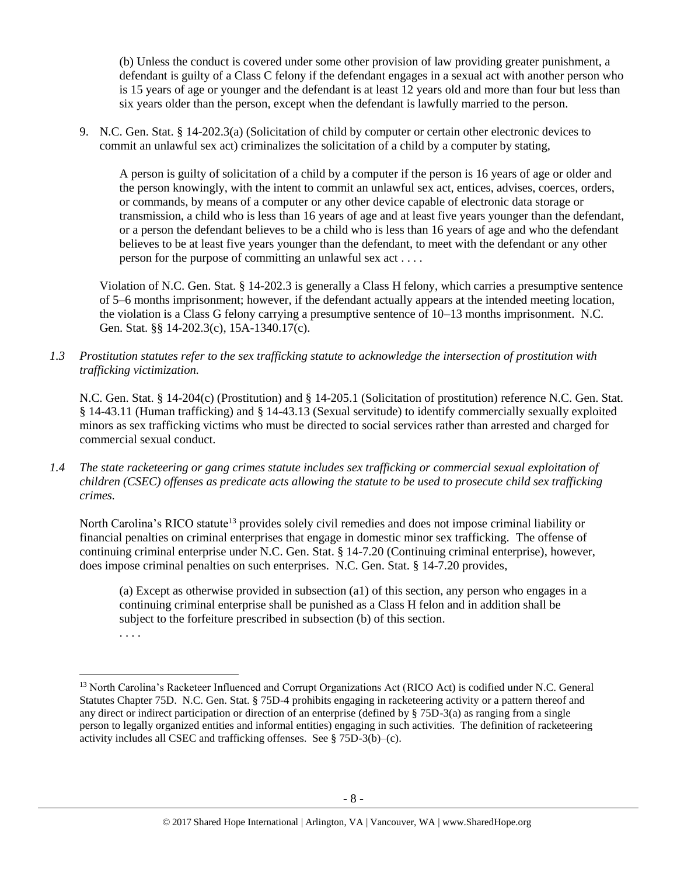(b) Unless the conduct is covered under some other provision of law providing greater punishment, a defendant is guilty of a Class C felony if the defendant engages in a sexual act with another person who is 15 years of age or younger and the defendant is at least 12 years old and more than four but less than six years older than the person, except when the defendant is lawfully married to the person.

9. N.C. Gen. Stat. § 14-202.3(a) (Solicitation of child by computer or certain other electronic devices to commit an unlawful sex act) criminalizes the solicitation of a child by a computer by stating,

A person is guilty of solicitation of a child by a computer if the person is 16 years of age or older and the person knowingly, with the intent to commit an unlawful sex act, entices, advises, coerces, orders, or commands, by means of a computer or any other device capable of electronic data storage or transmission, a child who is less than 16 years of age and at least five years younger than the defendant, or a person the defendant believes to be a child who is less than 16 years of age and who the defendant believes to be at least five years younger than the defendant, to meet with the defendant or any other person for the purpose of committing an unlawful sex act . . . .

Violation of N.C. Gen. Stat. § 14-202.3 is generally a Class H felony, which carries a presumptive sentence of 5–6 months imprisonment; however, if the defendant actually appears at the intended meeting location, the violation is a Class G felony carrying a presumptive sentence of 10–13 months imprisonment. N.C. Gen. Stat. §§ 14-202.3(c), 15A-1340.17(c).

*1.3 Prostitution statutes refer to the sex trafficking statute to acknowledge the intersection of prostitution with trafficking victimization.* 

N.C. Gen. Stat. § 14-204(c) (Prostitution) and § 14-205.1 (Solicitation of prostitution) reference N.C. Gen. Stat. § 14-43.11 (Human trafficking) and § 14-43.13 (Sexual servitude) to identify commercially sexually exploited minors as sex trafficking victims who must be directed to social services rather than arrested and charged for commercial sexual conduct.

*1.4 The state racketeering or gang crimes statute includes sex trafficking or commercial sexual exploitation of children (CSEC) offenses as predicate acts allowing the statute to be used to prosecute child sex trafficking crimes.* 

North Carolina's RICO statute<sup>13</sup> provides solely civil remedies and does not impose criminal liability or financial penalties on criminal enterprises that engage in domestic minor sex trafficking. The offense of continuing criminal enterprise under N.C. Gen. Stat. § 14-7.20 (Continuing criminal enterprise), however, does impose criminal penalties on such enterprises. N.C. Gen. Stat. § 14-7.20 provides,

(a) Except as otherwise provided in subsection (a1) of this section, any person who engages in a continuing criminal enterprise shall be punished as a Class H felon and in addition shall be subject to the forfeiture prescribed in subsection (b) of this section.

<sup>. . . .</sup>

<sup>13</sup> North Carolina's Racketeer Influenced and Corrupt Organizations Act (RICO Act) is codified under N.C. General Statutes Chapter 75D. N.C. Gen. Stat. § 75D-4 prohibits engaging in racketeering activity or a pattern thereof and any direct or indirect participation or direction of an enterprise (defined by  $\S$  75D-3(a) as ranging from a single person to legally organized entities and informal entities) engaging in such activities. The definition of racketeering activity includes all CSEC and trafficking offenses. See § 75D-3(b)–(c).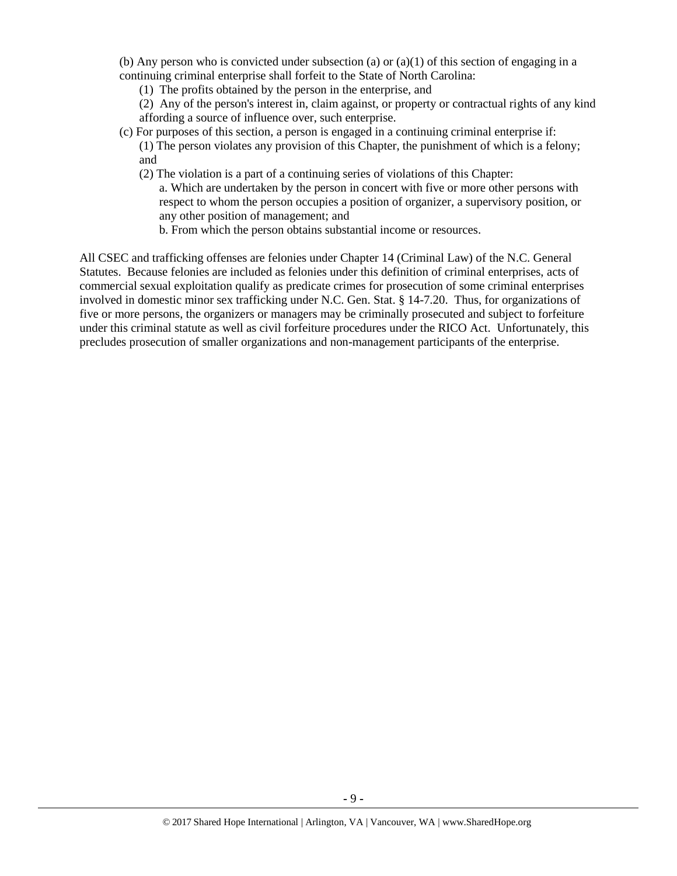(b) Any person who is convicted under subsection (a) or  $(a)(1)$  of this section of engaging in a continuing criminal enterprise shall forfeit to the State of North Carolina:

(1) The profits obtained by the person in the enterprise, and

(2) Any of the person's interest in, claim against, or property or contractual rights of any kind affording a source of influence over, such enterprise.

- (c) For purposes of this section, a person is engaged in a continuing criminal enterprise if:
	- (1) The person violates any provision of this Chapter, the punishment of which is a felony; and
	- (2) The violation is a part of a continuing series of violations of this Chapter:
		- a. Which are undertaken by the person in concert with five or more other persons with respect to whom the person occupies a position of organizer, a supervisory position, or any other position of management; and
		- b. From which the person obtains substantial income or resources.

All CSEC and trafficking offenses are felonies under Chapter 14 (Criminal Law) of the N.C. General Statutes. Because felonies are included as felonies under this definition of criminal enterprises, acts of commercial sexual exploitation qualify as predicate crimes for prosecution of some criminal enterprises involved in domestic minor sex trafficking under N.C. Gen. Stat. § 14-7.20. Thus, for organizations of five or more persons, the organizers or managers may be criminally prosecuted and subject to forfeiture under this criminal statute as well as civil forfeiture procedures under the RICO Act. Unfortunately, this precludes prosecution of smaller organizations and non-management participants of the enterprise.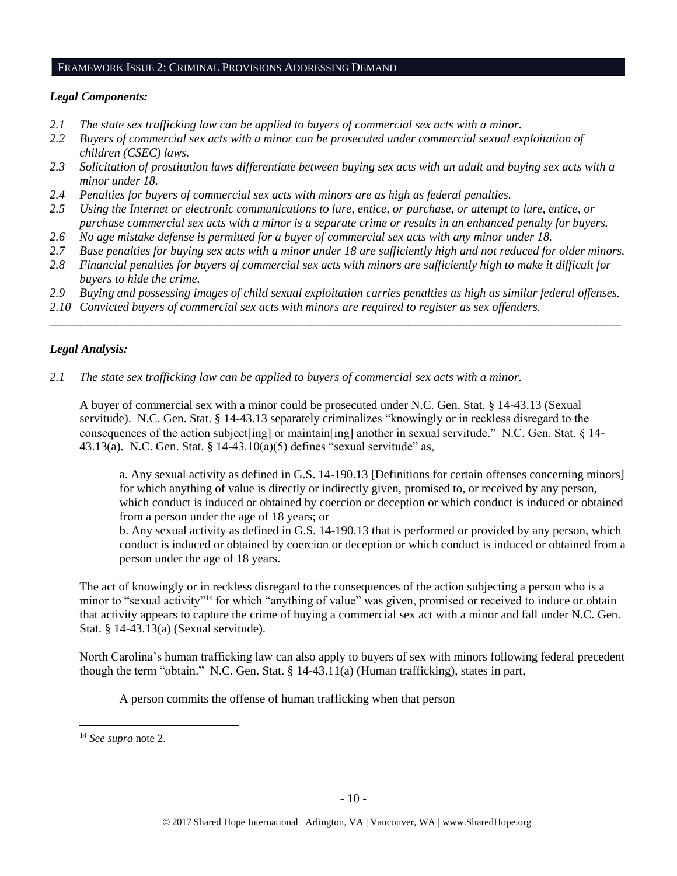#### FRAMEWORK ISSUE 2: CRIMINAL PROVISIONS ADDRESSING DEMAND

# *Legal Components:*

- *2.1 The state sex trafficking law can be applied to buyers of commercial sex acts with a minor.*
- *2.2 Buyers of commercial sex acts with a minor can be prosecuted under commercial sexual exploitation of children (CSEC) laws.*
- *2.3 Solicitation of prostitution laws differentiate between buying sex acts with an adult and buying sex acts with a minor under 18.*
- *2.4 Penalties for buyers of commercial sex acts with minors are as high as federal penalties.*
- *2.5 Using the Internet or electronic communications to lure, entice, or purchase, or attempt to lure, entice, or purchase commercial sex acts with a minor is a separate crime or results in an enhanced penalty for buyers.*
- *2.6 No age mistake defense is permitted for a buyer of commercial sex acts with any minor under 18.*
- *2.7 Base penalties for buying sex acts with a minor under 18 are sufficiently high and not reduced for older minors.*
- *2.8 Financial penalties for buyers of commercial sex acts with minors are sufficiently high to make it difficult for buyers to hide the crime.*
- *2.9 Buying and possessing images of child sexual exploitation carries penalties as high as similar federal offenses.*

\_\_\_\_\_\_\_\_\_\_\_\_\_\_\_\_\_\_\_\_\_\_\_\_\_\_\_\_\_\_\_\_\_\_\_\_\_\_\_\_\_\_\_\_\_\_\_\_\_\_\_\_\_\_\_\_\_\_\_\_\_\_\_\_\_\_\_\_\_\_\_\_\_\_\_\_\_\_\_\_\_\_\_\_\_\_\_\_\_\_\_\_\_\_

*2.10 Convicted buyers of commercial sex acts with minors are required to register as sex offenders.*

# *Legal Analysis:*

*2.1 The state sex trafficking law can be applied to buyers of commercial sex acts with a minor.* 

A buyer of commercial sex with a minor could be prosecuted under N.C. Gen. Stat. § 14-43.13 (Sexual servitude). N.C. Gen. Stat. § 14-43.13 separately criminalizes "knowingly or in reckless disregard to the consequences of the action subject[ing] or maintain[ing] another in sexual servitude." N.C. Gen. Stat. § 14- 43.13(a). N.C. Gen. Stat. § 14-43.10(a)(5) defines "sexual servitude" as,

a. Any sexual activity as defined in G.S. 14-190.13 [Definitions for certain offenses concerning minors] for which anything of value is directly or indirectly given, promised to, or received by any person, which conduct is induced or obtained by coercion or deception or which conduct is induced or obtained from a person under the age of 18 years; or

b. Any sexual activity as defined in G.S. 14-190.13 that is performed or provided by any person, which conduct is induced or obtained by coercion or deception or which conduct is induced or obtained from a person under the age of 18 years.

The act of knowingly or in reckless disregard to the consequences of the action subjecting a person who is a minor to "sexual activity"<sup>14</sup> for which "anything of value" was given, promised or received to induce or obtain that activity appears to capture the crime of buying a commercial sex act with a minor and fall under N.C. Gen. Stat. § 14-43.13(a) (Sexual servitude).

North Carolina's human trafficking law can also apply to buyers of sex with minors following federal precedent though the term "obtain." N.C. Gen. Stat. § 14-43.11(a) (Human trafficking), states in part,

A person commits the offense of human trafficking when that person

<sup>14</sup> *See supra* note [2.](#page-1-0)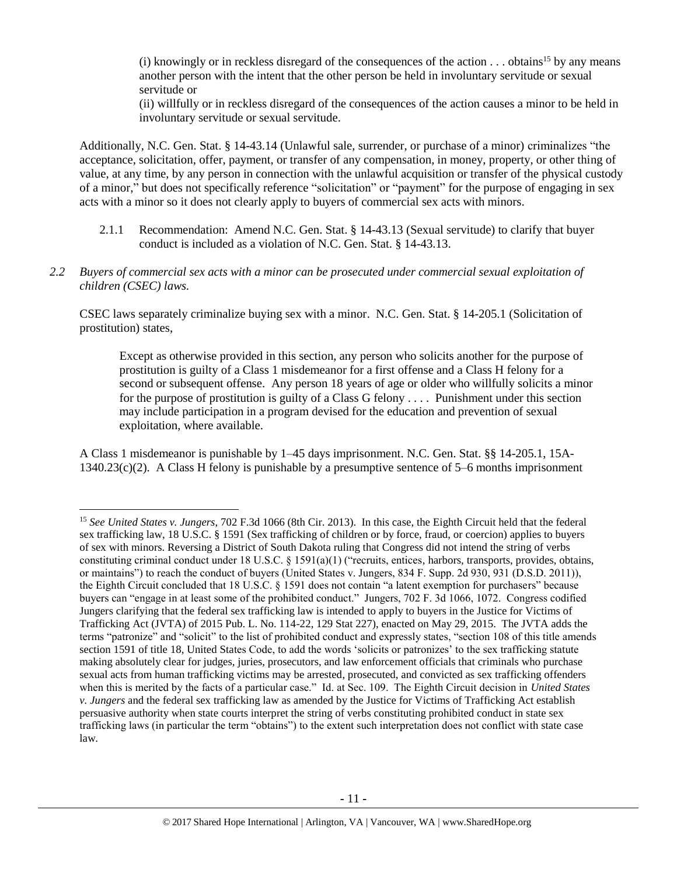(i) knowingly or in reckless disregard of the consequences of the action  $\dots$  obtains<sup>15</sup> by any means another person with the intent that the other person be held in involuntary servitude or sexual servitude or

(ii) willfully or in reckless disregard of the consequences of the action causes a minor to be held in involuntary servitude or sexual servitude.

Additionally, N.C. Gen. Stat. § 14-43.14 (Unlawful sale, surrender, or purchase of a minor) criminalizes "the acceptance, solicitation, offer, payment, or transfer of any compensation, in money, property, or other thing of value, at any time, by any person in connection with the unlawful acquisition or transfer of the physical custody of a minor," but does not specifically reference "solicitation" or "payment" for the purpose of engaging in sex acts with a minor so it does not clearly apply to buyers of commercial sex acts with minors.

- 2.1.1 Recommendation: Amend N.C. Gen. Stat. § 14-43.13 (Sexual servitude) to clarify that buyer conduct is included as a violation of N.C. Gen. Stat. § 14-43.13.
- *2.2 Buyers of commercial sex acts with a minor can be prosecuted under commercial sexual exploitation of children (CSEC) laws.*

CSEC laws separately criminalize buying sex with a minor. N.C. Gen. Stat. § 14-205.1 (Solicitation of prostitution) states,

Except as otherwise provided in this section, any person who solicits another for the purpose of prostitution is guilty of a Class 1 misdemeanor for a first offense and a Class H felony for a second or subsequent offense. Any person 18 years of age or older who willfully solicits a minor for the purpose of prostitution is guilty of a Class G felony . . . . Punishment under this section may include participation in a program devised for the education and prevention of sexual exploitation, where available.

A Class 1 misdemeanor is punishable by 1–45 days imprisonment. N.C. Gen. Stat. §§ 14-205.1, 15A-1340.23(c)(2). A Class H felony is punishable by a presumptive sentence of 5–6 months imprisonment

 $\overline{a}$ 

<sup>15</sup> *See United States v. Jungers*, 702 F.3d 1066 (8th Cir. 2013). In this case, the Eighth Circuit held that the federal sex trafficking law, 18 U.S.C. § 1591 (Sex trafficking of children or by force, fraud, or coercion) applies to buyers of sex with minors. Reversing a District of South Dakota ruling that Congress did not intend the string of verbs constituting criminal conduct under 18 U.S.C.  $\S$  1591(a)(1) ("recruits, entices, harbors, transports, provides, obtains, or maintains") to reach the conduct of buyers (United States v. Jungers, 834 F. Supp. 2d 930, 931 (D.S.D. 2011)), the Eighth Circuit concluded that 18 U.S.C. § 1591 does not contain "a latent exemption for purchasers" because buyers can "engage in at least some of the prohibited conduct." Jungers, 702 F. 3d 1066, 1072. Congress codified Jungers clarifying that the federal sex trafficking law is intended to apply to buyers in the Justice for Victims of Trafficking Act (JVTA) of 2015 Pub. L. No. 114-22, 129 Stat 227), enacted on May 29, 2015. The JVTA adds the terms "patronize" and "solicit" to the list of prohibited conduct and expressly states, "section 108 of this title amends section 1591 of title 18, United States Code, to add the words 'solicits or patronizes' to the sex trafficking statute making absolutely clear for judges, juries, prosecutors, and law enforcement officials that criminals who purchase sexual acts from human trafficking victims may be arrested, prosecuted, and convicted as sex trafficking offenders when this is merited by the facts of a particular case." Id. at Sec. 109. The Eighth Circuit decision in *United States v. Jungers* and the federal sex trafficking law as amended by the Justice for Victims of Trafficking Act establish persuasive authority when state courts interpret the string of verbs constituting prohibited conduct in state sex trafficking laws (in particular the term "obtains") to the extent such interpretation does not conflict with state case law.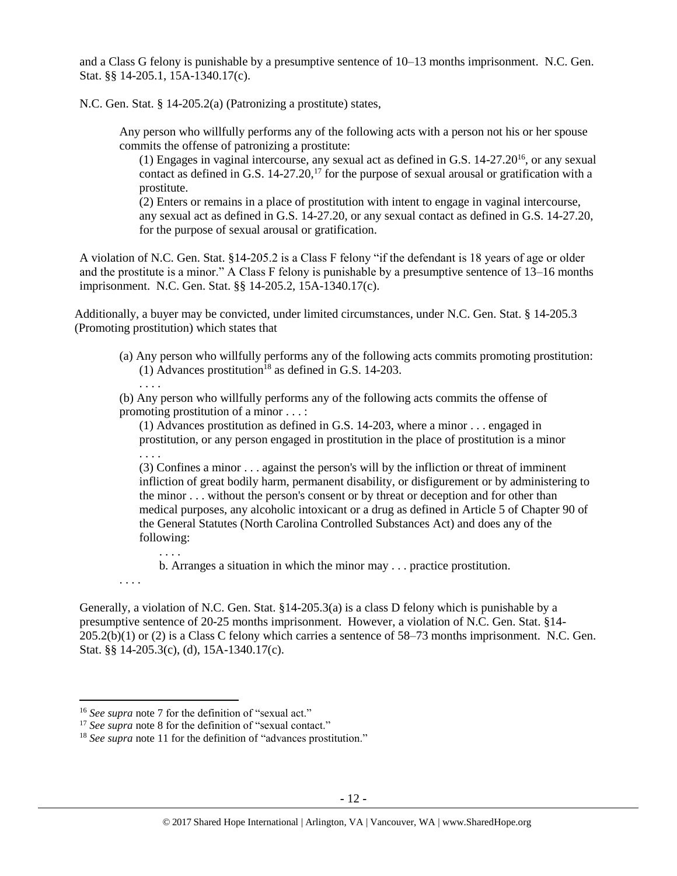and a Class G felony is punishable by a presumptive sentence of 10–13 months imprisonment. N.C. Gen. Stat. §§ 14-205.1, 15A-1340.17(c).

N.C. Gen. Stat. § 14-205.2(a) (Patronizing a prostitute) states,

Any person who willfully performs any of the following acts with a person not his or her spouse commits the offense of patronizing a prostitute:

(1) Engages in vaginal intercourse, any sexual act as defined in G.S. 14-27.20<sup>16</sup>, or any sexual contact as defined in G.S.  $14-27.20$ ,<sup>17</sup> for the purpose of sexual arousal or gratification with a prostitute.

(2) Enters or remains in a place of prostitution with intent to engage in vaginal intercourse, any sexual act as defined in G.S. 14-27.20, or any sexual contact as defined in G.S. 14-27.20, for the purpose of sexual arousal or gratification.

A violation of N.C. Gen. Stat. §14-205.2 is a Class F felony "if the defendant is 18 years of age or older and the prostitute is a minor." A Class F felony is punishable by a presumptive sentence of 13–16 months imprisonment. N.C. Gen. Stat. §§ 14-205.2, 15A-1340.17(c).

Additionally, a buyer may be convicted, under limited circumstances, under N.C. Gen. Stat. § 14-205.3 (Promoting prostitution) which states that

(a) Any person who willfully performs any of the following acts commits promoting prostitution: (1) Advances prostitution<sup>18</sup> as defined in G.S. 14-203.

(b) Any person who willfully performs any of the following acts commits the offense of promoting prostitution of a minor . . . :

(1) Advances prostitution as defined in G.S. 14-203, where a minor . . . engaged in prostitution, or any person engaged in prostitution in the place of prostitution is a minor

. . . .

. . . .

 $\overline{a}$ 

. . . .

(3) Confines a minor . . . against the person's will by the infliction or threat of imminent infliction of great bodily harm, permanent disability, or disfigurement or by administering to the minor . . . without the person's consent or by threat or deception and for other than medical purposes, any alcoholic intoxicant or a drug as defined in Article 5 of Chapter 90 of the General Statutes (North Carolina Controlled Substances Act) and does any of the following:

. . . .

b. Arranges a situation in which the minor may . . . practice prostitution.

Generally, a violation of N.C. Gen. Stat. §14-205.3(a) is a class D felony which is punishable by a presumptive sentence of 20-25 months imprisonment. However, a violation of N.C. Gen. Stat. §14- 205.2(b)(1) or (2) is a Class C felony which carries a sentence of 58–73 months imprisonment. N.C. Gen. Stat. §§ 14-205.3(c), (d), 15A-1340.17(c).

<sup>&</sup>lt;sup>16</sup> *See supra* note [7](#page-2-0) for the definition of "sexual act."

<sup>&</sup>lt;sup>17</sup> *See supra* note [8](#page-2-1) for the definition of "sexual contact."

<sup>&</sup>lt;sup>18</sup> *See supra* note [11](#page-3-0) for the definition of "advances prostitution."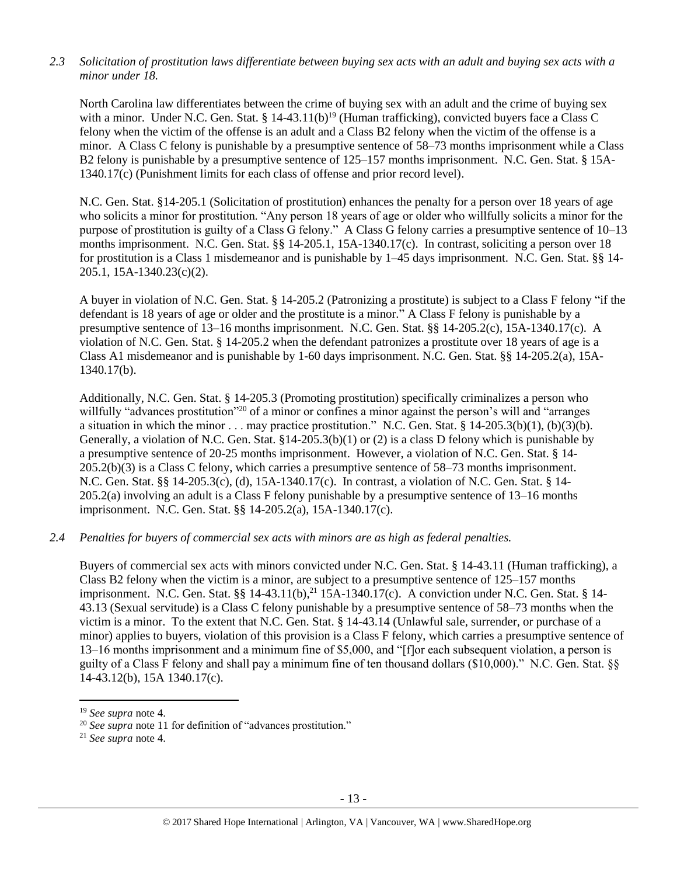## *2.3 Solicitation of prostitution laws differentiate between buying sex acts with an adult and buying sex acts with a minor under 18.*

North Carolina law differentiates between the crime of buying sex with an adult and the crime of buying sex with a minor. Under N.C. Gen. Stat. §  $14-43.11(b)^{19}$  (Human trafficking), convicted buyers face a Class C felony when the victim of the offense is an adult and a Class B2 felony when the victim of the offense is a minor. A Class C felony is punishable by a presumptive sentence of 58–73 months imprisonment while a Class B2 felony is punishable by a presumptive sentence of 125–157 months imprisonment. N.C. Gen. Stat. § 15A-1340.17(c) (Punishment limits for each class of offense and prior record level).

N.C. Gen. Stat. §14-205.1 (Solicitation of prostitution) enhances the penalty for a person over 18 years of age who solicits a minor for prostitution. "Any person 18 years of age or older who willfully solicits a minor for the purpose of prostitution is guilty of a Class G felony." A Class G felony carries a presumptive sentence of 10–13 months imprisonment. N.C. Gen. Stat. §§ 14-205.1, 15A-1340.17(c). In contrast, soliciting a person over 18 for prostitution is a Class 1 misdemeanor and is punishable by 1–45 days imprisonment. N.C. Gen. Stat. §§ 14- 205.1, 15A-1340.23(c)(2).

A buyer in violation of N.C. Gen. Stat. § 14-205.2 (Patronizing a prostitute) is subject to a Class F felony "if the defendant is 18 years of age or older and the prostitute is a minor." A Class F felony is punishable by a presumptive sentence of 13–16 months imprisonment. N.C. Gen. Stat. §§ 14-205.2(c), 15A-1340.17(c). A violation of N.C. Gen. Stat. § 14-205.2 when the defendant patronizes a prostitute over 18 years of age is a Class A1 misdemeanor and is punishable by 1-60 days imprisonment. N.C. Gen. Stat. §§ 14-205.2(a), 15A-1340.17(b).

Additionally, N.C. Gen. Stat. § 14-205.3 (Promoting prostitution) specifically criminalizes a person who willfully "advances prostitution"<sup>20</sup> of a minor or confines a minor against the person's will and "arranges" a situation in which the minor . . . may practice prostitution." N.C. Gen. Stat. § 14-205.3(b)(1), (b)(3)(b). Generally, a violation of N.C. Gen. Stat. §14-205.3(b)(1) or (2) is a class D felony which is punishable by a presumptive sentence of 20-25 months imprisonment. However, a violation of N.C. Gen. Stat. § 14- 205.2(b)(3) is a Class C felony, which carries a presumptive sentence of 58–73 months imprisonment. N.C. Gen. Stat. §§ 14-205.3(c), (d), 15A-1340.17(c). In contrast, a violation of N.C. Gen. Stat. § 14- 205.2(a) involving an adult is a Class F felony punishable by a presumptive sentence of 13–16 months imprisonment. N.C. Gen. Stat. §§ 14-205.2(a), 15A-1340.17(c).

### *2.4 Penalties for buyers of commercial sex acts with minors are as high as federal penalties.*

Buyers of commercial sex acts with minors convicted under N.C. Gen. Stat. § 14-43.11 (Human trafficking), a Class B2 felony when the victim is a minor, are subject to a presumptive sentence of 125–157 months imprisonment. N.C. Gen. Stat. §§ 14-43.11(b),<sup>21</sup> 15A-1340.17(c). A conviction under N.C. Gen. Stat. § 14-43.13 (Sexual servitude) is a Class C felony punishable by a presumptive sentence of 58–73 months when the victim is a minor. To the extent that N.C. Gen. Stat. § 14-43.14 (Unlawful sale, surrender, or purchase of a minor) applies to buyers, violation of this provision is a Class F felony, which carries a presumptive sentence of 13–16 months imprisonment and a minimum fine of \$5,000, and "[f]or each subsequent violation, a person is guilty of a Class F felony and shall pay a minimum fine of ten thousand dollars (\$10,000)." N.C. Gen. Stat. §§ 14-43.12(b), 15A 1340.17(c).

 $\overline{a}$ 

<sup>19</sup> *See supra* note [4.](#page-1-1)

<sup>20</sup> *See supra* note [11](#page-3-0) for definition of "advances prostitution."

<sup>21</sup> *See supra* note [4.](#page-1-1)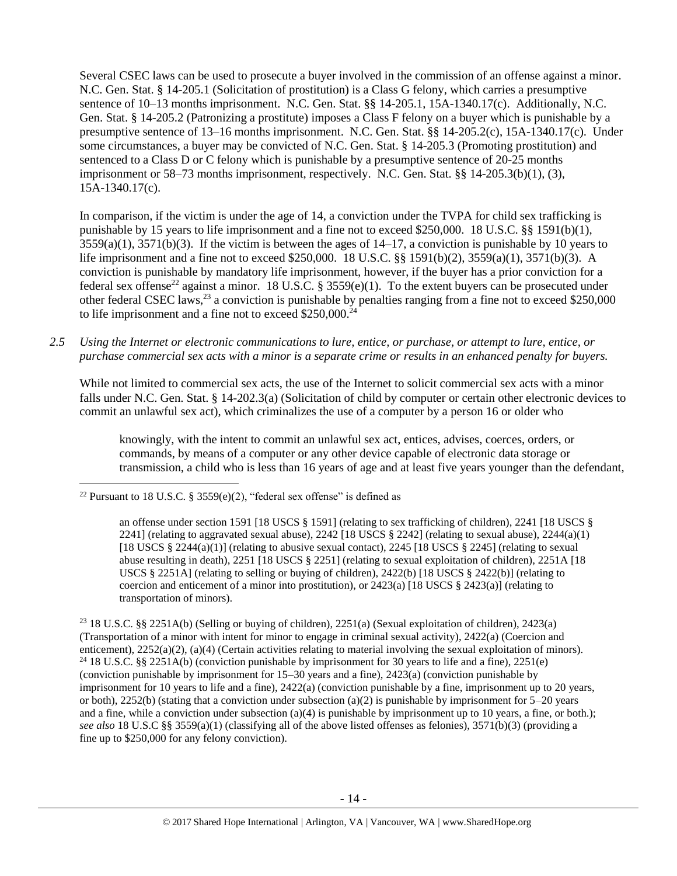Several CSEC laws can be used to prosecute a buyer involved in the commission of an offense against a minor. N.C. Gen. Stat. § 14-205.1 (Solicitation of prostitution) is a Class G felony, which carries a presumptive sentence of 10–13 months imprisonment. N.C. Gen. Stat. §§ 14-205.1, 15A-1340.17(c). Additionally, N.C. Gen. Stat. § 14-205.2 (Patronizing a prostitute) imposes a Class F felony on a buyer which is punishable by a presumptive sentence of 13–16 months imprisonment. N.C. Gen. Stat. §§ 14-205.2(c), 15A-1340.17(c). Under some circumstances, a buyer may be convicted of N.C. Gen. Stat. § 14-205.3 (Promoting prostitution) and sentenced to a Class D or C felony which is punishable by a presumptive sentence of 20-25 months imprisonment or 58–73 months imprisonment, respectively. N.C. Gen. Stat. §§ 14-205.3(b)(1), (3), 15A-1340.17(c).

<span id="page-13-0"></span>In comparison, if the victim is under the age of 14, a conviction under the TVPA for child sex trafficking is punishable by 15 years to life imprisonment and a fine not to exceed \$250,000. 18 U.S.C. §§ 1591(b)(1),  $3559(a)(1)$ ,  $3571(b)(3)$ . If the victim is between the ages of  $14-17$ , a conviction is punishable by 10 years to life imprisonment and a fine not to exceed \$250,000. 18 U.S.C. §§ 1591(b)(2), 3559(a)(1), 3571(b)(3). A conviction is punishable by mandatory life imprisonment, however, if the buyer has a prior conviction for a federal sex offense<sup>22</sup> against a minor. 18 U.S.C. § 3559(e)(1). To the extent buyers can be prosecuted under other federal CSEC laws,<sup>23</sup> a conviction is punishable by penalties ranging from a fine not to exceed \$250,000 to life imprisonment and a fine not to exceed \$250,000.<sup>24</sup>

*2.5 Using the Internet or electronic communications to lure, entice, or purchase, or attempt to lure, entice, or purchase commercial sex acts with a minor is a separate crime or results in an enhanced penalty for buyers.*

While not limited to commercial sex acts, the use of the Internet to solicit commercial sex acts with a minor falls under N.C. Gen. Stat. § 14-202.3(a) (Solicitation of child by computer or certain other electronic devices to commit an unlawful sex act), which criminalizes the use of a computer by a person 16 or older who

knowingly, with the intent to commit an unlawful sex act, entices, advises, coerces, orders, or commands, by means of a computer or any other device capable of electronic data storage or transmission, a child who is less than 16 years of age and at least five years younger than the defendant,

<sup>23</sup> 18 U.S.C. §§ 2251A(b) (Selling or buying of children), 2251(a) (Sexual exploitation of children), 2423(a) (Transportation of a minor with intent for minor to engage in criminal sexual activity), 2422(a) (Coercion and enticement), 2252(a)(2), (a)(4) (Certain activities relating to material involving the sexual exploitation of minors). <sup>24</sup> 18 U.S.C. §§ 2251A(b) (conviction punishable by imprisonment for 30 years to life and a fine), 2251(e) (conviction punishable by imprisonment for 15–30 years and a fine), 2423(a) (conviction punishable by imprisonment for 10 years to life and a fine), 2422(a) (conviction punishable by a fine, imprisonment up to 20 years, or both), 2252(b) (stating that a conviction under subsection (a)(2) is punishable by imprisonment for  $5-20$  years and a fine, while a conviction under subsection (a)(4) is punishable by imprisonment up to 10 years, a fine, or both.); *see also* 18 U.S.C §§ 3559(a)(1) (classifying all of the above listed offenses as felonies), 3571(b)(3) (providing a fine up to \$250,000 for any felony conviction).

 $\overline{\phantom{a}}$ <sup>22</sup> Pursuant to 18 U.S.C. § 3559(e)(2), "federal sex offense" is defined as

an offense under section 1591 [18 USCS § 1591] (relating to sex trafficking of children), 2241 [18 USCS § 2241] (relating to aggravated sexual abuse),  $2242$  [18 USCS § 2242] (relating to sexual abuse),  $2244(a)(1)$ [18 USCS  $\S$  2244(a)(1)] (relating to abusive sexual contact), 2245 [18 USCS  $\S$  2245] (relating to sexual abuse resulting in death), 2251 [18 USCS § 2251] (relating to sexual exploitation of children), 2251A [18 USCS § 2251A] (relating to selling or buying of children),  $2422(b)$  [18 USCS § 2422(b)] (relating to coercion and enticement of a minor into prostitution), or  $2423(a)$  [18 USCS §  $2423(a)$ ] (relating to transportation of minors).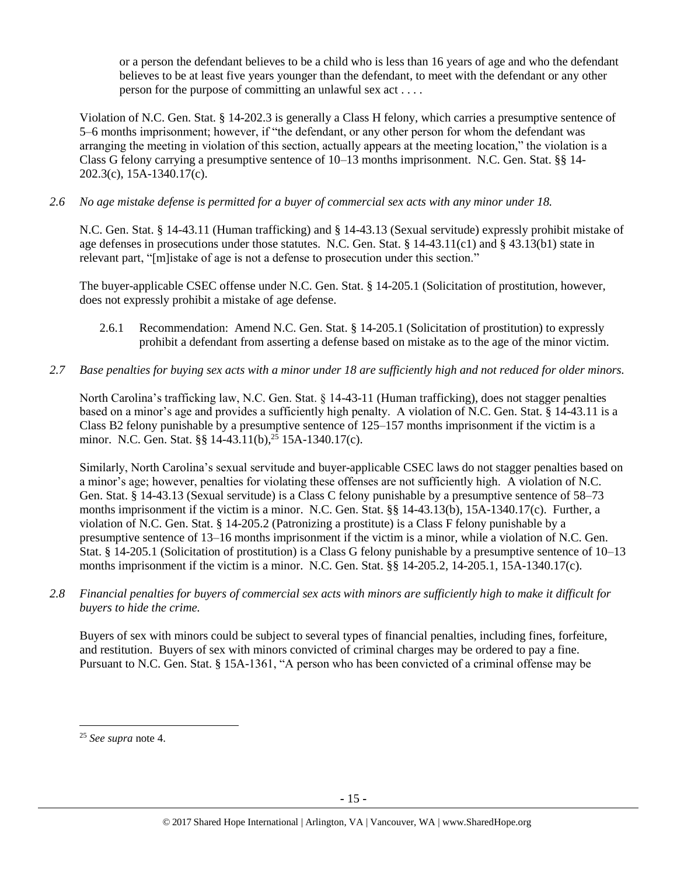or a person the defendant believes to be a child who is less than 16 years of age and who the defendant believes to be at least five years younger than the defendant, to meet with the defendant or any other person for the purpose of committing an unlawful sex act . . . .

Violation of N.C. Gen. Stat. § 14-202.3 is generally a Class H felony, which carries a presumptive sentence of 5–6 months imprisonment; however, if "the defendant, or any other person for whom the defendant was arranging the meeting in violation of this section, actually appears at the meeting location," the violation is a Class G felony carrying a presumptive sentence of 10–13 months imprisonment. N.C. Gen. Stat. §§ 14- 202.3(c), 15A-1340.17(c).

*2.6 No age mistake defense is permitted for a buyer of commercial sex acts with any minor under 18.*

N.C. Gen. Stat. § 14-43.11 (Human trafficking) and § 14-43.13 (Sexual servitude) expressly prohibit mistake of age defenses in prosecutions under those statutes. N.C. Gen. Stat. § 14-43.11(c1) and § 43.13(b1) state in relevant part, "[m]istake of age is not a defense to prosecution under this section."

The buyer-applicable CSEC offense under N.C. Gen. Stat. § 14-205.1 (Solicitation of prostitution, however, does not expressly prohibit a mistake of age defense.

- 2.6.1 Recommendation: Amend N.C. Gen. Stat. § 14-205.1 (Solicitation of prostitution) to expressly prohibit a defendant from asserting a defense based on mistake as to the age of the minor victim.
- *2.7 Base penalties for buying sex acts with a minor under 18 are sufficiently high and not reduced for older minors.*

North Carolina's trafficking law, N.C. Gen. Stat. § 14-43-11 (Human trafficking), does not stagger penalties based on a minor's age and provides a sufficiently high penalty. A violation of N.C. Gen. Stat. § 14-43.11 is a Class B2 felony punishable by a presumptive sentence of 125–157 months imprisonment if the victim is a minor. N.C. Gen. Stat. §§ 14-43.11(b),<sup>25</sup> 15A-1340.17(c).

Similarly, North Carolina's sexual servitude and buyer-applicable CSEC laws do not stagger penalties based on a minor's age; however, penalties for violating these offenses are not sufficiently high. A violation of N.C. Gen. Stat. § 14-43.13 (Sexual servitude) is a Class C felony punishable by a presumptive sentence of 58–73 months imprisonment if the victim is a minor. N.C. Gen. Stat. §§ 14-43.13(b), 15A-1340.17(c). Further, a violation of N.C. Gen. Stat. § 14-205.2 (Patronizing a prostitute) is a Class F felony punishable by a presumptive sentence of 13–16 months imprisonment if the victim is a minor, while a violation of N.C. Gen. Stat. § 14-205.1 (Solicitation of prostitution) is a Class G felony punishable by a presumptive sentence of 10–13 months imprisonment if the victim is a minor. N.C. Gen. Stat. §§ 14-205.2, 14-205.1, 15A-1340.17(c).

*2.8 Financial penalties for buyers of commercial sex acts with minors are sufficiently high to make it difficult for buyers to hide the crime.*

Buyers of sex with minors could be subject to several types of financial penalties, including fines, forfeiture, and restitution. Buyers of sex with minors convicted of criminal charges may be ordered to pay a fine. Pursuant to N.C. Gen. Stat. § 15A-1361, "A person who has been convicted of a criminal offense may be

<sup>25</sup> *See supra* note [4.](#page-1-1)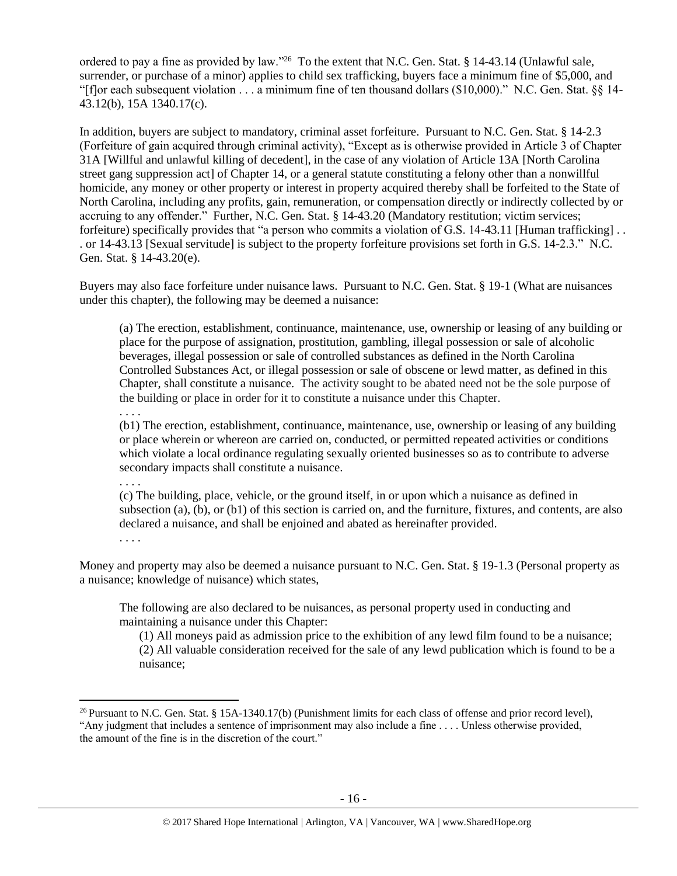ordered to pay a fine as provided by law."<sup>26</sup> To the extent that N.C. Gen. Stat. § 14-43.14 (Unlawful sale, surrender, or purchase of a minor) applies to child sex trafficking, buyers face a minimum fine of \$5,000, and "[f]or each subsequent violation  $\dots$  a minimum fine of ten thousand dollars (\$10,000)." N.C. Gen. Stat. §§ 14-43.12(b), 15A 1340.17(c).

In addition, buyers are subject to mandatory, criminal asset forfeiture. Pursuant to N.C. Gen. Stat. § 14-2.3 (Forfeiture of gain acquired through criminal activity), "Except as is otherwise provided in Article 3 of Chapter 31A [Willful and unlawful killing of decedent], in the case of any violation of Article 13A [North Carolina street gang suppression act] of Chapter 14, or a general statute constituting a felony other than a nonwillful homicide, any money or other property or interest in property acquired thereby shall be forfeited to the State of North Carolina, including any profits, gain, remuneration, or compensation directly or indirectly collected by or accruing to any offender." Further, N.C. Gen. Stat. § 14-43.20 (Mandatory restitution; victim services; forfeiture) specifically provides that "a person who commits a violation of G.S. 14-43.11 [Human trafficking] . . . or 14-43.13 [Sexual servitude] is subject to the property forfeiture provisions set forth in G.S. 14-2.3." N.C. Gen. Stat. § 14-43.20(e).

Buyers may also face forfeiture under nuisance laws. Pursuant to N.C. Gen. Stat. § 19-1 (What are nuisances under this chapter), the following may be deemed a nuisance:

(a) The erection, establishment, continuance, maintenance, use, ownership or leasing of any building or place for the purpose of assignation, prostitution, gambling, illegal possession or sale of alcoholic beverages, illegal possession or sale of controlled substances as defined in the North Carolina Controlled Substances Act, or illegal possession or sale of obscene or lewd matter, as defined in this Chapter, shall constitute a nuisance. The activity sought to be abated need not be the sole purpose of the building or place in order for it to constitute a nuisance under this Chapter.

. . . .

. . . .

 $\overline{a}$ 

(b1) The erection, establishment, continuance, maintenance, use, ownership or leasing of any building or place wherein or whereon are carried on, conducted, or permitted repeated activities or conditions which violate a local ordinance regulating sexually oriented businesses so as to contribute to adverse secondary impacts shall constitute a nuisance.

(c) The building, place, vehicle, or the ground itself, in or upon which a nuisance as defined in subsection (a), (b), or (b1) of this section is carried on, and the furniture, fixtures, and contents, are also declared a nuisance, and shall be enjoined and abated as hereinafter provided. . . . .

Money and property may also be deemed a nuisance pursuant to N.C. Gen. Stat. § 19-1.3 (Personal property as a nuisance; knowledge of nuisance) which states,

The following are also declared to be nuisances, as personal property used in conducting and maintaining a nuisance under this Chapter:

(1) All moneys paid as admission price to the exhibition of any lewd film found to be a nuisance; (2) All valuable consideration received for the sale of any lewd publication which is found to be a nuisance;

<sup>&</sup>lt;sup>26</sup> Pursuant to N.C. Gen. Stat. § 15A-1340.17(b) (Punishment limits for each class of offense and prior record level), "Any judgment that includes a sentence of imprisonment may also include a fine . . . . Unless otherwise provided, the amount of the fine is in the discretion of the court."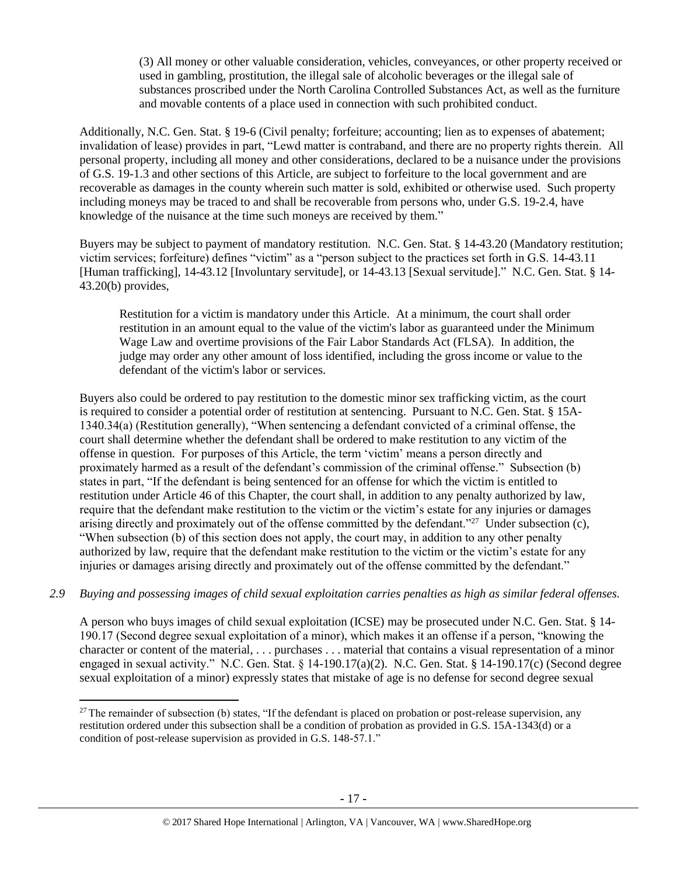(3) All money or other valuable consideration, vehicles, conveyances, or other property received or used in gambling, prostitution, the illegal sale of alcoholic beverages or the illegal sale of substances proscribed under the North Carolina Controlled Substances Act, as well as the furniture and movable contents of a place used in connection with such prohibited conduct.

Additionally, N.C. Gen. Stat. § 19–6 (Civil penalty; forfeiture; accounting; lien as to expenses of abatement; invalidation of lease) provides in part, "Lewd matter is contraband, and there are no property rights therein. All personal property, including all money and other considerations, declared to be a nuisance under the provisions of G.S. 19‑1.3 and other sections of this Article, are subject to forfeiture to the local government and are recoverable as damages in the county wherein such matter is sold, exhibited or otherwise used. Such property including moneys may be traced to and shall be recoverable from persons who, under G.S. 19–2.4, have knowledge of the nuisance at the time such moneys are received by them."

Buyers may be subject to payment of mandatory restitution. N.C. Gen. Stat. § 14-43.20 (Mandatory restitution; victim services; forfeiture) defines "victim" as a "person subject to the practices set forth in G.S. 14-43.11 [Human trafficking], 14-43.12 [Involuntary servitude], or 14-43.13 [Sexual servitude]." N.C. Gen. Stat. § 14- 43.20(b) provides,

Restitution for a victim is mandatory under this Article. At a minimum, the court shall order restitution in an amount equal to the value of the victim's labor as guaranteed under the Minimum Wage Law and overtime provisions of the Fair Labor Standards Act (FLSA). In addition, the judge may order any other amount of loss identified, including the gross income or value to the defendant of the victim's labor or services.

Buyers also could be ordered to pay restitution to the domestic minor sex trafficking victim, as the court is required to consider a potential order of restitution at sentencing. Pursuant to N.C. Gen. Stat. § 15A-1340.34(a) (Restitution generally), "When sentencing a defendant convicted of a criminal offense, the court shall determine whether the defendant shall be ordered to make restitution to any victim of the offense in question. For purposes of this Article, the term 'victim' means a person directly and proximately harmed as a result of the defendant's commission of the criminal offense." Subsection (b) states in part, "If the defendant is being sentenced for an offense for which the victim is entitled to restitution under Article 46 of this Chapter, the court shall, in addition to any penalty authorized by law, require that the defendant make restitution to the victim or the victim's estate for any injuries or damages arising directly and proximately out of the offense committed by the defendant."<sup>27</sup> Under subsection (c), "When subsection (b) of this section does not apply, the court may, in addition to any other penalty authorized by law, require that the defendant make restitution to the victim or the victim's estate for any injuries or damages arising directly and proximately out of the offense committed by the defendant."

*2.9 Buying and possessing images of child sexual exploitation carries penalties as high as similar federal offenses.*

A person who buys images of child sexual exploitation (ICSE) may be prosecuted under N.C. Gen. Stat. § 14- 190.17 (Second degree sexual exploitation of a minor), which makes it an offense if a person, "knowing the character or content of the material, . . . purchases . . . material that contains a visual representation of a minor engaged in sexual activity." N.C. Gen. Stat. § 14-190.17(a)(2). N.C. Gen. Stat. § 14-190.17(c) (Second degree sexual exploitation of a minor) expressly states that mistake of age is no defense for second degree sexual

 $\overline{a}$ 

 $27$  The remainder of subsection (b) states, "If the defendant is placed on probation or post-release supervision, any restitution ordered under this subsection shall be a condition of probation as provided in G.S. 15A-1343(d) or a condition of post-release supervision as provided in G.S. 148-57.1."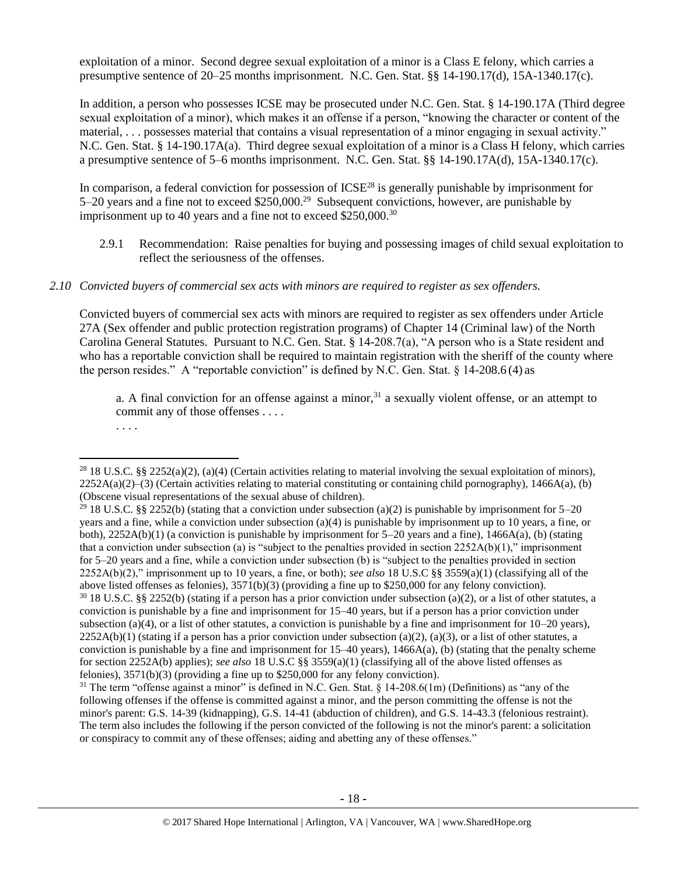exploitation of a minor. Second degree sexual exploitation of a minor is a Class E felony, which carries a presumptive sentence of 20–25 months imprisonment. N.C. Gen. Stat. §§ 14-190.17(d), 15A-1340.17(c).

In addition, a person who possesses ICSE may be prosecuted under N.C. Gen. Stat. § 14-190.17A (Third degree sexual exploitation of a minor), which makes it an offense if a person, "knowing the character or content of the material, . . . possesses material that contains a visual representation of a minor engaging in sexual activity." N.C. Gen. Stat. § 14-190.17A(a). Third degree sexual exploitation of a minor is a Class H felony, which carries a presumptive sentence of 5–6 months imprisonment. N.C. Gen. Stat. §§ 14-190.17A(d), 15A-1340.17(c).

In comparison, a federal conviction for possession of  $ICSE<sup>28</sup>$  is generally punishable by imprisonment for 5–20 years and a fine not to exceed \$250,000.<sup>29</sup> Subsequent convictions, however, are punishable by imprisonment up to 40 years and a fine not to exceed \$250,000.<sup>30</sup>

2.9.1 Recommendation: Raise penalties for buying and possessing images of child sexual exploitation to reflect the seriousness of the offenses.

### *2.10 Convicted buyers of commercial sex acts with minors are required to register as sex offenders.*

Convicted buyers of commercial sex acts with minors are required to register as sex offenders under Article 27A (Sex offender and public protection registration programs) of Chapter 14 (Criminal law) of the North Carolina General Statutes. Pursuant to N.C. Gen. Stat. § 14-208.7(a), "A person who is a State resident and who has a reportable conviction shall be required to maintain registration with the sheriff of the county where the person resides." A "reportable conviction" is defined by N.C. Gen. Stat.  $\S$  14-208.6 (4) as

a. A final conviction for an offense against a minor,  $3<sup>1</sup>$  a sexually violent offense, or an attempt to commit any of those offenses . . . .

<sup>. . .</sup> .

 $\overline{a}$ <sup>28</sup> 18 U.S.C. §§ 2252(a)(2), (a)(4) (Certain activities relating to material involving the sexual exploitation of minors),  $2252A(a)(2)$ –(3) (Certain activities relating to material constituting or containing child pornography), 1466A(a), (b) (Obscene visual representations of the sexual abuse of children).

<sup>&</sup>lt;sup>29</sup> 18 U.S.C. §§ 2252(b) (stating that a conviction under subsection (a)(2) is punishable by imprisonment for 5–20 years and a fine, while a conviction under subsection (a)(4) is punishable by imprisonment up to 10 years, a fine, or both),  $2252A(b)(1)$  (a conviction is punishable by imprisonment for 5–20 years and a fine),  $1466A(a)$ , (b) (stating that a conviction under subsection (a) is "subject to the penalties provided in section  $2252A(b)(1)$ ," imprisonment for 5–20 years and a fine, while a conviction under subsection (b) is "subject to the penalties provided in section 2252A(b)(2)," imprisonment up to 10 years, a fine, or both); *see also* 18 U.S.C §§ 3559(a)(1) (classifying all of the above listed offenses as felonies), 3571(b)(3) (providing a fine up to \$250,000 for any felony conviction).  $30\,18$  U.S.C. §§ 2252(b) (stating if a person has a prior conviction under subsection (a)(2), or a list of other statutes, a conviction is punishable by a fine and imprisonment for 15–40 years, but if a person has a prior conviction under subsection (a)(4), or a list of other statutes, a conviction is punishable by a fine and imprisonment for  $10-20$  years),  $2252A(b)(1)$  (stating if a person has a prior conviction under subsection (a)(2), (a)(3), or a list of other statutes, a conviction is punishable by a fine and imprisonment for  $15-40$  years),  $1466A(a)$ , (b) (stating that the penalty scheme for section 2252A(b) applies); *see also* 18 U.S.C §§ 3559(a)(1) (classifying all of the above listed offenses as felonies), 3571(b)(3) (providing a fine up to \$250,000 for any felony conviction).

<sup>&</sup>lt;sup>31</sup> The term "offense against a minor" is defined in N.C. Gen. Stat. § 14-208.6(1m) (Definitions) as "any of the following offenses if the offense is committed against a minor, and the person committing the offense is not the minor's parent: G.S. 14-39 (kidnapping), G.S. 14-41 (abduction of children), and G.S. 14-43.3 (felonious restraint). The term also includes the following if the person convicted of the following is not the minor's parent: a solicitation or conspiracy to commit any of these offenses; aiding and abetting any of these offenses."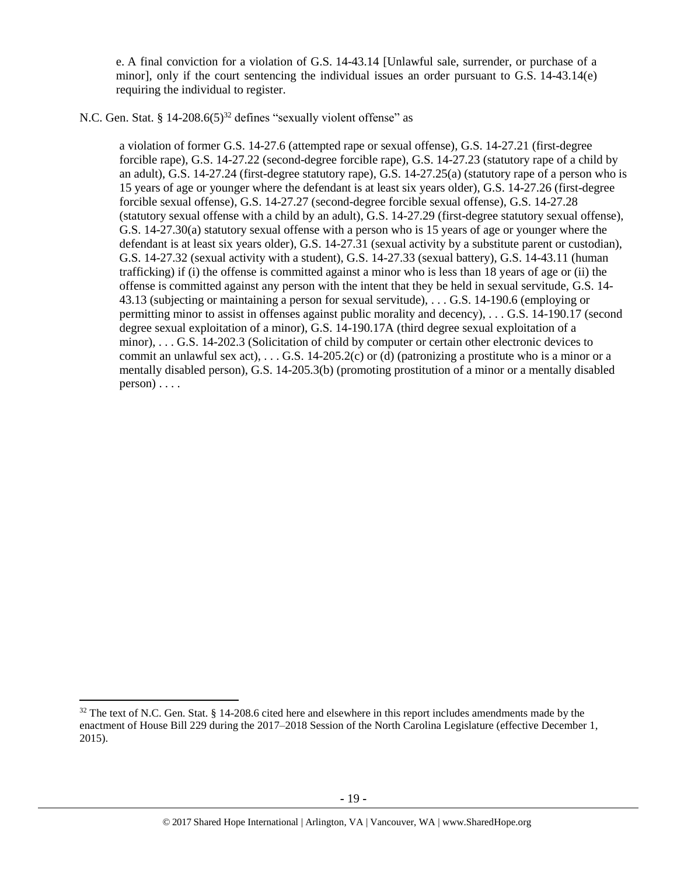e. A final conviction for a violation of G.S. 14-43.14 [Unlawful sale, surrender, or purchase of a minor], only if the court sentencing the individual issues an order pursuant to G.S. 14-43.14(e) requiring the individual to register.

N.C. Gen. Stat. § 14-208.6(5)<sup>32</sup> defines "sexually violent offense" as

<span id="page-18-0"></span>a violation of former G.S. 14-27.6 (attempted rape or sexual offense), G.S. 14-27.21 (first-degree forcible rape), G.S. 14-27.22 (second-degree forcible rape), G.S. 14-27.23 (statutory rape of a child by an adult), G.S. 14-27.24 (first-degree statutory rape), G.S. 14-27.25(a) (statutory rape of a person who is 15 years of age or younger where the defendant is at least six years older), G.S. 14-27.26 (first-degree forcible sexual offense), G.S. 14-27.27 (second-degree forcible sexual offense), G.S. 14-27.28 (statutory sexual offense with a child by an adult), G.S. 14-27.29 (first-degree statutory sexual offense), G.S. 14-27.30(a) statutory sexual offense with a person who is 15 years of age or younger where the defendant is at least six years older), G.S. 14-27.31 (sexual activity by a substitute parent or custodian), G.S. 14-27.32 (sexual activity with a student), G.S. 14-27.33 (sexual battery), G.S. 14-43.11 (human trafficking) if (i) the offense is committed against a minor who is less than 18 years of age or (ii) the offense is committed against any person with the intent that they be held in sexual servitude, G.S. 14- 43.13 (subjecting or maintaining a person for sexual servitude), . . . G.S. 14-190.6 (employing or permitting minor to assist in offenses against public morality and decency), . . . G.S. 14-190.17 (second degree sexual exploitation of a minor), G.S. 14-190.17A (third degree sexual exploitation of a minor), . . . G.S. 14-202.3 (Solicitation of child by computer or certain other electronic devices to commit an unlawful sex act),  $\dots$  G.S. 14-205.2(c) or (d) (patronizing a prostitute who is a minor or a mentally disabled person), G.S. 14-205.3(b) (promoting prostitution of a minor or a mentally disabled  $person) \ldots$ .

 $\overline{a}$ 

 $32$  The text of N.C. Gen. Stat. § 14-208.6 cited here and elsewhere in this report includes amendments made by the enactment of House Bill 229 during the 2017–2018 Session of the North Carolina Legislature (effective December 1, 2015).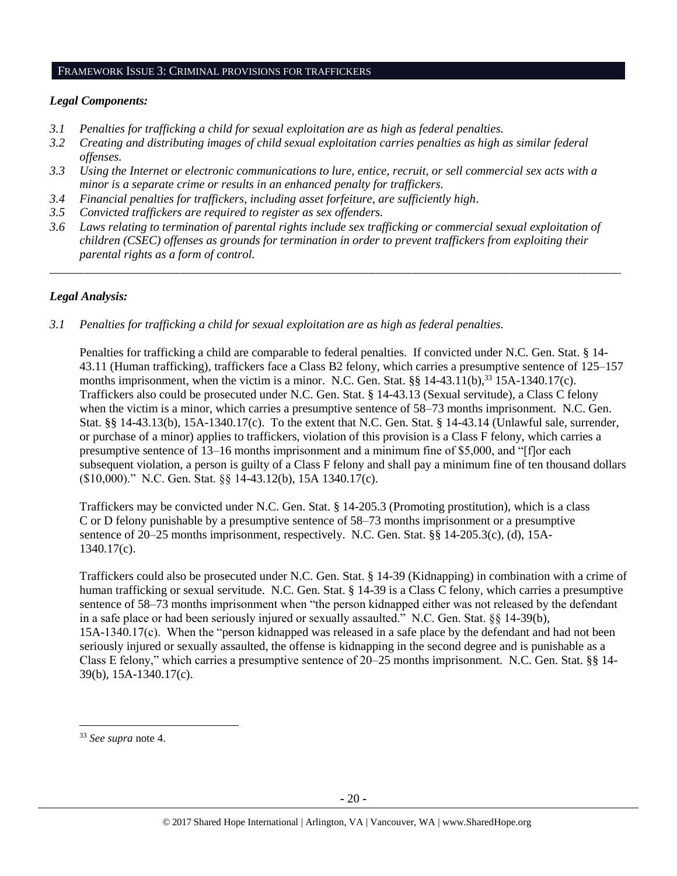#### FRAMEWORK ISSUE 3: CRIMINAL PROVISIONS FOR TRAFFICKERS

### *Legal Components:*

- *3.1 Penalties for trafficking a child for sexual exploitation are as high as federal penalties.*
- *3.2 Creating and distributing images of child sexual exploitation carries penalties as high as similar federal offenses.*
- *3.3 Using the Internet or electronic communications to lure, entice, recruit, or sell commercial sex acts with a minor is a separate crime or results in an enhanced penalty for traffickers.*
- *3.4 Financial penalties for traffickers, including asset forfeiture, are sufficiently high*.
- *3.5 Convicted traffickers are required to register as sex offenders.*
- *3.6 Laws relating to termination of parental rights include sex trafficking or commercial sexual exploitation of children (CSEC) offenses as grounds for termination in order to prevent traffickers from exploiting their parental rights as a form of control.*

*\_\_\_\_\_\_\_\_\_\_\_\_\_\_\_\_\_\_\_\_\_\_\_\_\_\_\_\_\_\_\_\_\_\_\_\_\_\_\_\_\_\_\_\_\_\_\_\_\_\_\_\_\_\_\_\_\_\_\_\_\_\_\_\_\_\_\_\_\_\_\_\_\_\_\_\_\_\_\_\_\_\_\_\_\_\_\_\_\_\_\_\_\_\_*

# *Legal Analysis:*

*3.1 Penalties for trafficking a child for sexual exploitation are as high as federal penalties.* 

Penalties for trafficking a child are comparable to federal penalties. If convicted under N.C. Gen. Stat. § 14- 43.11 (Human trafficking), traffickers face a Class B2 felony, which carries a presumptive sentence of 125–157 months imprisonment, when the victim is a minor. N.C. Gen. Stat.  $\S$ § 14-43.11(b),<sup>33</sup> 15A-1340.17(c). Traffickers also could be prosecuted under N.C. Gen. Stat. § 14-43.13 (Sexual servitude), a Class C felony when the victim is a minor, which carries a presumptive sentence of  $58-73$  months imprisonment. N.C. Gen. Stat. §§ 14-43.13(b), 15A-1340.17(c). To the extent that N.C. Gen. Stat. § 14-43.14 (Unlawful sale, surrender, or purchase of a minor) applies to traffickers, violation of this provision is a Class F felony, which carries a presumptive sentence of 13–16 months imprisonment and a minimum fine of \$5,000, and "[f]or each subsequent violation, a person is guilty of a Class F felony and shall pay a minimum fine of ten thousand dollars (\$10,000)." N.C. Gen. Stat. §§ 14-43.12(b), 15A 1340.17(c).

Traffickers may be convicted under N.C. Gen. Stat. § 14-205.3 (Promoting prostitution), which is a class C or D felony punishable by a presumptive sentence of 58–73 months imprisonment or a presumptive sentence of 20–25 months imprisonment, respectively. N.C. Gen. Stat. §§ 14-205.3(c), (d), 15A-1340.17(c).

Traffickers could also be prosecuted under N.C. Gen. Stat. § 14-39 (Kidnapping) in combination with a crime of human trafficking or sexual servitude. N.C. Gen. Stat. § 14-39 is a Class C felony, which carries a presumptive sentence of 58–73 months imprisonment when "the person kidnapped either was not released by the defendant in a safe place or had been seriously injured or sexually assaulted." N.C. Gen. Stat. §§ 14-39(b), 15A-1340.17(c). When the "person kidnapped was released in a safe place by the defendant and had not been seriously injured or sexually assaulted, the offense is kidnapping in the second degree and is punishable as a Class E felony," which carries a presumptive sentence of 20–25 months imprisonment. N.C. Gen. Stat. §§ 14- 39(b), 15A-1340.17(c).

<sup>33</sup> *See supra* note [4.](#page-1-1)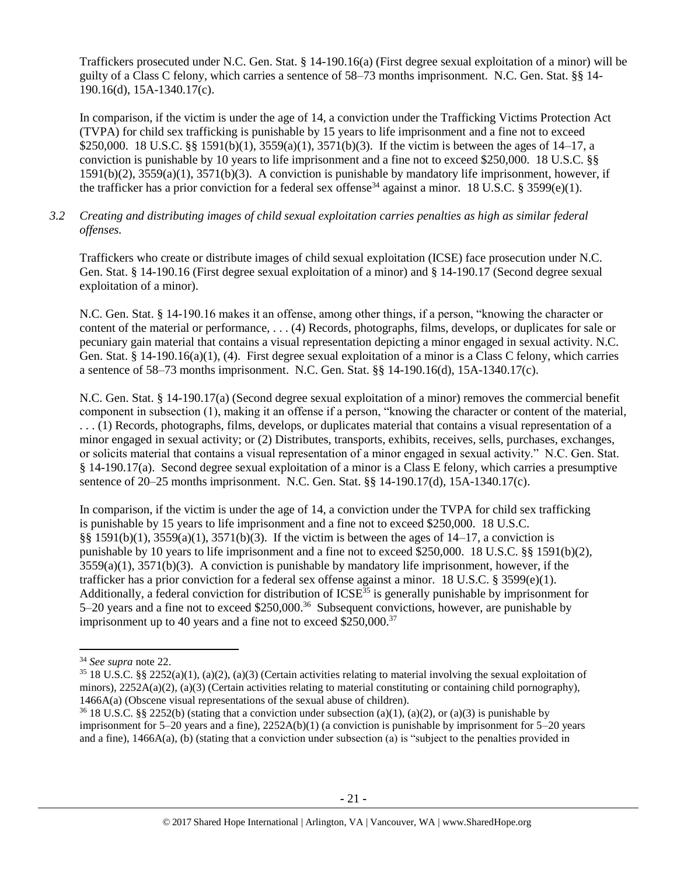Traffickers prosecuted under N.C. Gen. Stat. § 14-190.16(a) (First degree sexual exploitation of a minor) will be guilty of a Class C felony, which carries a sentence of 58–73 months imprisonment. N.C. Gen. Stat. §§ 14- 190.16(d), 15A-1340.17(c).

In comparison, if the victim is under the age of 14, a conviction under the Trafficking Victims Protection Act (TVPA) for child sex trafficking is punishable by 15 years to life imprisonment and a fine not to exceed \$250,000. 18 U.S.C. §§ 1591(b)(1), 3559(a)(1), 3571(b)(3). If the victim is between the ages of 14–17, a conviction is punishable by 10 years to life imprisonment and a fine not to exceed \$250,000. 18 U.S.C. §§ 1591(b)(2), 3559(a)(1), 3571(b)(3). A conviction is punishable by mandatory life imprisonment, however, if the trafficker has a prior conviction for a federal sex offense<sup>34</sup> against a minor. 18 U.S.C. § 3599(e)(1).

# *3.2 Creating and distributing images of child sexual exploitation carries penalties as high as similar federal offenses.*

Traffickers who create or distribute images of child sexual exploitation (ICSE) face prosecution under N.C. Gen. Stat. § 14-190.16 (First degree sexual exploitation of a minor) and § 14-190.17 (Second degree sexual exploitation of a minor).

N.C. Gen. Stat. § 14-190.16 makes it an offense, among other things, if a person, "knowing the character or content of the material or performance, . . . (4) Records, photographs, films, develops, or duplicates for sale or pecuniary gain material that contains a visual representation depicting a minor engaged in sexual activity. N.C. Gen. Stat. § 14-190.16(a)(1), (4). First degree sexual exploitation of a minor is a Class C felony, which carries a sentence of 58–73 months imprisonment. N.C. Gen. Stat. §§ 14-190.16(d), 15A-1340.17(c).

N.C. Gen. Stat. § 14-190.17(a) (Second degree sexual exploitation of a minor) removes the commercial benefit component in subsection (1), making it an offense if a person, "knowing the character or content of the material, . . . (1) Records, photographs, films, develops, or duplicates material that contains a visual representation of a minor engaged in sexual activity; or (2) Distributes, transports, exhibits, receives, sells, purchases, exchanges, or solicits material that contains a visual representation of a minor engaged in sexual activity." N.C. Gen. Stat. § 14-190.17(a). Second degree sexual exploitation of a minor is a Class E felony, which carries a presumptive sentence of 20–25 months imprisonment. N.C. Gen. Stat. §§ 14-190.17(d), 15A-1340.17(c).

In comparison, if the victim is under the age of 14, a conviction under the TVPA for child sex trafficking is punishable by 15 years to life imprisonment and a fine not to exceed \$250,000. 18 U.S.C. §§ 1591(b)(1), 3559(a)(1), 3571(b)(3). If the victim is between the ages of 14–17, a conviction is punishable by 10 years to life imprisonment and a fine not to exceed \$250,000. 18 U.S.C. §§ 1591(b)(2),  $3559(a)(1)$ ,  $3571(b)(3)$ . A conviction is punishable by mandatory life imprisonment, however, if the trafficker has a prior conviction for a federal sex offense against a minor. 18 U.S.C. § 3599(e)(1). Additionally, a federal conviction for distribution of  $ICSE<sup>35</sup>$  is generally punishable by imprisonment for 5–20 years and a fine not to exceed \$250,000.<sup>36</sup> Subsequent convictions, however, are punishable by imprisonment up to 40 years and a fine not to exceed  $$250,000.<sup>37</sup>$ 

<sup>34</sup> *See supra* note [22.](#page-13-0) 

 $35\,18$  U.S.C. §§ 2252(a)(1), (a)(2), (a)(3) (Certain activities relating to material involving the sexual exploitation of minors),  $2252A(a)(2)$ , (a)(3) (Certain activities relating to material constituting or containing child pornography), 1466A(a) (Obscene visual representations of the sexual abuse of children).

<sup>&</sup>lt;sup>36</sup> 18 U.S.C. §§ 2252(b) (stating that a conviction under subsection (a)(1), (a)(2), or (a)(3) is punishable by imprisonment for  $5-20$  years and a fine),  $2252A(b)(1)$  (a conviction is punishable by imprisonment for  $5-20$  years and a fine), 1466A(a), (b) (stating that a conviction under subsection (a) is "subject to the penalties provided in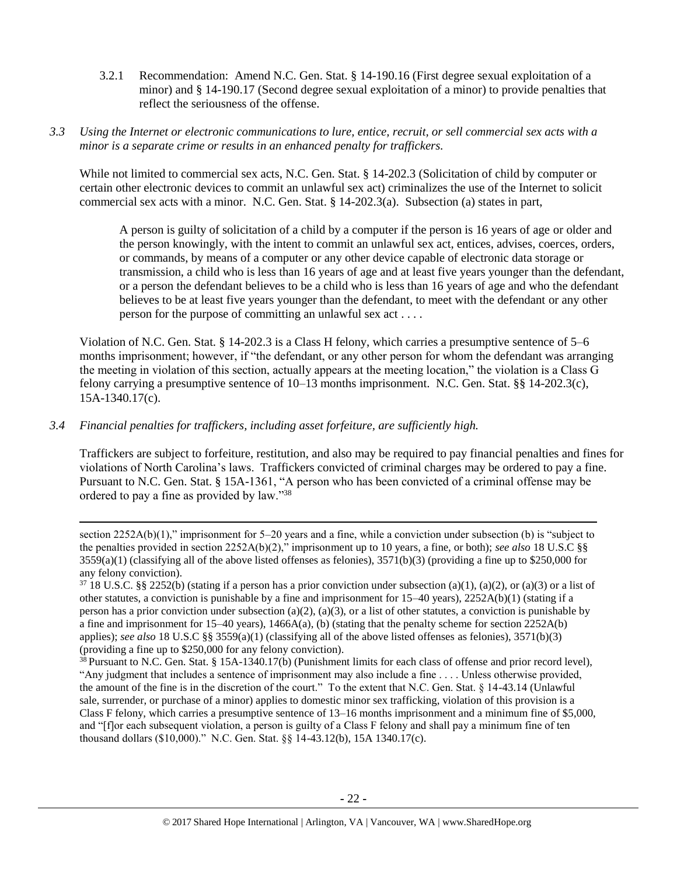- 3.2.1 Recommendation: Amend N.C. Gen. Stat. § 14-190.16 (First degree sexual exploitation of a minor) and § 14-190.17 (Second degree sexual exploitation of a minor) to provide penalties that reflect the seriousness of the offense.
- *3.3 Using the Internet or electronic communications to lure, entice, recruit, or sell commercial sex acts with a minor is a separate crime or results in an enhanced penalty for traffickers.*

While not limited to commercial sex acts, N.C. Gen. Stat. § 14-202.3 (Solicitation of child by computer or certain other electronic devices to commit an unlawful sex act) criminalizes the use of the Internet to solicit commercial sex acts with a minor. N.C. Gen. Stat. § 14-202.3(a). Subsection (a) states in part,

A person is guilty of solicitation of a child by a computer if the person is 16 years of age or older and the person knowingly, with the intent to commit an unlawful sex act, entices, advises, coerces, orders, or commands, by means of a computer or any other device capable of electronic data storage or transmission, a child who is less than 16 years of age and at least five years younger than the defendant, or a person the defendant believes to be a child who is less than 16 years of age and who the defendant believes to be at least five years younger than the defendant, to meet with the defendant or any other person for the purpose of committing an unlawful sex act . . . .

Violation of N.C. Gen. Stat. § 14-202.3 is a Class H felony, which carries a presumptive sentence of 5–6 months imprisonment; however, if "the defendant, or any other person for whom the defendant was arranging the meeting in violation of this section, actually appears at the meeting location," the violation is a Class G felony carrying a presumptive sentence of 10–13 months imprisonment. N.C. Gen. Stat. §§ 14-202.3(c), 15A-1340.17(c).

# *3.4 Financial penalties for traffickers, including asset forfeiture, are sufficiently high.*

 $\overline{\phantom{a}}$ 

Traffickers are subject to forfeiture, restitution, and also may be required to pay financial penalties and fines for violations of North Carolina's laws. Traffickers convicted of criminal charges may be ordered to pay a fine. Pursuant to N.C. Gen. Stat. § 15A-1361, "A person who has been convicted of a criminal offense may be ordered to pay a fine as provided by law."<sup>38</sup>

section 2252A(b)(1)," imprisonment for 5–20 years and a fine, while a conviction under subsection (b) is "subject to the penalties provided in section 2252A(b)(2)," imprisonment up to 10 years, a fine, or both); *see also* 18 U.S.C §§  $3559(a)(1)$  (classifying all of the above listed offenses as felonies),  $3571(b)(3)$  (providing a fine up to \$250,000 for any felony conviction).

 $37\,18$  U.S.C. §§ 2252(b) (stating if a person has a prior conviction under subsection (a)(1), (a)(2), or (a)(3) or a list of other statutes, a conviction is punishable by a fine and imprisonment for  $15-40$  years),  $2252A(b)(1)$  (stating if a person has a prior conviction under subsection (a)(2), (a)(3), or a list of other statutes, a conviction is punishable by a fine and imprisonment for  $15-40$  years),  $1466A(a)$ , (b) (stating that the penalty scheme for section  $2252A(b)$ applies); *see also* 18 U.S.C §§ 3559(a)(1) (classifying all of the above listed offenses as felonies), 3571(b)(3) (providing a fine up to \$250,000 for any felony conviction).

<sup>&</sup>lt;sup>38</sup> Pursuant to N.C. Gen. Stat. § 15A-1340.17(b) (Punishment limits for each class of offense and prior record level), "Any judgment that includes a sentence of imprisonment may also include a fine . . . . Unless otherwise provided, the amount of the fine is in the discretion of the court." To the extent that N.C. Gen. Stat. § 14-43.14 (Unlawful sale, surrender, or purchase of a minor) applies to domestic minor sex trafficking, violation of this provision is a Class F felony, which carries a presumptive sentence of 13–16 months imprisonment and a minimum fine of \$5,000, and "[f]or each subsequent violation, a person is guilty of a Class F felony and shall pay a minimum fine of ten thousand dollars (\$10,000)." N.C. Gen. Stat. §§ 14-43.12(b), 15A 1340.17(c).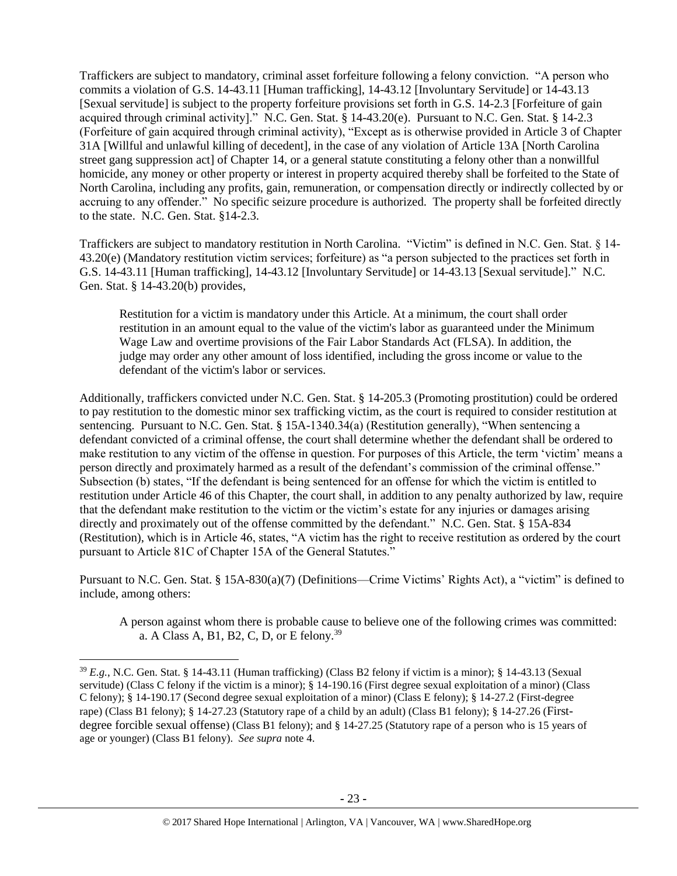Traffickers are subject to mandatory, criminal asset forfeiture following a felony conviction. "A person who commits a violation of G.S. 14-43.11 [Human trafficking], 14-43.12 [Involuntary Servitude] or 14-43.13 [Sexual servitude] is subject to the property forfeiture provisions set forth in G.S. 14-2.3 [Forfeiture of gain acquired through criminal activity]." N.C. Gen. Stat. § 14-43.20(e). Pursuant to N.C. Gen. Stat. § 14-2.3 (Forfeiture of gain acquired through criminal activity), "Except as is otherwise provided in Article 3 of Chapter 31A [Willful and unlawful killing of decedent], in the case of any violation of Article 13A [North Carolina street gang suppression act] of Chapter 14, or a general statute constituting a felony other than a nonwillful homicide, any money or other property or interest in property acquired thereby shall be forfeited to the State of North Carolina, including any profits, gain, remuneration, or compensation directly or indirectly collected by or accruing to any offender." No specific seizure procedure is authorized. The property shall be forfeited directly to the state. N.C. Gen. Stat. §14-2.3.

Traffickers are subject to mandatory restitution in North Carolina. "Victim" is defined in N.C. Gen. Stat. § 14- 43.20(e) (Mandatory restitution victim services; forfeiture) as "a person subjected to the practices set forth in G.S. 14-43.11 [Human trafficking], 14-43.12 [Involuntary Servitude] or 14-43.13 [Sexual servitude]." N.C. Gen. Stat. § 14-43.20(b) provides,

Restitution for a victim is mandatory under this Article. At a minimum, the court shall order restitution in an amount equal to the value of the victim's labor as guaranteed under the Minimum Wage Law and overtime provisions of the Fair Labor Standards Act (FLSA). In addition, the judge may order any other amount of loss identified, including the gross income or value to the defendant of the victim's labor or services.

Additionally, traffickers convicted under N.C. Gen. Stat. § 14-205.3 (Promoting prostitution) could be ordered to pay restitution to the domestic minor sex trafficking victim, as the court is required to consider restitution at sentencing. Pursuant to N.C. Gen. Stat. § 15A-1340.34(a) (Restitution generally), "When sentencing a defendant convicted of a criminal offense, the court shall determine whether the defendant shall be ordered to make restitution to any victim of the offense in question. For purposes of this Article, the term 'victim' means a person directly and proximately harmed as a result of the defendant's commission of the criminal offense." Subsection (b) states, "If the defendant is being sentenced for an offense for which the victim is entitled to restitution under Article 46 of this Chapter, the court shall, in addition to any penalty authorized by law, require that the defendant make restitution to the victim or the victim's estate for any injuries or damages arising directly and proximately out of the offense committed by the defendant." N.C. Gen. Stat. § 15A-834 (Restitution), which is in Article 46, states, "A victim has the right to receive restitution as ordered by the court pursuant to Article 81C of Chapter 15A of the General Statutes."

Pursuant to N.C. Gen. Stat. § 15A-830(a)(7) (Definitions—Crime Victims' Rights Act), a "victim" is defined to include, among others:

<span id="page-22-0"></span>A person against whom there is probable cause to believe one of the following crimes was committed: a. A Class A, B1, B2, C, D, or E felony.<sup>39</sup>

<sup>39</sup> *E.g.*, N.C. Gen. Stat. § 14-43.11 (Human trafficking) (Class B2 felony if victim is a minor); § 14-43.13 (Sexual servitude) (Class C felony if the victim is a minor); § 14-190.16 (First degree sexual exploitation of a minor) (Class C felony); § 14-190.17 (Second degree sexual exploitation of a minor) (Class E felony); § 14-27.2 (First-degree rape) (Class B1 felony); § 14-27.23 (Statutory rape of a child by an adult) (Class B1 felony); § 14-27.26 (Firstdegree forcible sexual offense) (Class B1 felony); and § 14-27.25 (Statutory rape of a person who is 15 years of age or younger) (Class B1 felony). *See supra* note [4.](#page-1-1)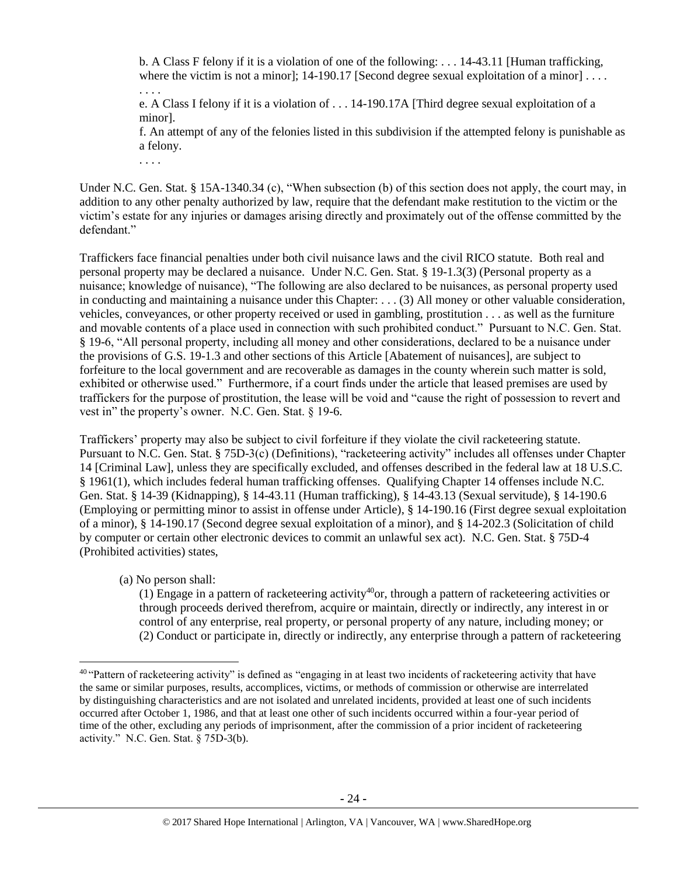b. A Class F felony if it is a violation of one of the following: . . . 14-43.11 [Human trafficking, where the victim is not a minor];  $14-190.17$  [Second degree sexual exploitation of a minor] ...

. . . . e. A Class I felony if it is a violation of . . . 14-190.17A [Third degree sexual exploitation of a minor].

f. An attempt of any of the felonies listed in this subdivision if the attempted felony is punishable as a felony.

Under N.C. Gen. Stat. § 15A-1340.34 (c), "When subsection (b) of this section does not apply, the court may, in addition to any other penalty authorized by law, require that the defendant make restitution to the victim or the victim's estate for any injuries or damages arising directly and proximately out of the offense committed by the defendant."

Traffickers face financial penalties under both civil nuisance laws and the civil RICO statute. Both real and personal property may be declared a nuisance. Under N.C. Gen. Stat. § 19-1.3(3) (Personal property as a nuisance; knowledge of nuisance), "The following are also declared to be nuisances, as personal property used in conducting and maintaining a nuisance under this Chapter: . . . (3) All money or other valuable consideration, vehicles, conveyances, or other property received or used in gambling, prostitution . . . as well as the furniture and movable contents of a place used in connection with such prohibited conduct." Pursuant to N.C. Gen. Stat. § 19-6, "All personal property, including all money and other considerations, declared to be a nuisance under the provisions of G.S. 19-1.3 and other sections of this Article [Abatement of nuisances], are subject to forfeiture to the local government and are recoverable as damages in the county wherein such matter is sold, exhibited or otherwise used." Furthermore, if a court finds under the article that leased premises are used by traffickers for the purpose of prostitution, the lease will be void and "cause the right of possession to revert and vest in" the property's owner. N.C. Gen. Stat. § 19-6.

Traffickers' property may also be subject to civil forfeiture if they violate the civil racketeering statute. Pursuant to N.C. Gen. Stat. § 75D-3(c) (Definitions), "racketeering activity" includes all offenses under Chapter 14 [Criminal Law], unless they are specifically excluded, and offenses described in the federal law at 18 U.S.C. § 1961(1), which includes federal human trafficking offenses. Qualifying Chapter 14 offenses include N.C. Gen. Stat. § 14-39 (Kidnapping), § 14-43.11 (Human trafficking), § 14-43.13 (Sexual servitude), § 14-190.6 (Employing or permitting minor to assist in offense under Article), § 14-190.16 (First degree sexual exploitation of a minor), § 14-190.17 (Second degree sexual exploitation of a minor), and § 14-202.3 (Solicitation of child by computer or certain other electronic devices to commit an unlawful sex act). N.C. Gen. Stat. § 75D-4 (Prohibited activities) states,

(a) No person shall:

 $\overline{\phantom{a}}$ 

. . . .

<span id="page-23-0"></span>(1) Engage in a pattern of racketeering activity<sup>40</sup>or, through a pattern of racketeering activities or through proceeds derived therefrom, acquire or maintain, directly or indirectly, any interest in or control of any enterprise, real property, or personal property of any nature, including money; or (2) Conduct or participate in, directly or indirectly, any enterprise through a pattern of racketeering

<sup>&</sup>lt;sup>40</sup> "Pattern of racketeering activity" is defined as "engaging in at least two incidents of racketeering activity that have the same or similar purposes, results, accomplices, victims, or methods of commission or otherwise are interrelated by distinguishing characteristics and are not isolated and unrelated incidents, provided at least one of such incidents occurred after October 1, 1986, and that at least one other of such incidents occurred within a four-year period of time of the other, excluding any periods of imprisonment, after the commission of a prior incident of racketeering activity." N.C. Gen. Stat. § 75D-3(b).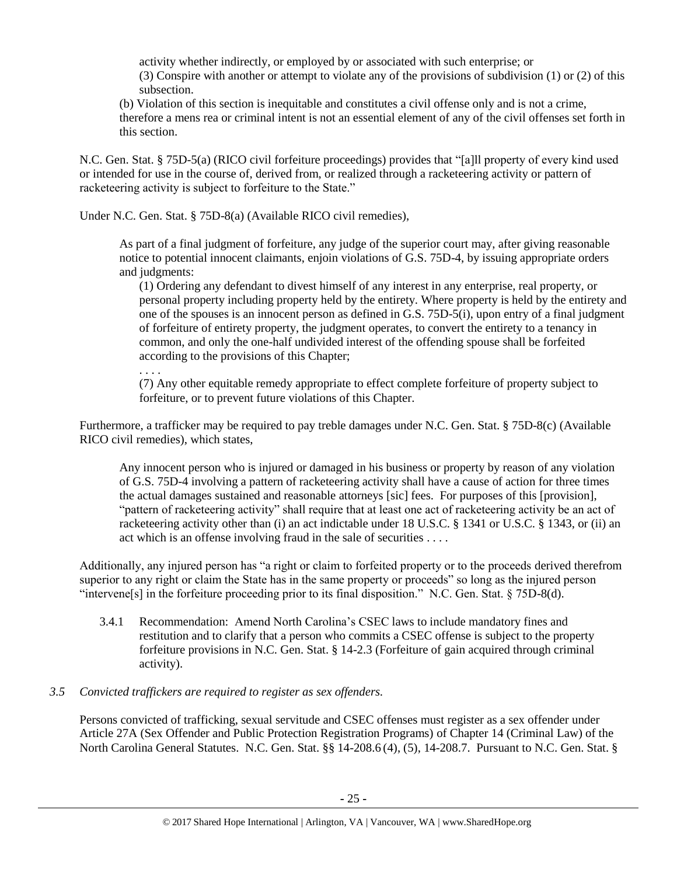activity whether indirectly, or employed by or associated with such enterprise; or (3) Conspire with another or attempt to violate any of the provisions of subdivision (1) or (2) of this subsection.

(b) Violation of this section is inequitable and constitutes a civil offense only and is not a crime, therefore a mens rea or criminal intent is not an essential element of any of the civil offenses set forth in this section.

N.C. Gen. Stat. § 75D-5(a) (RICO civil forfeiture proceedings) provides that "[a]ll property of every kind used or intended for use in the course of, derived from, or realized through a racketeering activity or pattern of racketeering activity is subject to forfeiture to the State."

Under N.C. Gen. Stat. § 75D-8(a) (Available RICO civil remedies),

As part of a final judgment of forfeiture, any judge of the superior court may, after giving reasonable notice to potential innocent claimants, enjoin violations of G.S. 75D-4, by issuing appropriate orders and judgments:

(1) Ordering any defendant to divest himself of any interest in any enterprise, real property, or personal property including property held by the entirety. Where property is held by the entirety and one of the spouses is an innocent person as defined in G.S. 75D-5(i), upon entry of a final judgment of forfeiture of entirety property, the judgment operates, to convert the entirety to a tenancy in common, and only the one-half undivided interest of the offending spouse shall be forfeited according to the provisions of this Chapter;

. . . . (7) Any other equitable remedy appropriate to effect complete forfeiture of property subject to forfeiture, or to prevent future violations of this Chapter.

Furthermore, a trafficker may be required to pay treble damages under N.C. Gen. Stat. § 75D-8(c) (Available RICO civil remedies), which states,

Any innocent person who is injured or damaged in his business or property by reason of any violation of G.S. 75D-4 involving a pattern of racketeering activity shall have a cause of action for three times the actual damages sustained and reasonable attorneys [sic] fees. For purposes of this [provision], "pattern of racketeering activity" shall require that at least one act of racketeering activity be an act of racketeering activity other than (i) an act indictable under 18 U.S.C. § 1341 or U.S.C. § 1343, or (ii) an act which is an offense involving fraud in the sale of securities . . . .

Additionally, any injured person has "a right or claim to forfeited property or to the proceeds derived therefrom superior to any right or claim the State has in the same property or proceeds" so long as the injured person "intervene[s] in the forfeiture proceeding prior to its final disposition." N.C. Gen. Stat. § 75D-8(d).

3.4.1 Recommendation: Amend North Carolina's CSEC laws to include mandatory fines and restitution and to clarify that a person who commits a CSEC offense is subject to the property forfeiture provisions in N.C. Gen. Stat. § 14-2.3 (Forfeiture of gain acquired through criminal activity).

# *3.5 Convicted traffickers are required to register as sex offenders.*

Persons convicted of trafficking, sexual servitude and CSEC offenses must register as a sex offender under Article 27A (Sex Offender and Public Protection Registration Programs) of Chapter 14 (Criminal Law) of the North Carolina General Statutes. N.C. Gen. Stat. §§ 14-208.6 (4), (5), 14-208.7. Pursuant to N.C. Gen. Stat. §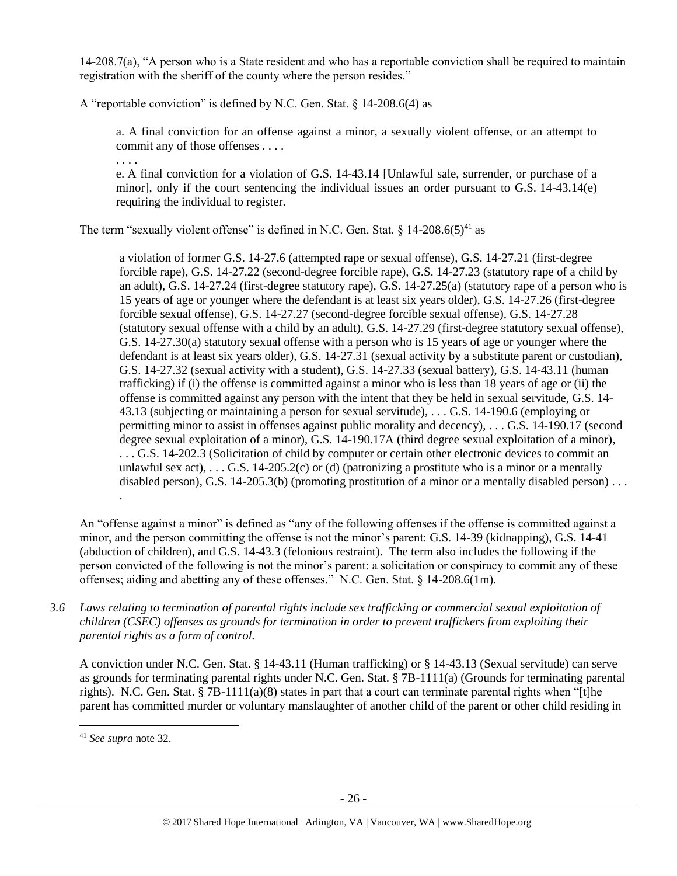14-208.7(a), "A person who is a State resident and who has a reportable conviction shall be required to maintain registration with the sheriff of the county where the person resides."

A "reportable conviction" is defined by N.C. Gen. Stat. § 14-208.6(4) as

a. A final conviction for an offense against a minor, a sexually violent offense, or an attempt to commit any of those offenses . . . .

e. A final conviction for a violation of G.S. 14-43.14 [Unlawful sale, surrender, or purchase of a minor], only if the court sentencing the individual issues an order pursuant to G.S. 14-43.14(e) requiring the individual to register.

The term "sexually violent offense" is defined in N.C. Gen. Stat. §  $14{\text -}208.6(5)^{41}$  as

a violation of former G.S. 14-27.6 (attempted rape or sexual offense), G.S. 14-27.21 (first-degree forcible rape), G.S. 14-27.22 (second-degree forcible rape), G.S. 14-27.23 (statutory rape of a child by an adult), G.S. 14-27.24 (first-degree statutory rape), G.S. 14-27.25(a) (statutory rape of a person who is 15 years of age or younger where the defendant is at least six years older), G.S. 14-27.26 (first-degree forcible sexual offense), G.S. 14-27.27 (second-degree forcible sexual offense), G.S. 14-27.28 (statutory sexual offense with a child by an adult), G.S. 14-27.29 (first-degree statutory sexual offense), G.S. 14-27.30(a) statutory sexual offense with a person who is 15 years of age or younger where the defendant is at least six years older), G.S. 14-27.31 (sexual activity by a substitute parent or custodian), G.S. 14-27.32 (sexual activity with a student), G.S. 14-27.33 (sexual battery), G.S. 14-43.11 (human trafficking) if (i) the offense is committed against a minor who is less than 18 years of age or (ii) the offense is committed against any person with the intent that they be held in sexual servitude, G.S. 14- 43.13 (subjecting or maintaining a person for sexual servitude), . . . G.S. 14-190.6 (employing or permitting minor to assist in offenses against public morality and decency), . . . G.S. 14-190.17 (second degree sexual exploitation of a minor), G.S. 14-190.17A (third degree sexual exploitation of a minor), . . . G.S. 14-202.3 (Solicitation of child by computer or certain other electronic devices to commit an unlawful sex act),  $\dots$  G.S. 14-205.2(c) or (d) (patronizing a prostitute who is a minor or a mentally disabled person), G.S. 14-205.3(b) (promoting prostitution of a minor or a mentally disabled person)...

An "offense against a minor" is defined as "any of the following offenses if the offense is committed against a minor, and the person committing the offense is not the minor's parent: G.S. 14-39 (kidnapping), G.S. 14-41 (abduction of children), and G.S. 14-43.3 (felonious restraint). The term also includes the following if the person convicted of the following is not the minor's parent: a solicitation or conspiracy to commit any of these offenses; aiding and abetting any of these offenses." N.C. Gen. Stat. § 14-208.6(1m).

*3.6 Laws relating to termination of parental rights include sex trafficking or commercial sexual exploitation of children (CSEC) offenses as grounds for termination in order to prevent traffickers from exploiting their parental rights as a form of control.* 

A conviction under N.C. Gen. Stat. § 14-43.11 (Human trafficking) or § 14-43.13 (Sexual servitude) can serve as grounds for terminating parental rights under N.C. Gen. Stat. § 7B-1111(a) (Grounds for terminating parental rights). N.C. Gen. Stat. § 7B-1111(a)(8) states in part that a court can terminate parental rights when "[t]he parent has committed murder or voluntary manslaughter of another child of the parent or other child residing in

 $\overline{\phantom{a}}$ 

.

. . . .

<sup>41</sup> *See supra* note [32.](#page-18-0)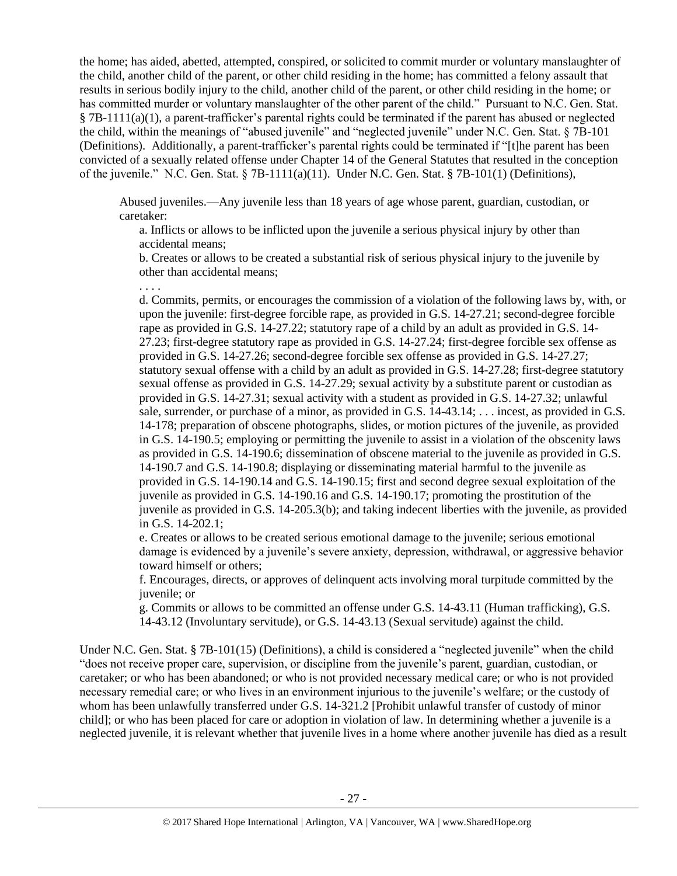the home; has aided, abetted, attempted, conspired, or solicited to commit murder or voluntary manslaughter of the child, another child of the parent, or other child residing in the home; has committed a felony assault that results in serious bodily injury to the child, another child of the parent, or other child residing in the home; or has committed murder or voluntary manslaughter of the other parent of the child." Pursuant to N.C. Gen. Stat. § 7B-1111(a)(1), a parent-trafficker's parental rights could be terminated if the parent has abused or neglected the child, within the meanings of "abused juvenile" and "neglected juvenile" under N.C. Gen. Stat. § 7B-101 (Definitions). Additionally, a parent-trafficker's parental rights could be terminated if "[t]he parent has been convicted of a sexually related offense under Chapter 14 of the General Statutes that resulted in the conception of the juvenile." N.C. Gen. Stat. § 7B-1111(a)(11). Under N.C. Gen. Stat. § 7B-101(1) (Definitions),

Abused juveniles.—Any juvenile less than 18 years of age whose parent, guardian, custodian, or caretaker:

a. Inflicts or allows to be inflicted upon the juvenile a serious physical injury by other than accidental means;

b. Creates or allows to be created a substantial risk of serious physical injury to the juvenile by other than accidental means;

. . . .

d. Commits, permits, or encourages the commission of a violation of the following laws by, with, or upon the juvenile: first-degree forcible rape, as provided in G.S. 14-27.21; second-degree forcible rape as provided in G.S. 14-27.22; statutory rape of a child by an adult as provided in G.S. 14- 27.23; first-degree statutory rape as provided in G.S. 14-27.24; first-degree forcible sex offense as provided in G.S. 14-27.26; second-degree forcible sex offense as provided in G.S. 14-27.27; statutory sexual offense with a child by an adult as provided in G.S. 14-27.28; first-degree statutory sexual offense as provided in G.S. 14-27.29; sexual activity by a substitute parent or custodian as provided in G.S. 14-27.31; sexual activity with a student as provided in G.S. 14-27.32; unlawful sale, surrender, or purchase of a minor, as provided in G.S. 14-43.14; . . . incest, as provided in G.S. 14-178; preparation of obscene photographs, slides, or motion pictures of the juvenile, as provided in G.S. 14-190.5; employing or permitting the juvenile to assist in a violation of the obscenity laws as provided in G.S. 14-190.6; dissemination of obscene material to the juvenile as provided in G.S. 14-190.7 and G.S. 14-190.8; displaying or disseminating material harmful to the juvenile as provided in G.S. 14-190.14 and G.S. 14-190.15; first and second degree sexual exploitation of the juvenile as provided in G.S. 14-190.16 and G.S. 14-190.17; promoting the prostitution of the juvenile as provided in G.S. 14-205.3(b); and taking indecent liberties with the juvenile, as provided in G.S. 14-202.1;

e. Creates or allows to be created serious emotional damage to the juvenile; serious emotional damage is evidenced by a juvenile's severe anxiety, depression, withdrawal, or aggressive behavior toward himself or others;

f. Encourages, directs, or approves of delinquent acts involving moral turpitude committed by the juvenile; or

g. Commits or allows to be committed an offense under G.S. 14-43.11 (Human trafficking), G.S. 14-43.12 (Involuntary servitude), or G.S. 14-43.13 (Sexual servitude) against the child.

Under N.C. Gen. Stat. § 7B-101(15) (Definitions), a child is considered a "neglected juvenile" when the child "does not receive proper care, supervision, or discipline from the juvenile's parent, guardian, custodian, or caretaker; or who has been abandoned; or who is not provided necessary medical care; or who is not provided necessary remedial care; or who lives in an environment injurious to the juvenile's welfare; or the custody of whom has been unlawfully transferred under G.S. 14-321.2 [Prohibit unlawful transfer of custody of minor child]; or who has been placed for care or adoption in violation of law. In determining whether a juvenile is a neglected juvenile, it is relevant whether that juvenile lives in a home where another juvenile has died as a result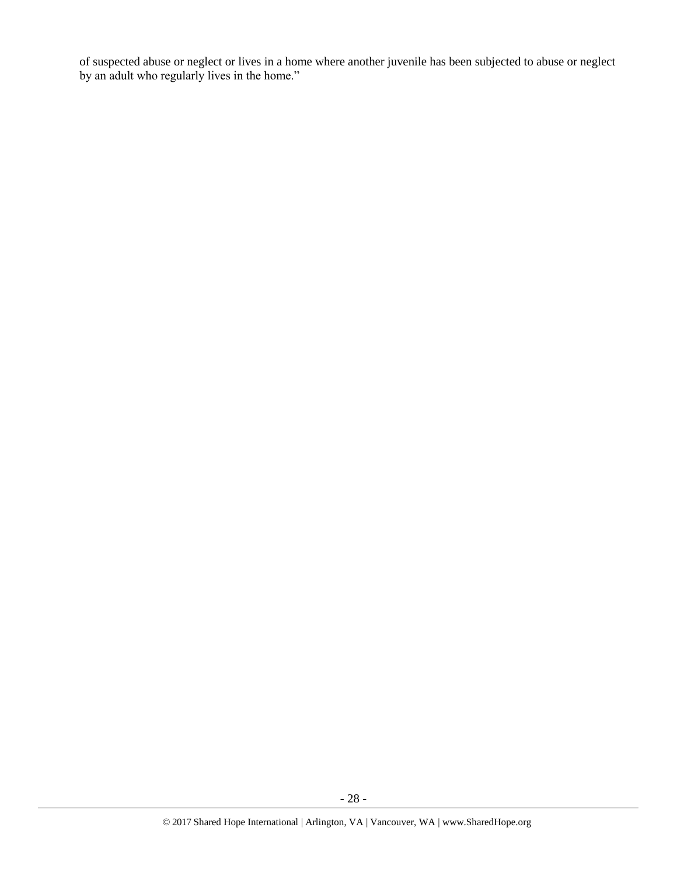of suspected abuse or neglect or lives in a home where another juvenile has been subjected to abuse or neglect by an adult who regularly lives in the home."

**-** 28 **-**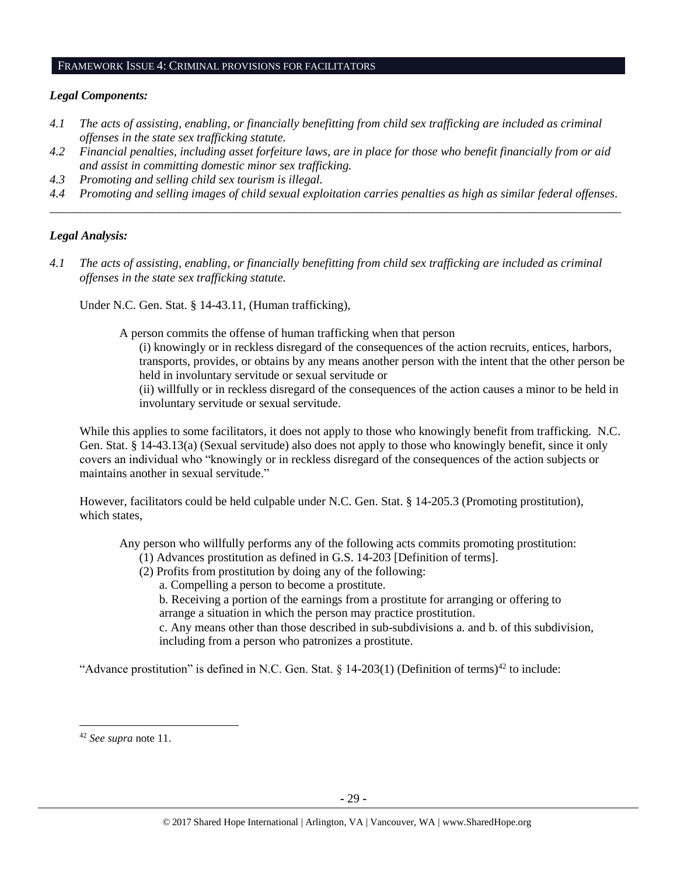#### FRAMEWORK ISSUE 4: CRIMINAL PROVISIONS FOR FACILITATORS

#### *Legal Components:*

- *4.1 The acts of assisting, enabling, or financially benefitting from child sex trafficking are included as criminal offenses in the state sex trafficking statute.*
- *4.2 Financial penalties, including asset forfeiture laws, are in place for those who benefit financially from or aid and assist in committing domestic minor sex trafficking.*
- *4.3 Promoting and selling child sex tourism is illegal.*
- *4.4 Promoting and selling images of child sexual exploitation carries penalties as high as similar federal offenses. \_\_\_\_\_\_\_\_\_\_\_\_\_\_\_\_\_\_\_\_\_\_\_\_\_\_\_\_\_\_\_\_\_\_\_\_\_\_\_\_\_\_\_\_\_\_\_\_\_\_\_\_\_\_\_\_\_\_\_\_\_\_\_\_\_\_\_\_\_\_\_\_\_\_\_\_\_\_\_\_\_\_\_\_\_\_\_\_\_\_\_\_\_\_*

### *Legal Analysis:*

*4.1 The acts of assisting, enabling, or financially benefitting from child sex trafficking are included as criminal offenses in the state sex trafficking statute.*

Under N.C. Gen. Stat. § 14-43.11, (Human trafficking),

A person commits the offense of human trafficking when that person

(i) knowingly or in reckless disregard of the consequences of the action recruits, entices, harbors, transports, provides, or obtains by any means another person with the intent that the other person be held in involuntary servitude or sexual servitude or

(ii) willfully or in reckless disregard of the consequences of the action causes a minor to be held in involuntary servitude or sexual servitude.

While this applies to some facilitators, it does not apply to those who knowingly benefit from trafficking. N.C. Gen. Stat. § 14-43.13(a) (Sexual servitude) also does not apply to those who knowingly benefit, since it only covers an individual who "knowingly or in reckless disregard of the consequences of the action subjects or maintains another in sexual servitude."

However, facilitators could be held culpable under N.C. Gen. Stat. § 14-205.3 (Promoting prostitution), which states,

Any person who willfully performs any of the following acts commits promoting prostitution:

- (1) Advances prostitution as defined in G.S. 14-203 [Definition of terms].
- (2) Profits from prostitution by doing any of the following:
	- a. Compelling a person to become a prostitute.

b. Receiving a portion of the earnings from a prostitute for arranging or offering to arrange a situation in which the person may practice prostitution.

c. Any means other than those described in sub-subdivisions a. and b. of this subdivision, including from a person who patronizes a prostitute.

"Advance prostitution" is defined in N.C. Gen. Stat.  $\S$  14-203(1) (Definition of terms)<sup>42</sup> to include:

<sup>42</sup> *See supra* note [11.](#page-3-0)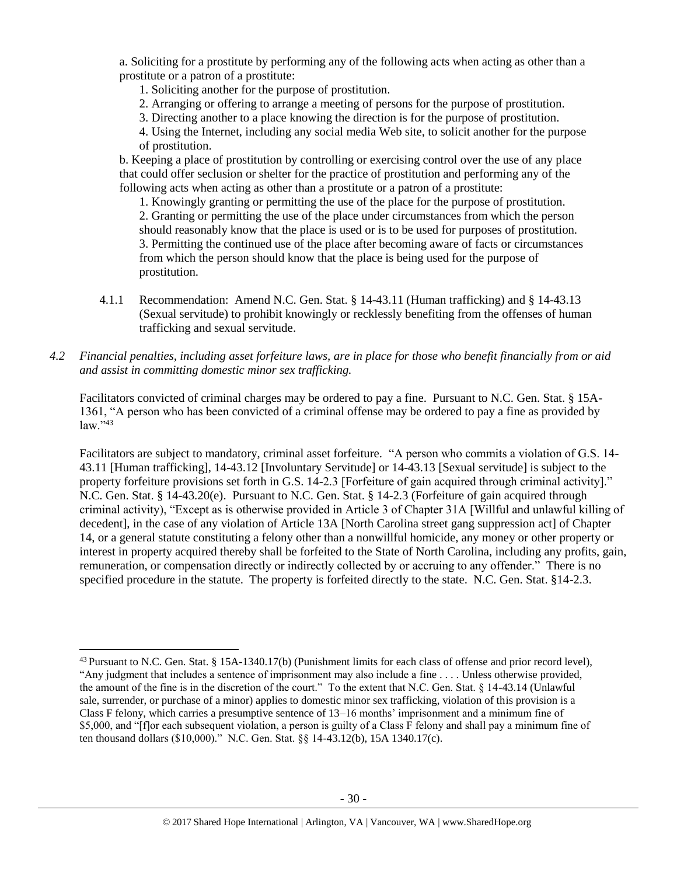a. Soliciting for a prostitute by performing any of the following acts when acting as other than a prostitute or a patron of a prostitute:

1. Soliciting another for the purpose of prostitution.

- 2. Arranging or offering to arrange a meeting of persons for the purpose of prostitution.
- 3. Directing another to a place knowing the direction is for the purpose of prostitution.

4. Using the Internet, including any social media Web site, to solicit another for the purpose of prostitution.

b. Keeping a place of prostitution by controlling or exercising control over the use of any place that could offer seclusion or shelter for the practice of prostitution and performing any of the following acts when acting as other than a prostitute or a patron of a prostitute:

1. Knowingly granting or permitting the use of the place for the purpose of prostitution. 2. Granting or permitting the use of the place under circumstances from which the person should reasonably know that the place is used or is to be used for purposes of prostitution. 3. Permitting the continued use of the place after becoming aware of facts or circumstances from which the person should know that the place is being used for the purpose of prostitution.

4.1.1 Recommendation: Amend N.C. Gen. Stat. § 14-43.11 (Human trafficking) and § 14-43.13 (Sexual servitude) to prohibit knowingly or recklessly benefiting from the offenses of human trafficking and sexual servitude.

# *4.2 Financial penalties, including asset forfeiture laws, are in place for those who benefit financially from or aid and assist in committing domestic minor sex trafficking.*

Facilitators convicted of criminal charges may be ordered to pay a fine. Pursuant to N.C. Gen. Stat. § 15A-1361, "A person who has been convicted of a criminal offense may be ordered to pay a fine as provided by  $law.$ <sup>\*43</sup>

Facilitators are subject to mandatory, criminal asset forfeiture. "A person who commits a violation of G.S. 14- 43.11 [Human trafficking], 14-43.12 [Involuntary Servitude] or 14-43.13 [Sexual servitude] is subject to the property forfeiture provisions set forth in G.S. 14-2.3 [Forfeiture of gain acquired through criminal activity]." N.C. Gen. Stat. § 14-43.20(e). Pursuant to N.C. Gen. Stat. § 14-2.3 (Forfeiture of gain acquired through criminal activity), "Except as is otherwise provided in Article 3 of Chapter 31A [Willful and unlawful killing of decedent], in the case of any violation of Article 13A [North Carolina street gang suppression act] of Chapter 14, or a general statute constituting a felony other than a nonwillful homicide, any money or other property or interest in property acquired thereby shall be forfeited to the State of North Carolina, including any profits, gain, remuneration, or compensation directly or indirectly collected by or accruing to any offender." There is no specified procedure in the statute. The property is forfeited directly to the state. N.C. Gen. Stat. §14-2.3.

 $^{43}$  Pursuant to N.C. Gen. Stat. § 15A-1340.17(b) (Punishment limits for each class of offense and prior record level), "Any judgment that includes a sentence of imprisonment may also include a fine . . . . Unless otherwise provided, the amount of the fine is in the discretion of the court." To the extent that N.C. Gen. Stat. § 14-43.14 (Unlawful sale, surrender, or purchase of a minor) applies to domestic minor sex trafficking, violation of this provision is a Class F felony, which carries a presumptive sentence of 13–16 months' imprisonment and a minimum fine of \$5,000, and "[f]or each subsequent violation, a person is guilty of a Class F felony and shall pay a minimum fine of ten thousand dollars (\$10,000)." N.C. Gen. Stat. §§ 14-43.12(b), 15A 1340.17(c).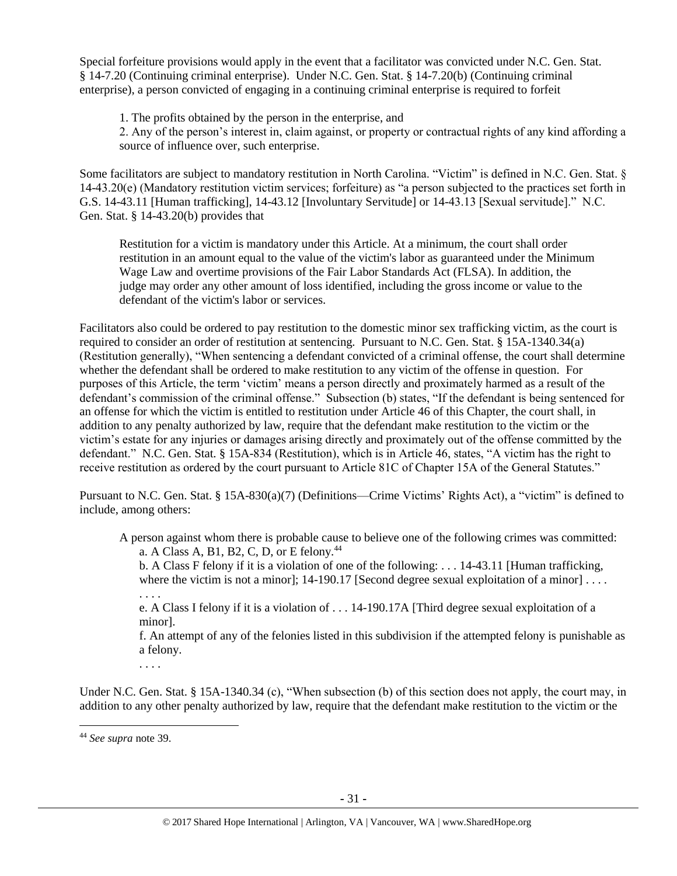Special forfeiture provisions would apply in the event that a facilitator was convicted under N.C. Gen. Stat. § 14-7.20 (Continuing criminal enterprise). Under N.C. Gen. Stat. § 14-7.20(b) (Continuing criminal enterprise), a person convicted of engaging in a continuing criminal enterprise is required to forfeit

1. The profits obtained by the person in the enterprise, and

2. Any of the person's interest in, claim against, or property or contractual rights of any kind affording a source of influence over, such enterprise.

Some facilitators are subject to mandatory restitution in North Carolina. "Victim" is defined in N.C. Gen. Stat. § 14-43.20(e) (Mandatory restitution victim services; forfeiture) as "a person subjected to the practices set forth in G.S. 14-43.11 [Human trafficking], 14-43.12 [Involuntary Servitude] or 14-43.13 [Sexual servitude]." N.C. Gen. Stat. § 14-43.20(b) provides that

Restitution for a victim is mandatory under this Article. At a minimum, the court shall order restitution in an amount equal to the value of the victim's labor as guaranteed under the Minimum Wage Law and overtime provisions of the Fair Labor Standards Act (FLSA). In addition, the judge may order any other amount of loss identified, including the gross income or value to the defendant of the victim's labor or services.

Facilitators also could be ordered to pay restitution to the domestic minor sex trafficking victim, as the court is required to consider an order of restitution at sentencing. Pursuant to N.C. Gen. Stat. § 15A-1340.34(a) (Restitution generally), "When sentencing a defendant convicted of a criminal offense, the court shall determine whether the defendant shall be ordered to make restitution to any victim of the offense in question. For purposes of this Article, the term 'victim' means a person directly and proximately harmed as a result of the defendant's commission of the criminal offense." Subsection (b) states, "If the defendant is being sentenced for an offense for which the victim is entitled to restitution under Article 46 of this Chapter, the court shall, in addition to any penalty authorized by law, require that the defendant make restitution to the victim or the victim's estate for any injuries or damages arising directly and proximately out of the offense committed by the defendant." N.C. Gen. Stat. § 15A-834 (Restitution), which is in Article 46, states, "A victim has the right to receive restitution as ordered by the court pursuant to Article 81C of Chapter 15A of the General Statutes."

Pursuant to N.C. Gen. Stat. § 15A-830(a)(7) (Definitions—Crime Victims' Rights Act), a "victim" is defined to include, among others:

A person against whom there is probable cause to believe one of the following crimes was committed: a. A Class A, B1, B2, C, D, or E felony.<sup>44</sup>

b. A Class F felony if it is a violation of one of the following: . . . 14-43.11 [Human trafficking, where the victim is not a minor];  $14-190.17$  [Second degree sexual exploitation of a minor] ...

. . . .

e. A Class I felony if it is a violation of . . . 14-190.17A [Third degree sexual exploitation of a minor].

f. An attempt of any of the felonies listed in this subdivision if the attempted felony is punishable as a felony.

. . . .

Under N.C. Gen. Stat. § 15A-1340.34 (c), "When subsection (b) of this section does not apply, the court may, in addition to any other penalty authorized by law, require that the defendant make restitution to the victim or the

<sup>44</sup> *See supra* note [39.](#page-22-0)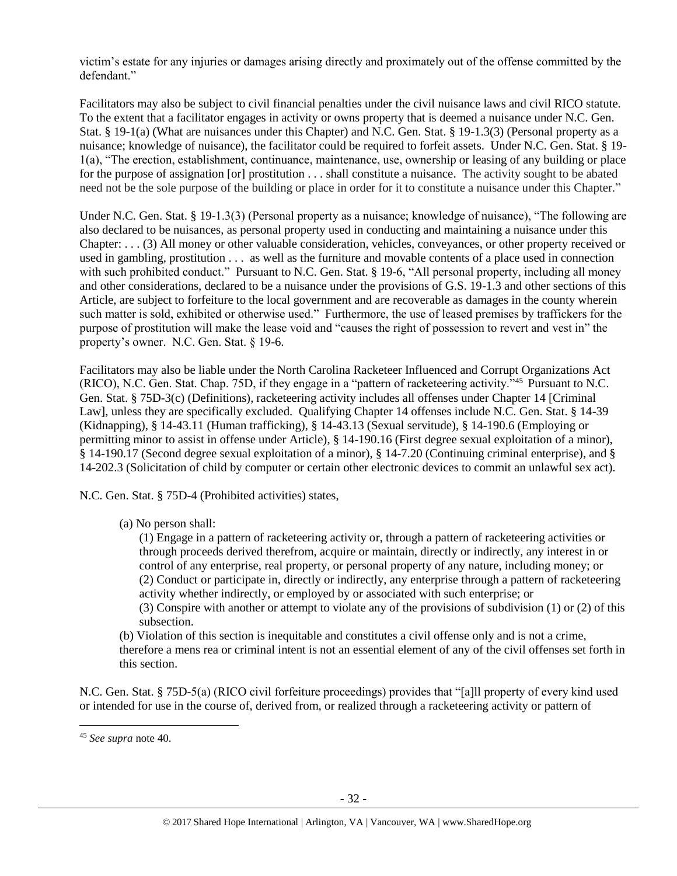victim's estate for any injuries or damages arising directly and proximately out of the offense committed by the defendant."

Facilitators may also be subject to civil financial penalties under the civil nuisance laws and civil RICO statute. To the extent that a facilitator engages in activity or owns property that is deemed a nuisance under N.C. Gen. Stat. § 19-1(a) (What are nuisances under this Chapter) and N.C. Gen. Stat. § 19-1.3(3) (Personal property as a nuisance; knowledge of nuisance), the facilitator could be required to forfeit assets. Under N.C. Gen. Stat. § 19- 1(a), "The erection, establishment, continuance, maintenance, use, ownership or leasing of any building or place for the purpose of assignation [or] prostitution . . . shall constitute a nuisance. The activity sought to be abated need not be the sole purpose of the building or place in order for it to constitute a nuisance under this Chapter."

Under N.C. Gen. Stat. § 19-1.3(3) (Personal property as a nuisance; knowledge of nuisance), "The following are also declared to be nuisances, as personal property used in conducting and maintaining a nuisance under this Chapter: . . . (3) All money or other valuable consideration, vehicles, conveyances, or other property received or used in gambling, prostitution . . . as well as the furniture and movable contents of a place used in connection with such prohibited conduct." Pursuant to N.C. Gen. Stat. § 19-6, "All personal property, including all money and other considerations, declared to be a nuisance under the provisions of G.S. 19-1.3 and other sections of this Article, are subject to forfeiture to the local government and are recoverable as damages in the county wherein such matter is sold, exhibited or otherwise used." Furthermore, the use of leased premises by traffickers for the purpose of prostitution will make the lease void and "causes the right of possession to revert and vest in" the property's owner. N.C. Gen. Stat. § 19-6.

Facilitators may also be liable under the North Carolina Racketeer Influenced and Corrupt Organizations Act (RICO), N.C. Gen. Stat. Chap. 75D, if they engage in a "pattern of racketeering activity."<sup>45</sup> Pursuant to N.C. Gen. Stat. § 75D-3(c) (Definitions), racketeering activity includes all offenses under Chapter 14 [Criminal Law], unless they are specifically excluded. Qualifying Chapter 14 offenses include N.C. Gen. Stat. § 14-39 (Kidnapping), § 14-43.11 (Human trafficking), § 14-43.13 (Sexual servitude), § 14-190.6 (Employing or permitting minor to assist in offense under Article), § 14-190.16 (First degree sexual exploitation of a minor), § 14-190.17 (Second degree sexual exploitation of a minor), § 14-7.20 (Continuing criminal enterprise), and § 14-202.3 (Solicitation of child by computer or certain other electronic devices to commit an unlawful sex act).

N.C. Gen. Stat. § 75D-4 (Prohibited activities) states,

(a) No person shall:

(1) Engage in a pattern of racketeering activity or, through a pattern of racketeering activities or through proceeds derived therefrom, acquire or maintain, directly or indirectly, any interest in or control of any enterprise, real property, or personal property of any nature, including money; or (2) Conduct or participate in, directly or indirectly, any enterprise through a pattern of racketeering activity whether indirectly, or employed by or associated with such enterprise; or

(3) Conspire with another or attempt to violate any of the provisions of subdivision (1) or (2) of this subsection.

(b) Violation of this section is inequitable and constitutes a civil offense only and is not a crime, therefore a mens rea or criminal intent is not an essential element of any of the civil offenses set forth in this section.

N.C. Gen. Stat. § 75D-5(a) (RICO civil forfeiture proceedings) provides that "[a]ll property of every kind used or intended for use in the course of, derived from, or realized through a racketeering activity or pattern of

<sup>45</sup> *See supra* note [40.](#page-23-0)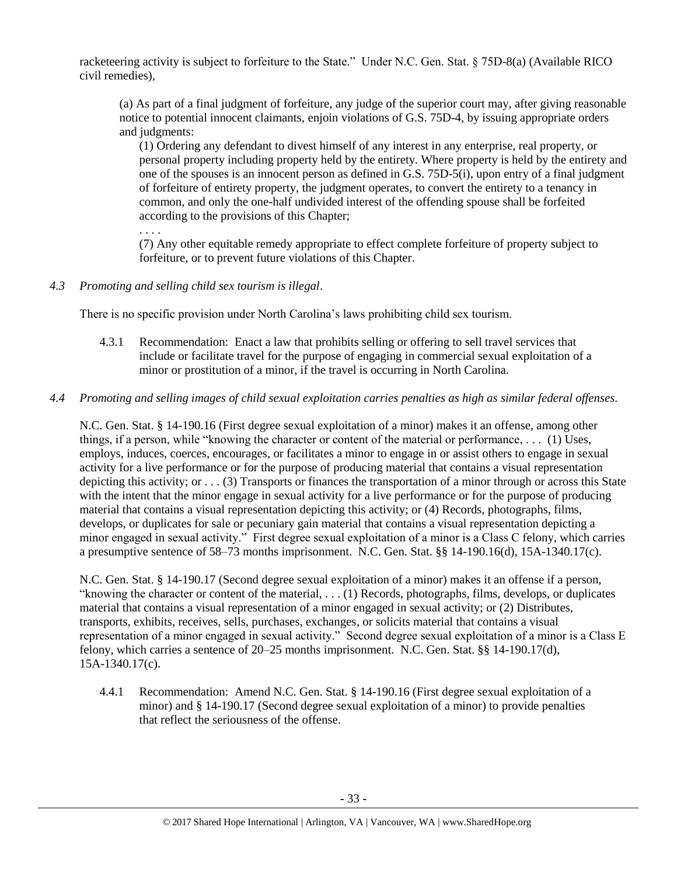racketeering activity is subject to forfeiture to the State." Under N.C. Gen. Stat. § 75D-8(a) (Available RICO civil remedies),

(a) As part of a final judgment of forfeiture, any judge of the superior court may, after giving reasonable notice to potential innocent claimants, enjoin violations of G.S. 75D-4, by issuing appropriate orders and judgments:

(1) Ordering any defendant to divest himself of any interest in any enterprise, real property, or personal property including property held by the entirety. Where property is held by the entirety and one of the spouses is an innocent person as defined in G.S. 75D-5(i), upon entry of a final judgment of forfeiture of entirety property, the judgment operates, to convert the entirety to a tenancy in common, and only the one-half undivided interest of the offending spouse shall be forfeited according to the provisions of this Chapter;

. . . .

(7) Any other equitable remedy appropriate to effect complete forfeiture of property subject to forfeiture, or to prevent future violations of this Chapter.

*4.3 Promoting and selling child sex tourism is illegal*.

There is no specific provision under North Carolina's laws prohibiting child sex tourism.

- 4.3.1 Recommendation: Enact a law that prohibits selling or offering to sell travel services that include or facilitate travel for the purpose of engaging in commercial sexual exploitation of a minor or prostitution of a minor, if the travel is occurring in North Carolina.
- *4.4 Promoting and selling images of child sexual exploitation carries penalties as high as similar federal offenses.*

N.C. Gen. Stat. § 14-190.16 (First degree sexual exploitation of a minor) makes it an offense, among other things, if a person, while "knowing the character or content of the material or performance, . . . (1) Uses, employs, induces, coerces, encourages, or facilitates a minor to engage in or assist others to engage in sexual activity for a live performance or for the purpose of producing material that contains a visual representation depicting this activity; or . . . (3) Transports or finances the transportation of a minor through or across this State with the intent that the minor engage in sexual activity for a live performance or for the purpose of producing material that contains a visual representation depicting this activity; or (4) Records, photographs, films, develops, or duplicates for sale or pecuniary gain material that contains a visual representation depicting a minor engaged in sexual activity." First degree sexual exploitation of a minor is a Class C felony, which carries a presumptive sentence of 58–73 months imprisonment. N.C. Gen. Stat. §§ 14-190.16(d), 15A-1340.17(c).

N.C. Gen. Stat. § 14-190.17 (Second degree sexual exploitation of a minor) makes it an offense if a person, "knowing the character or content of the material, . . . (1) Records, photographs, films, develops, or duplicates material that contains a visual representation of a minor engaged in sexual activity; or (2) Distributes, transports, exhibits, receives, sells, purchases, exchanges, or solicits material that contains a visual representation of a minor engaged in sexual activity." Second degree sexual exploitation of a minor is a Class E felony, which carries a sentence of 20–25 months imprisonment. N.C. Gen. Stat. §§ 14-190.17(d), 15A-1340.17(c).

4.4.1 Recommendation: Amend N.C. Gen. Stat. § 14-190.16 (First degree sexual exploitation of a minor) and § 14-190.17 (Second degree sexual exploitation of a minor) to provide penalties that reflect the seriousness of the offense.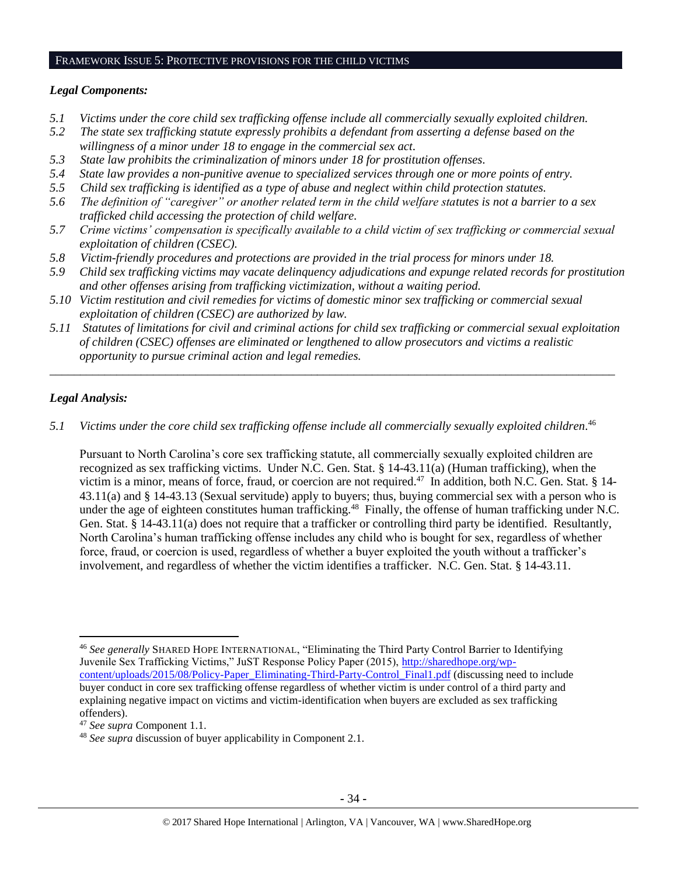#### FRAMEWORK ISSUE 5: PROTECTIVE PROVISIONS FOR THE CHILD VICTIMS

#### *Legal Components:*

- *5.1 Victims under the core child sex trafficking offense include all commercially sexually exploited children.*
- *5.2 The state sex trafficking statute expressly prohibits a defendant from asserting a defense based on the willingness of a minor under 18 to engage in the commercial sex act.*
- *5.3 State law prohibits the criminalization of minors under 18 for prostitution offenses.*
- *5.4 State law provides a non-punitive avenue to specialized services through one or more points of entry.*
- *5.5 Child sex trafficking is identified as a type of abuse and neglect within child protection statutes.*
- *5.6 The definition of "caregiver" or another related term in the child welfare statutes is not a barrier to a sex trafficked child accessing the protection of child welfare.*
- *5.7 Crime victims' compensation is specifically available to a child victim of sex trafficking or commercial sexual exploitation of children (CSEC).*
- *5.8 Victim-friendly procedures and protections are provided in the trial process for minors under 18.*
- *5.9 Child sex trafficking victims may vacate delinquency adjudications and expunge related records for prostitution and other offenses arising from trafficking victimization, without a waiting period.*
- *5.10 Victim restitution and civil remedies for victims of domestic minor sex trafficking or commercial sexual exploitation of children (CSEC) are authorized by law.*
- *5.11 Statutes of limitations for civil and criminal actions for child sex trafficking or commercial sexual exploitation of children (CSEC) offenses are eliminated or lengthened to allow prosecutors and victims a realistic opportunity to pursue criminal action and legal remedies.*

*\_\_\_\_\_\_\_\_\_\_\_\_\_\_\_\_\_\_\_\_\_\_\_\_\_\_\_\_\_\_\_\_\_\_\_\_\_\_\_\_\_\_\_\_\_\_\_\_\_\_\_\_\_\_\_\_\_\_\_\_\_\_\_\_\_\_\_\_\_\_\_\_\_\_\_\_\_\_\_\_\_\_\_\_\_\_\_\_\_\_\_\_\_*

### *Legal Analysis:*

 $\overline{\phantom{a}}$ 

*5.1 Victims under the core child sex trafficking offense include all commercially sexually exploited children.* 46

Pursuant to North Carolina's core sex trafficking statute, all commercially sexually exploited children are recognized as sex trafficking victims. Under N.C. Gen. Stat. § 14-43.11(a) (Human trafficking), when the victim is a minor, means of force, fraud, or coercion are not required.<sup>47</sup> In addition, both N.C. Gen. Stat. § 14-43.11(a) and § 14-43.13 (Sexual servitude) apply to buyers; thus, buying commercial sex with a person who is under the age of eighteen constitutes human trafficking.<sup>48</sup> Finally, the offense of human trafficking under N.C. Gen. Stat. § 14-43.11(a) does not require that a trafficker or controlling third party be identified. Resultantly, North Carolina's human trafficking offense includes any child who is bought for sex, regardless of whether force, fraud, or coercion is used, regardless of whether a buyer exploited the youth without a trafficker's involvement, and regardless of whether the victim identifies a trafficker. N.C. Gen. Stat. § 14-43.11.

<sup>46</sup> *See generally* SHARED HOPE INTERNATIONAL, "Eliminating the Third Party Control Barrier to Identifying Juvenile Sex Trafficking Victims," JuST Response Policy Paper (2015), [http://sharedhope.org/wp](http://sharedhope.org/wp-content/uploads/2015/08/Policy-Paper_Eliminating-Third-Party-Control_Final1.pdf)[content/uploads/2015/08/Policy-Paper\\_Eliminating-Third-Party-Control\\_Final1.pdf](http://sharedhope.org/wp-content/uploads/2015/08/Policy-Paper_Eliminating-Third-Party-Control_Final1.pdf) (discussing need to include buyer conduct in core sex trafficking offense regardless of whether victim is under control of a third party and explaining negative impact on victims and victim-identification when buyers are excluded as sex trafficking offenders).

<sup>47</sup> *See supra* Component 1.1.

<sup>48</sup> *See supra* discussion of buyer applicability in Component 2.1.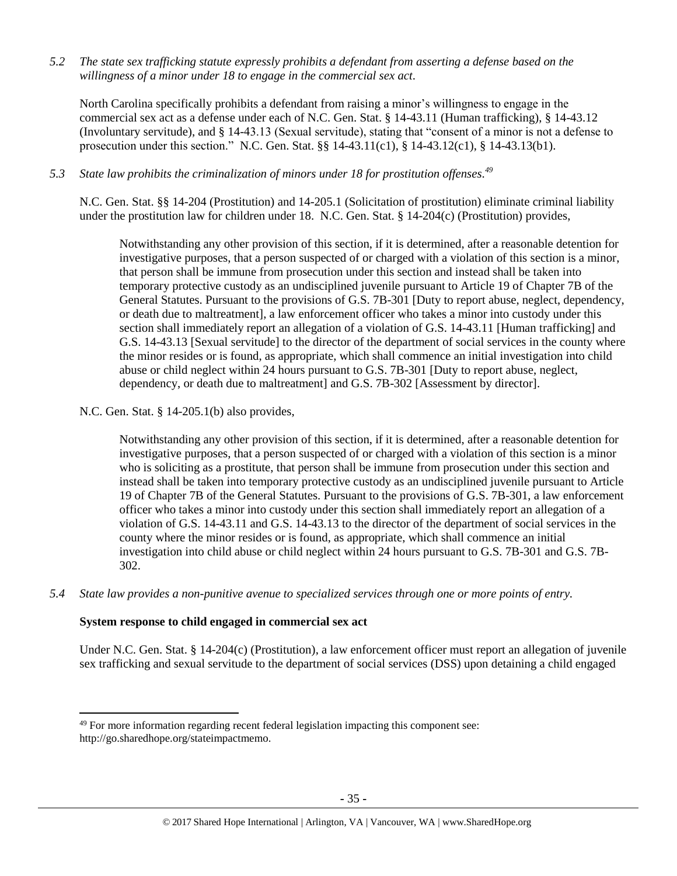*5.2 The state sex trafficking statute expressly prohibits a defendant from asserting a defense based on the willingness of a minor under 18 to engage in the commercial sex act.*

North Carolina specifically prohibits a defendant from raising a minor's willingness to engage in the commercial sex act as a defense under each of N.C. Gen. Stat. § 14-43.11 (Human trafficking), § 14-43.12 (Involuntary servitude), and § 14-43.13 (Sexual servitude), stating that "consent of a minor is not a defense to prosecution under this section." N.C. Gen. Stat. §§ 14-43.11(c1), § 14-43.12(c1), § 14-43.13(b1).

## *5.3 State law prohibits the criminalization of minors under 18 for prostitution offenses. 49*

N.C. Gen. Stat. §§ 14-204 (Prostitution) and 14-205.1 (Solicitation of prostitution) eliminate criminal liability under the prostitution law for children under 18. N.C. Gen. Stat. § 14-204(c) (Prostitution) provides,

Notwithstanding any other provision of this section, if it is determined, after a reasonable detention for investigative purposes, that a person suspected of or charged with a violation of this section is a minor, that person shall be immune from prosecution under this section and instead shall be taken into temporary protective custody as an undisciplined juvenile pursuant to Article 19 of Chapter 7B of the General Statutes. Pursuant to the provisions of G.S. 7B-301 [Duty to report abuse, neglect, dependency, or death due to maltreatment], a law enforcement officer who takes a minor into custody under this section shall immediately report an allegation of a violation of G.S. 14-43.11 [Human trafficking] and G.S. 14-43.13 [Sexual servitude] to the director of the department of social services in the county where the minor resides or is found, as appropriate, which shall commence an initial investigation into child abuse or child neglect within 24 hours pursuant to G.S. 7B-301 [Duty to report abuse, neglect, dependency, or death due to maltreatment] and G.S. 7B-302 [Assessment by director].

### N.C. Gen. Stat. § 14-205.1(b) also provides,

Notwithstanding any other provision of this section, if it is determined, after a reasonable detention for investigative purposes, that a person suspected of or charged with a violation of this section is a minor who is soliciting as a prostitute, that person shall be immune from prosecution under this section and instead shall be taken into temporary protective custody as an undisciplined juvenile pursuant to Article 19 of Chapter 7B of the General Statutes. Pursuant to the provisions of G.S. 7B-301, a law enforcement officer who takes a minor into custody under this section shall immediately report an allegation of a violation of G.S. 14-43.11 and G.S. 14-43.13 to the director of the department of social services in the county where the minor resides or is found, as appropriate, which shall commence an initial investigation into child abuse or child neglect within 24 hours pursuant to G.S. 7B-301 and G.S. 7B-302.

*5.4 State law provides a non-punitive avenue to specialized services through one or more points of entry.*

### **System response to child engaged in commercial sex act**

 $\overline{\phantom{a}}$ 

Under N.C. Gen. Stat. § 14-204(c) (Prostitution), a law enforcement officer must report an allegation of juvenile sex trafficking and sexual servitude to the department of social services (DSS) upon detaining a child engaged

<sup>&</sup>lt;sup>49</sup> For more information regarding recent federal legislation impacting this component see: http://go.sharedhope.org/stateimpactmemo.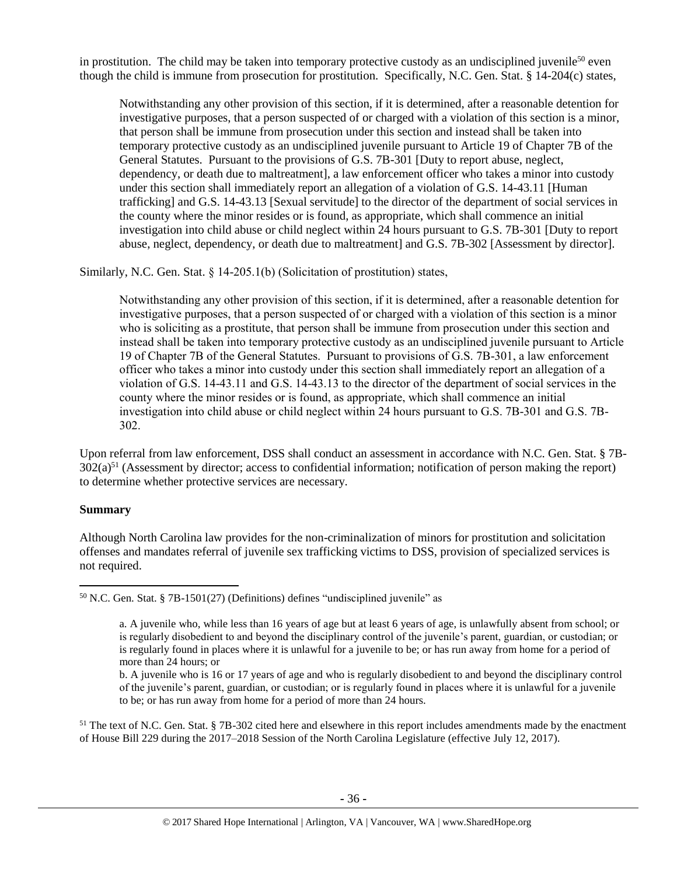in prostitution. The child may be taken into temporary protective custody as an undisciplined juvenile<sup>50</sup> even though the child is immune from prosecution for prostitution. Specifically, N.C. Gen. Stat. § 14-204(c) states,

Notwithstanding any other provision of this section, if it is determined, after a reasonable detention for investigative purposes, that a person suspected of or charged with a violation of this section is a minor, that person shall be immune from prosecution under this section and instead shall be taken into temporary protective custody as an undisciplined juvenile pursuant to Article 19 of Chapter 7B of the General Statutes. Pursuant to the provisions of G.S. 7B-301 [Duty to report abuse, neglect, dependency, or death due to maltreatment], a law enforcement officer who takes a minor into custody under this section shall immediately report an allegation of a violation of G.S. 14-43.11 [Human trafficking] and G.S. 14-43.13 [Sexual servitude] to the director of the department of social services in the county where the minor resides or is found, as appropriate, which shall commence an initial investigation into child abuse or child neglect within 24 hours pursuant to G.S. 7B-301 [Duty to report abuse, neglect, dependency, or death due to maltreatment] and G.S. 7B-302 [Assessment by director].

Similarly, N.C. Gen. Stat. § 14-205.1(b) (Solicitation of prostitution) states,

Notwithstanding any other provision of this section, if it is determined, after a reasonable detention for investigative purposes, that a person suspected of or charged with a violation of this section is a minor who is soliciting as a prostitute, that person shall be immune from prosecution under this section and instead shall be taken into temporary protective custody as an undisciplined juvenile pursuant to Article 19 of Chapter 7B of the General Statutes. Pursuant to provisions of G.S. 7B-301, a law enforcement officer who takes a minor into custody under this section shall immediately report an allegation of a violation of G.S. 14-43.11 and G.S. 14-43.13 to the director of the department of social services in the county where the minor resides or is found, as appropriate, which shall commence an initial investigation into child abuse or child neglect within 24 hours pursuant to G.S. 7B-301 and G.S. 7B-302.

Upon referral from law enforcement, DSS shall conduct an assessment in accordance with N.C. Gen. Stat. § 7B- $302(a)^{51}$  (Assessment by director; access to confidential information; notification of person making the report) to determine whether protective services are necessary.

#### **Summary**

 $\overline{\phantom{a}}$ 

Although North Carolina law provides for the non-criminalization of minors for prostitution and solicitation offenses and mandates referral of juvenile sex trafficking victims to DSS, provision of specialized services is not required.

<sup>50</sup> N.C. Gen. Stat. § 7B-1501(27) (Definitions) defines "undisciplined juvenile" as

<sup>51</sup> The text of N.C. Gen. Stat. § 7B-302 cited here and elsewhere in this report includes amendments made by the enactment of House Bill 229 during the 2017–2018 Session of the North Carolina Legislature (effective July 12, 2017).

a. A juvenile who, while less than 16 years of age but at least 6 years of age, is unlawfully absent from school; or is regularly disobedient to and beyond the disciplinary control of the juvenile's parent, guardian, or custodian; or is regularly found in places where it is unlawful for a juvenile to be; or has run away from home for a period of more than 24 hours; or

b. A juvenile who is 16 or 17 years of age and who is regularly disobedient to and beyond the disciplinary control of the juvenile's parent, guardian, or custodian; or is regularly found in places where it is unlawful for a juvenile to be; or has run away from home for a period of more than 24 hours.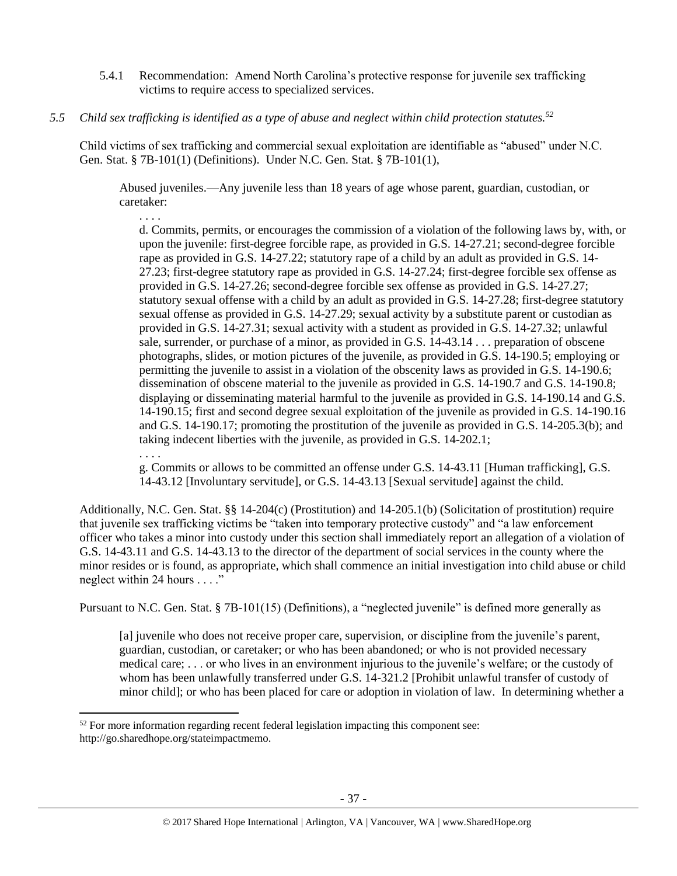- 5.4.1 Recommendation: Amend North Carolina's protective response for juvenile sex trafficking victims to require access to specialized services.
- *5.5 Child sex trafficking is identified as a type of abuse and neglect within child protection statutes.<sup>52</sup>*

. . . .

 $\overline{\phantom{a}}$ 

Child victims of sex trafficking and commercial sexual exploitation are identifiable as "abused" under N.C. Gen. Stat. § 7B-101(1) (Definitions). Under N.C. Gen. Stat. § 7B-101(1),

Abused juveniles.—Any juvenile less than 18 years of age whose parent, guardian, custodian, or caretaker:

d. Commits, permits, or encourages the commission of a violation of the following laws by, with, or upon the juvenile: first-degree forcible rape, as provided in G.S. 14-27.21; second-degree forcible rape as provided in G.S. 14-27.22; statutory rape of a child by an adult as provided in G.S. 14- 27.23; first-degree statutory rape as provided in G.S. 14-27.24; first-degree forcible sex offense as provided in G.S. 14-27.26; second-degree forcible sex offense as provided in G.S. 14-27.27; statutory sexual offense with a child by an adult as provided in G.S. 14-27.28; first-degree statutory sexual offense as provided in G.S. 14-27.29; sexual activity by a substitute parent or custodian as provided in G.S. 14-27.31; sexual activity with a student as provided in G.S. 14-27.32; unlawful sale, surrender, or purchase of a minor, as provided in G.S. 14-43.14 . . . preparation of obscene photographs, slides, or motion pictures of the juvenile, as provided in G.S. 14-190.5; employing or permitting the juvenile to assist in a violation of the obscenity laws as provided in G.S. 14-190.6; dissemination of obscene material to the juvenile as provided in G.S. 14-190.7 and G.S. 14-190.8; displaying or disseminating material harmful to the juvenile as provided in G.S. 14-190.14 and G.S. 14-190.15; first and second degree sexual exploitation of the juvenile as provided in G.S. 14-190.16 and G.S. 14-190.17; promoting the prostitution of the juvenile as provided in G.S. 14-205.3(b); and taking indecent liberties with the juvenile, as provided in G.S. 14-202.1; . . . .

g. Commits or allows to be committed an offense under G.S. 14-43.11 [Human trafficking], G.S. 14-43.12 [Involuntary servitude], or G.S. 14-43.13 [Sexual servitude] against the child.

Additionally, N.C. Gen. Stat. §§ 14-204(c) (Prostitution) and 14-205.1(b) (Solicitation of prostitution) require that juvenile sex trafficking victims be "taken into temporary protective custody" and "a law enforcement officer who takes a minor into custody under this section shall immediately report an allegation of a violation of G.S. 14-43.11 and G.S. 14-43.13 to the director of the department of social services in the county where the minor resides or is found, as appropriate, which shall commence an initial investigation into child abuse or child neglect within 24 hours . . . ."

Pursuant to N.C. Gen. Stat. § 7B-101(15) (Definitions), a "neglected juvenile" is defined more generally as

[a] juvenile who does not receive proper care, supervision, or discipline from the juvenile's parent, guardian, custodian, or caretaker; or who has been abandoned; or who is not provided necessary medical care; . . . or who lives in an environment injurious to the juvenile's welfare; or the custody of whom has been unlawfully transferred under G.S. 14-321.2 [Prohibit unlawful transfer of custody of minor child]; or who has been placed for care or adoption in violation of law. In determining whether a

 $52$  For more information regarding recent federal legislation impacting this component see: http://go.sharedhope.org/stateimpactmemo.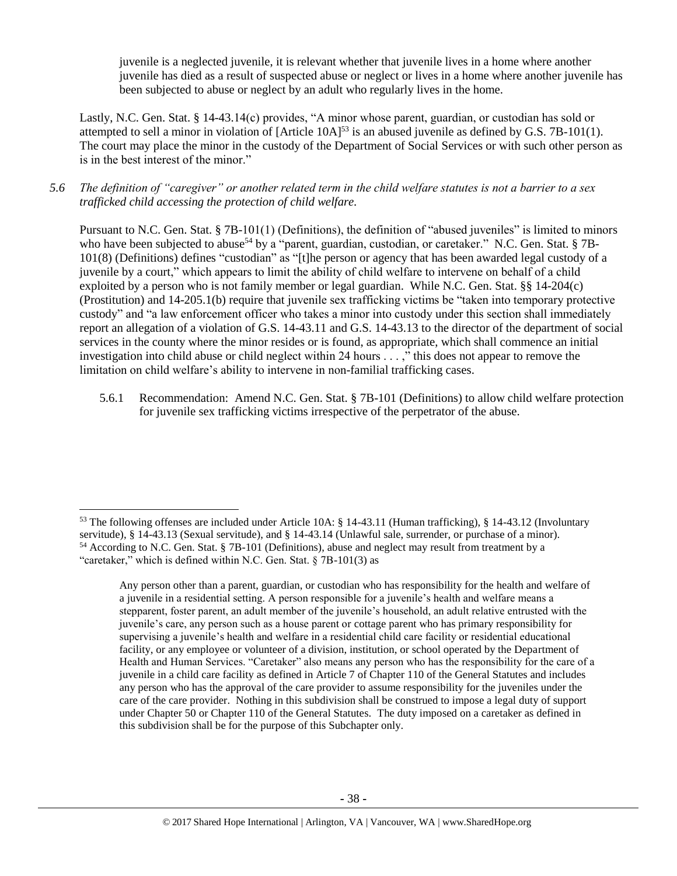juvenile is a neglected juvenile, it is relevant whether that juvenile lives in a home where another juvenile has died as a result of suspected abuse or neglect or lives in a home where another juvenile has been subjected to abuse or neglect by an adult who regularly lives in the home.

Lastly, N.C. Gen. Stat. § 14-43.14(c) provides, "A minor whose parent, guardian, or custodian has sold or attempted to sell a minor in violation of [Article 10A]<sup>53</sup> is an abused juvenile as defined by G.S. 7B–101(1). The court may place the minor in the custody of the Department of Social Services or with such other person as is in the best interest of the minor."

*5.6 The definition of "caregiver" or another related term in the child welfare statutes is not a barrier to a sex trafficked child accessing the protection of child welfare.*

Pursuant to N.C. Gen. Stat. § 7B-101(1) (Definitions), the definition of "abused juveniles" is limited to minors who have been subjected to abuse<sup>54</sup> by a "parent, guardian, custodian, or caretaker." N.C. Gen. Stat. § 7B-101(8) (Definitions) defines "custodian" as "[t]he person or agency that has been awarded legal custody of a juvenile by a court," which appears to limit the ability of child welfare to intervene on behalf of a child exploited by a person who is not family member or legal guardian. While N.C. Gen. Stat. §§ 14-204(c) (Prostitution) and 14-205.1(b) require that juvenile sex trafficking victims be "taken into temporary protective custody" and "a law enforcement officer who takes a minor into custody under this section shall immediately report an allegation of a violation of G.S. 14-43.11 and G.S. 14-43.13 to the director of the department of social services in the county where the minor resides or is found, as appropriate, which shall commence an initial investigation into child abuse or child neglect within 24 hours . . . ," this does not appear to remove the limitation on child welfare's ability to intervene in non-familial trafficking cases.

5.6.1 Recommendation: Amend N.C. Gen. Stat. § 7B-101 (Definitions) to allow child welfare protection for juvenile sex trafficking victims irrespective of the perpetrator of the abuse.

 $\overline{a}$ 

<sup>53</sup> The following offenses are included under Article 10A: § 14-43.11 (Human trafficking), § 14-43.12 (Involuntary servitude), § 14-43.13 (Sexual servitude), and § 14-43.14 (Unlawful sale, surrender, or purchase of a minor). <sup>54</sup> According to N.C. Gen. Stat. § 7B-101 (Definitions), abuse and neglect may result from treatment by a "caretaker," which is defined within N.C. Gen. Stat. § 7B-101(3) as

Any person other than a parent, guardian, or custodian who has responsibility for the health and welfare of a juvenile in a residential setting. A person responsible for a juvenile's health and welfare means a stepparent, foster parent, an adult member of the juvenile's household, an adult relative entrusted with the juvenile's care, any person such as a house parent or cottage parent who has primary responsibility for supervising a juvenile's health and welfare in a residential child care facility or residential educational facility, or any employee or volunteer of a division, institution, or school operated by the Department of Health and Human Services. "Caretaker" also means any person who has the responsibility for the care of a juvenile in a child care facility as defined in Article 7 of Chapter 110 of the General Statutes and includes any person who has the approval of the care provider to assume responsibility for the juveniles under the care of the care provider. Nothing in this subdivision shall be construed to impose a legal duty of support under Chapter 50 or Chapter 110 of the General Statutes. The duty imposed on a caretaker as defined in this subdivision shall be for the purpose of this Subchapter only.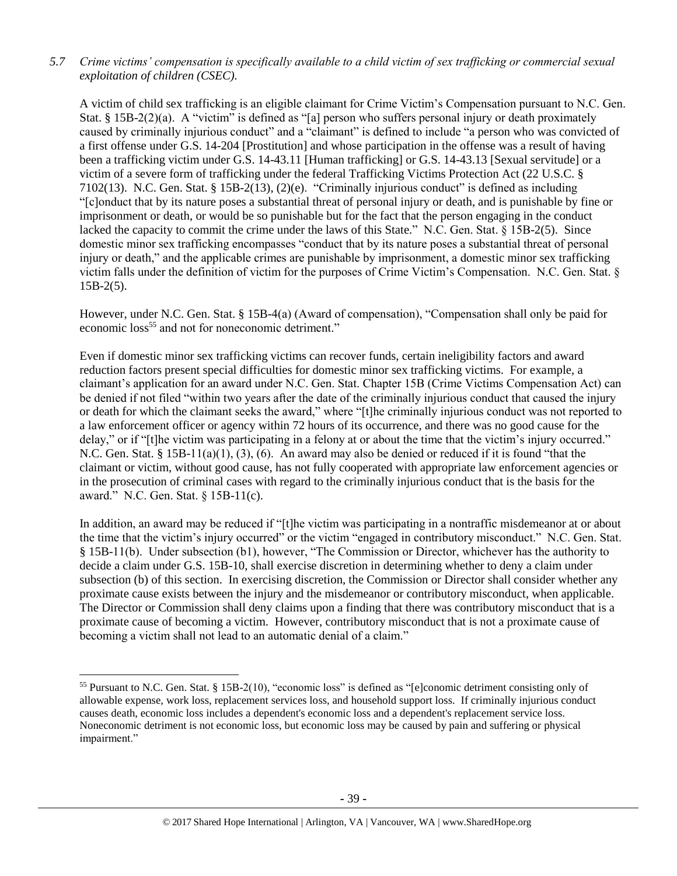# *5.7 Crime victims' compensation is specifically available to a child victim of sex trafficking or commercial sexual exploitation of children (CSEC).*

A victim of child sex trafficking is an eligible claimant for Crime Victim's Compensation pursuant to N.C. Gen. Stat. § 15B-2(2)(a). A "victim" is defined as "[a] person who suffers personal injury or death proximately caused by criminally injurious conduct" and a "claimant" is defined to include "a person who was convicted of a first offense under G.S. 14-204 [Prostitution] and whose participation in the offense was a result of having been a trafficking victim under G.S. 14-43.11 [Human trafficking] or G.S. 14-43.13 [Sexual servitude] or a victim of a severe form of trafficking under the federal Trafficking Victims Protection Act (22 U.S.C. § 7102(13). N.C. Gen. Stat. § 15B-2(13), (2)(e). "Criminally injurious conduct" is defined as including "[c]onduct that by its nature poses a substantial threat of personal injury or death, and is punishable by fine or imprisonment or death, or would be so punishable but for the fact that the person engaging in the conduct lacked the capacity to commit the crime under the laws of this State." N.C. Gen. Stat. § 15B-2(5). Since domestic minor sex trafficking encompasses "conduct that by its nature poses a substantial threat of personal injury or death," and the applicable crimes are punishable by imprisonment, a domestic minor sex trafficking victim falls under the definition of victim for the purposes of Crime Victim's Compensation. N.C. Gen. Stat. §  $15B-2(5)$ .

However, under N.C. Gen. Stat. § 15B-4(a) (Award of compensation), "Compensation shall only be paid for economic loss<sup>55</sup> and not for noneconomic detriment."

Even if domestic minor sex trafficking victims can recover funds, certain ineligibility factors and award reduction factors present special difficulties for domestic minor sex trafficking victims. For example, a claimant's application for an award under N.C. Gen. Stat. Chapter 15B (Crime Victims Compensation Act) can be denied if not filed "within two years after the date of the criminally injurious conduct that caused the injury or death for which the claimant seeks the award," where "[t]he criminally injurious conduct was not reported to a law enforcement officer or agency within 72 hours of its occurrence, and there was no good cause for the delay," or if "[t]he victim was participating in a felony at or about the time that the victim's injury occurred." N.C. Gen. Stat. § 15B-11(a)(1), (3), (6). An award may also be denied or reduced if it is found "that the claimant or victim, without good cause, has not fully cooperated with appropriate law enforcement agencies or in the prosecution of criminal cases with regard to the criminally injurious conduct that is the basis for the award." N.C. Gen. Stat. § 15B-11(c).

In addition, an award may be reduced if "[t]he victim was participating in a nontraffic misdemeanor at or about the time that the victim's injury occurred" or the victim "engaged in contributory misconduct." N.C. Gen. Stat. § 15B-11(b). Under subsection (b1), however, "The Commission or Director, whichever has the authority to decide a claim under G.S. 15B-10, shall exercise discretion in determining whether to deny a claim under subsection (b) of this section. In exercising discretion, the Commission or Director shall consider whether any proximate cause exists between the injury and the misdemeanor or contributory misconduct, when applicable. The Director or Commission shall deny claims upon a finding that there was contributory misconduct that is a proximate cause of becoming a victim. However, contributory misconduct that is not a proximate cause of becoming a victim shall not lead to an automatic denial of a claim."

<sup>55</sup> Pursuant to N.C. Gen. Stat. § 15B-2(10), "economic loss" is defined as "[e]conomic detriment consisting only of allowable expense, work loss, replacement services loss, and household support loss. If criminally injurious conduct causes death, economic loss includes a dependent's economic loss and a dependent's replacement service loss. Noneconomic detriment is not economic loss, but economic loss may be caused by pain and suffering or physical impairment."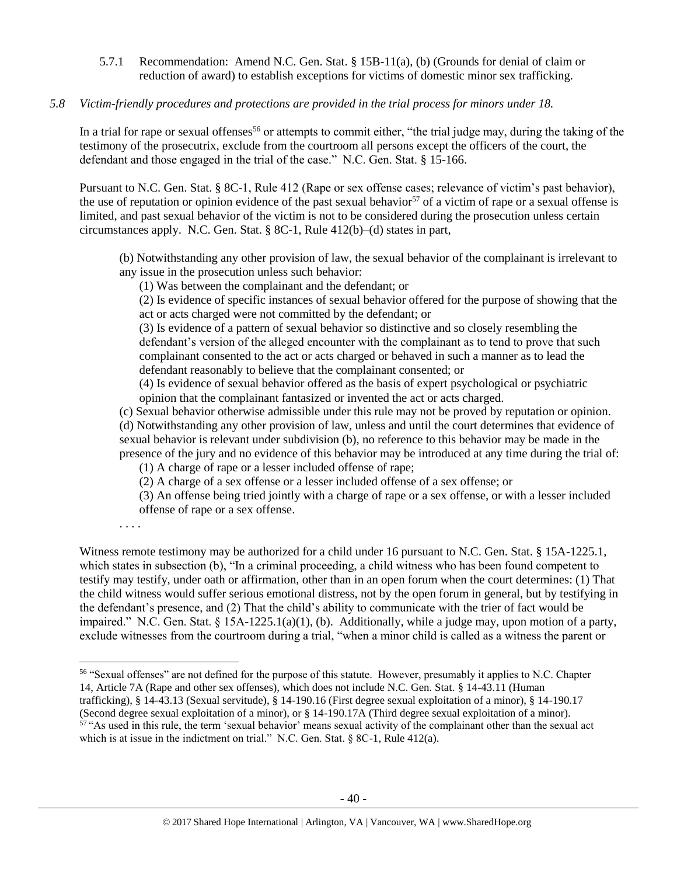5.7.1 Recommendation: Amend N.C. Gen. Stat. § 15B-11(a), (b) (Grounds for denial of claim or reduction of award) to establish exceptions for victims of domestic minor sex trafficking.

## *5.8 Victim-friendly procedures and protections are provided in the trial process for minors under 18.*

In a trial for rape or sexual offenses<sup>56</sup> or attempts to commit either, "the trial judge may, during the taking of the testimony of the prosecutrix, exclude from the courtroom all persons except the officers of the court, the defendant and those engaged in the trial of the case." N.C. Gen. Stat. § 15-166.

Pursuant to N.C. Gen. Stat. § 8C-1, Rule 412 (Rape or sex offense cases; relevance of victim's past behavior), the use of reputation or opinion evidence of the past sexual behavior<sup>57</sup> of a victim of rape or a sexual offense is limited, and past sexual behavior of the victim is not to be considered during the prosecution unless certain circumstances apply. N.C. Gen. Stat. § 8C-1, Rule 412(b)–(d) states in part,

(b) Notwithstanding any other provision of law, the sexual behavior of the complainant is irrelevant to any issue in the prosecution unless such behavior:

(1) Was between the complainant and the defendant; or

(2) Is evidence of specific instances of sexual behavior offered for the purpose of showing that the act or acts charged were not committed by the defendant; or

(3) Is evidence of a pattern of sexual behavior so distinctive and so closely resembling the defendant's version of the alleged encounter with the complainant as to tend to prove that such complainant consented to the act or acts charged or behaved in such a manner as to lead the defendant reasonably to believe that the complainant consented; or

(4) Is evidence of sexual behavior offered as the basis of expert psychological or psychiatric opinion that the complainant fantasized or invented the act or acts charged.

(c) Sexual behavior otherwise admissible under this rule may not be proved by reputation or opinion. (d) Notwithstanding any other provision of law, unless and until the court determines that evidence of sexual behavior is relevant under subdivision (b), no reference to this behavior may be made in the presence of the jury and no evidence of this behavior may be introduced at any time during the trial of:

(1) A charge of rape or a lesser included offense of rape;

(2) A charge of a sex offense or a lesser included offense of a sex offense; or

(3) An offense being tried jointly with a charge of rape or a sex offense, or with a lesser included offense of rape or a sex offense.

. . . .

 $\overline{\phantom{a}}$ 

Witness remote testimony may be authorized for a child under 16 pursuant to N.C. Gen. Stat. § 15A-1225.1, which states in subsection (b), "In a criminal proceeding, a child witness who has been found competent to testify may testify, under oath or affirmation, other than in an open forum when the court determines: (1) That the child witness would suffer serious emotional distress, not by the open forum in general, but by testifying in the defendant's presence, and (2) That the child's ability to communicate with the trier of fact would be impaired." N.C. Gen. Stat.  $\S 15A-1225.1(a)(1)$ , (b). Additionally, while a judge may, upon motion of a party, exclude witnesses from the courtroom during a trial, "when a minor child is called as a witness the parent or

<sup>56</sup> "Sexual offenses" are not defined for the purpose of this statute. However, presumably it applies to N.C. Chapter 14, Article 7A (Rape and other sex offenses), which does not include N.C. Gen. Stat. § 14-43.11 (Human

trafficking), § 14-43.13 (Sexual servitude), § 14-190.16 (First degree sexual exploitation of a minor), § 14-190.17 (Second degree sexual exploitation of a minor), or § 14-190.17A (Third degree sexual exploitation of a minor). <sup>57</sup> "As used in this rule, the term 'sexual behavior' means sexual activity of the complainant other than the sexual act which is at issue in the indictment on trial." N.C. Gen. Stat.  $\&8C-1$ , Rule 412(a).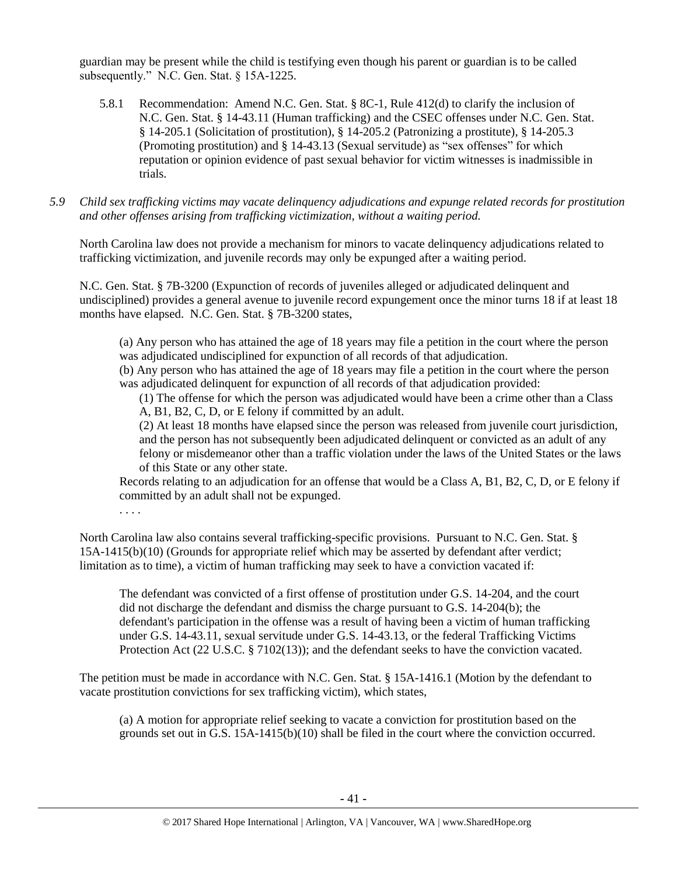guardian may be present while the child is testifying even though his parent or guardian is to be called subsequently." N.C. Gen. Stat. § 15A-1225.

- 5.8.1 Recommendation: Amend N.C. Gen. Stat. § 8C-1, Rule 412(d) to clarify the inclusion of N.C. Gen. Stat. § 14-43.11 (Human trafficking) and the CSEC offenses under N.C. Gen. Stat. § 14-205.1 (Solicitation of prostitution), § 14-205.2 (Patronizing a prostitute), § 14-205.3 (Promoting prostitution) and § 14-43.13 (Sexual servitude) as "sex offenses" for which reputation or opinion evidence of past sexual behavior for victim witnesses is inadmissible in trials.
- *5.9 Child sex trafficking victims may vacate delinquency adjudications and expunge related records for prostitution and other offenses arising from trafficking victimization, without a waiting period.*

North Carolina law does not provide a mechanism for minors to vacate delinquency adjudications related to trafficking victimization, and juvenile records may only be expunged after a waiting period.

N.C. Gen. Stat. § 7B-3200 (Expunction of records of juveniles alleged or adjudicated delinquent and undisciplined) provides a general avenue to juvenile record expungement once the minor turns 18 if at least 18 months have elapsed. N.C. Gen. Stat. § 7B-3200 states,

(a) Any person who has attained the age of 18 years may file a petition in the court where the person was adjudicated undisciplined for expunction of all records of that adjudication.

(b) Any person who has attained the age of 18 years may file a petition in the court where the person was adjudicated delinquent for expunction of all records of that adjudication provided:

(1) The offense for which the person was adjudicated would have been a crime other than a Class A, B1, B2, C, D, or E felony if committed by an adult.

(2) At least 18 months have elapsed since the person was released from juvenile court jurisdiction, and the person has not subsequently been adjudicated delinquent or convicted as an adult of any felony or misdemeanor other than a traffic violation under the laws of the United States or the laws of this State or any other state.

Records relating to an adjudication for an offense that would be a Class A, B1, B2, C, D, or E felony if committed by an adult shall not be expunged.

. . . .

North Carolina law also contains several trafficking-specific provisions. Pursuant to N.C. Gen. Stat. § 15A-1415(b)(10) (Grounds for appropriate relief which may be asserted by defendant after verdict; limitation as to time), a victim of human trafficking may seek to have a conviction vacated if:

The defendant was convicted of a first offense of prostitution under G.S. 14-204, and the court did not discharge the defendant and dismiss the charge pursuant to G.S. 14-204(b); the defendant's participation in the offense was a result of having been a victim of human trafficking under G.S. 14-43.11, sexual servitude under G.S. 14-43.13, or the federal Trafficking Victims Protection Act (22 U.S.C. § 7102(13)); and the defendant seeks to have the conviction vacated.

The petition must be made in accordance with N.C. Gen. Stat. § 15A-1416.1 (Motion by the defendant to vacate prostitution convictions for sex trafficking victim), which states,

(a) A motion for appropriate relief seeking to vacate a conviction for prostitution based on the grounds set out in G.S. 15A-1415(b)(10) shall be filed in the court where the conviction occurred.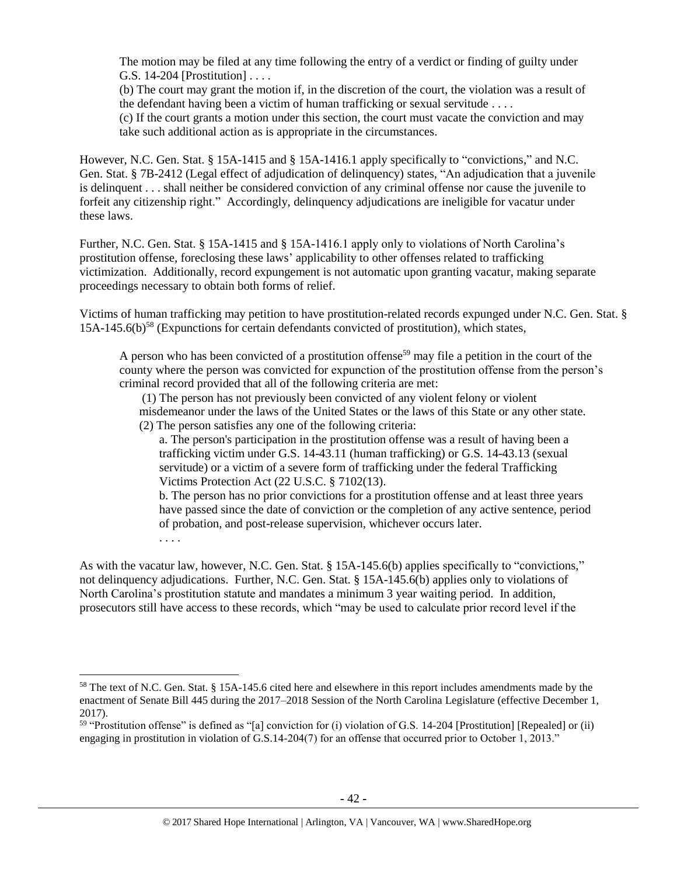The motion may be filed at any time following the entry of a verdict or finding of guilty under G.S. 14-204 [Prostitution] . . . .

(b) The court may grant the motion if, in the discretion of the court, the violation was a result of the defendant having been a victim of human trafficking or sexual servitude . . . .

(c) If the court grants a motion under this section, the court must vacate the conviction and may take such additional action as is appropriate in the circumstances.

However, N.C. Gen. Stat. § 15A-1415 and § 15A-1416.1 apply specifically to "convictions," and N.C. Gen. Stat. § 7B-2412 (Legal effect of adjudication of delinquency) states, "An adjudication that a juvenile is delinquent . . . shall neither be considered conviction of any criminal offense nor cause the juvenile to forfeit any citizenship right." Accordingly, delinquency adjudications are ineligible for vacatur under these laws.

Further, N.C. Gen. Stat. § 15A-1415 and § 15A-1416.1 apply only to violations of North Carolina's prostitution offense, foreclosing these laws' applicability to other offenses related to trafficking victimization. Additionally, record expungement is not automatic upon granting vacatur, making separate proceedings necessary to obtain both forms of relief.

Victims of human trafficking may petition to have prostitution-related records expunged under N.C. Gen. Stat. §  $15A-145.6(b)$ <sup>58</sup> (Expunctions for certain defendants convicted of prostitution), which states,

A person who has been convicted of a prostitution offense<sup>59</sup> may file a petition in the court of the county where the person was convicted for expunction of the prostitution offense from the person's criminal record provided that all of the following criteria are met:

(1) The person has not previously been convicted of any violent felony or violent misdemeanor under the laws of the United States or the laws of this State or any other state. (2) The person satisfies any one of the following criteria:

a. The person's participation in the prostitution offense was a result of having been a trafficking victim under G.S. 14-43.11 (human trafficking) or G.S. 14-43.13 (sexual servitude) or a victim of a severe form of trafficking under the federal Trafficking Victims Protection Act (22 U.S.C. § 7102(13).

b. The person has no prior convictions for a prostitution offense and at least three years have passed since the date of conviction or the completion of any active sentence, period of probation, and post-release supervision, whichever occurs later.

. . . .

 $\overline{\phantom{a}}$ 

As with the vacatur law, however, N.C. Gen. Stat. § 15A-145.6(b) applies specifically to "convictions," not delinquency adjudications. Further, N.C. Gen. Stat. § 15A-145.6(b) applies only to violations of North Carolina's prostitution statute and mandates a minimum 3 year waiting period. In addition, prosecutors still have access to these records, which "may be used to calculate prior record level if the

<sup>58</sup> The text of N.C. Gen. Stat. § 15A-145.6 cited here and elsewhere in this report includes amendments made by the enactment of Senate Bill 445 during the 2017–2018 Session of the North Carolina Legislature (effective December 1, 2017).

<sup>59</sup> "Prostitution offense" is defined as "[a] conviction for (i) violation of G.S. 14-204 [Prostitution] [Repealed] or (ii) engaging in prostitution in violation of G.S.14-204(7) for an offense that occurred prior to October 1, 2013."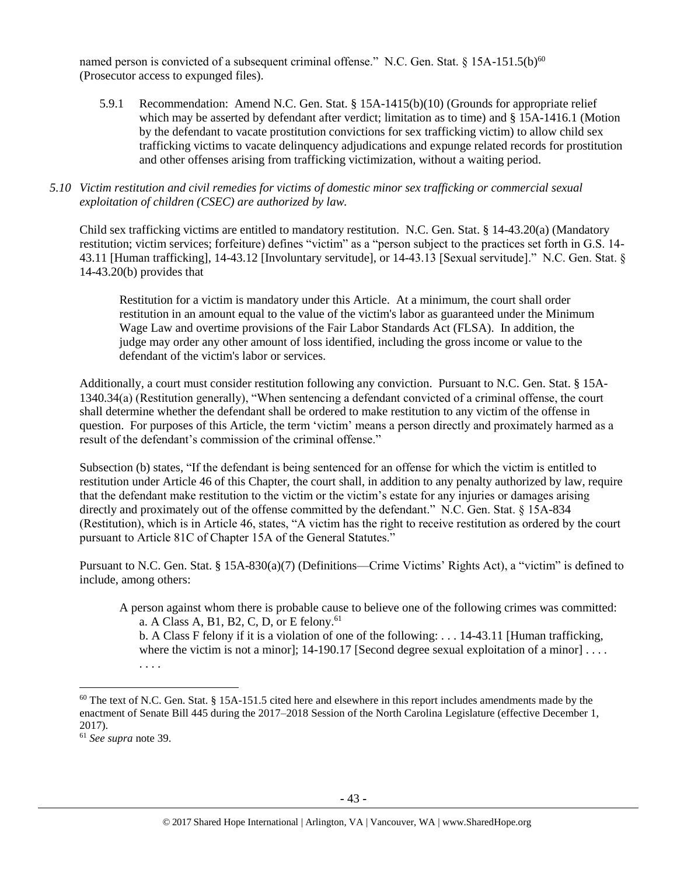named person is convicted of a subsequent criminal offense." N.C. Gen. Stat.  $\S 15A-151.5(b)^{60}$ (Prosecutor access to expunged files).

5.9.1 Recommendation: Amend N.C. Gen. Stat. § 15A-1415(b)(10) (Grounds for appropriate relief which may be asserted by defendant after verdict; limitation as to time) and § 15A-1416.1 (Motion by the defendant to vacate prostitution convictions for sex trafficking victim) to allow child sex trafficking victims to vacate delinquency adjudications and expunge related records for prostitution and other offenses arising from trafficking victimization, without a waiting period.

### *5.10 Victim restitution and civil remedies for victims of domestic minor sex trafficking or commercial sexual exploitation of children (CSEC) are authorized by law.*

Child sex trafficking victims are entitled to mandatory restitution. N.C. Gen. Stat. § 14-43.20(a) (Mandatory restitution; victim services; forfeiture) defines "victim" as a "person subject to the practices set forth in G.S. 14- 43.11 [Human trafficking], 14-43.12 [Involuntary servitude], or 14-43.13 [Sexual servitude]." N.C. Gen. Stat. § 14-43.20(b) provides that

Restitution for a victim is mandatory under this Article. At a minimum, the court shall order restitution in an amount equal to the value of the victim's labor as guaranteed under the Minimum Wage Law and overtime provisions of the Fair Labor Standards Act (FLSA). In addition, the judge may order any other amount of loss identified, including the gross income or value to the defendant of the victim's labor or services.

Additionally, a court must consider restitution following any conviction. Pursuant to N.C. Gen. Stat. § 15A-1340.34(a) (Restitution generally), "When sentencing a defendant convicted of a criminal offense, the court shall determine whether the defendant shall be ordered to make restitution to any victim of the offense in question. For purposes of this Article, the term 'victim' means a person directly and proximately harmed as a result of the defendant's commission of the criminal offense."

Subsection (b) states, "If the defendant is being sentenced for an offense for which the victim is entitled to restitution under Article 46 of this Chapter, the court shall, in addition to any penalty authorized by law, require that the defendant make restitution to the victim or the victim's estate for any injuries or damages arising directly and proximately out of the offense committed by the defendant." N.C. Gen. Stat. § 15A-834 (Restitution), which is in Article 46, states, "A victim has the right to receive restitution as ordered by the court pursuant to Article 81C of Chapter 15A of the General Statutes."

Pursuant to N.C. Gen. Stat. § 15A-830(a)(7) (Definitions—Crime Victims' Rights Act), a "victim" is defined to include, among others:

A person against whom there is probable cause to believe one of the following crimes was committed: a. A Class A, B1, B2, C, D, or E felony.<sup>61</sup>

b. A Class F felony if it is a violation of one of the following: . . . 14-43.11 [Human trafficking, where the victim is not a minor];  $14-190.17$  [Second degree sexual exploitation of a minor] ... . . . .

l

 $60$  The text of N.C. Gen. Stat. § 15A-151.5 cited here and elsewhere in this report includes amendments made by the enactment of Senate Bill 445 during the 2017–2018 Session of the North Carolina Legislature (effective December 1, 2017).

<sup>61</sup> *See supra* note [39.](#page-22-0)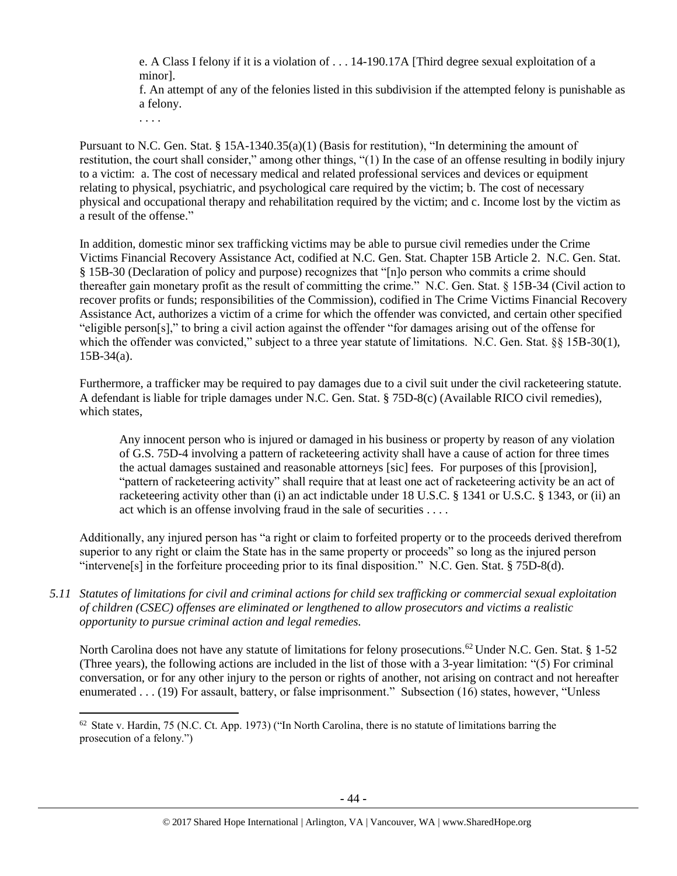e. A Class I felony if it is a violation of . . . 14-190.17A [Third degree sexual exploitation of a minor].

f. An attempt of any of the felonies listed in this subdivision if the attempted felony is punishable as a felony.

. . . .

 $\overline{\phantom{a}}$ 

Pursuant to N.C. Gen. Stat. § 15A-1340.35(a)(1) (Basis for restitution), "In determining the amount of restitution, the court shall consider," among other things, "(1) In the case of an offense resulting in bodily injury to a victim: a. The cost of necessary medical and related professional services and devices or equipment relating to physical, psychiatric, and psychological care required by the victim; b. The cost of necessary physical and occupational therapy and rehabilitation required by the victim; and c. Income lost by the victim as a result of the offense."

In addition, domestic minor sex trafficking victims may be able to pursue civil remedies under the Crime Victims Financial Recovery Assistance Act, codified at N.C. Gen. Stat. Chapter 15B Article 2. N.C. Gen. Stat. § 15B-30 (Declaration of policy and purpose) recognizes that "[n]o person who commits a crime should thereafter gain monetary profit as the result of committing the crime." N.C. Gen. Stat. § 15B-34 (Civil action to recover profits or funds; responsibilities of the Commission), codified in The Crime Victims Financial Recovery Assistance Act, authorizes a victim of a crime for which the offender was convicted, and certain other specified "eligible person[s]," to bring a civil action against the offender "for damages arising out of the offense for which the offender was convicted," subject to a three year statute of limitations. N.C. Gen. Stat. §§ 15B-30(1),  $15B-34(a)$ .

Furthermore, a trafficker may be required to pay damages due to a civil suit under the civil racketeering statute. A defendant is liable for triple damages under N.C. Gen. Stat. § 75D-8(c) (Available RICO civil remedies), which states,

Any innocent person who is injured or damaged in his business or property by reason of any violation of G.S. 75D-4 involving a pattern of racketeering activity shall have a cause of action for three times the actual damages sustained and reasonable attorneys [sic] fees. For purposes of this [provision], "pattern of racketeering activity" shall require that at least one act of racketeering activity be an act of racketeering activity other than (i) an act indictable under 18 U.S.C. § 1341 or U.S.C. § 1343, or (ii) an act which is an offense involving fraud in the sale of securities . . . .

Additionally, any injured person has "a right or claim to forfeited property or to the proceeds derived therefrom superior to any right or claim the State has in the same property or proceeds" so long as the injured person "intervene[s] in the forfeiture proceeding prior to its final disposition." N.C. Gen. Stat. § 75D-8(d).

*5.11 Statutes of limitations for civil and criminal actions for child sex trafficking or commercial sexual exploitation of children (CSEC) offenses are eliminated or lengthened to allow prosecutors and victims a realistic opportunity to pursue criminal action and legal remedies.*

North Carolina does not have any statute of limitations for felony prosecutions.<sup>62</sup> Under N.C. Gen. Stat. § 1-52 (Three years), the following actions are included in the list of those with a 3-year limitation: "(5) For criminal conversation, or for any other injury to the person or rights of another, not arising on contract and not hereafter enumerated . . . (19) For assault, battery, or false imprisonment." Subsection (16) states, however, "Unless

 $62$  State v. Hardin, 75 (N.C. Ct. App. 1973) ("In North Carolina, there is no statute of limitations barring the prosecution of a felony.")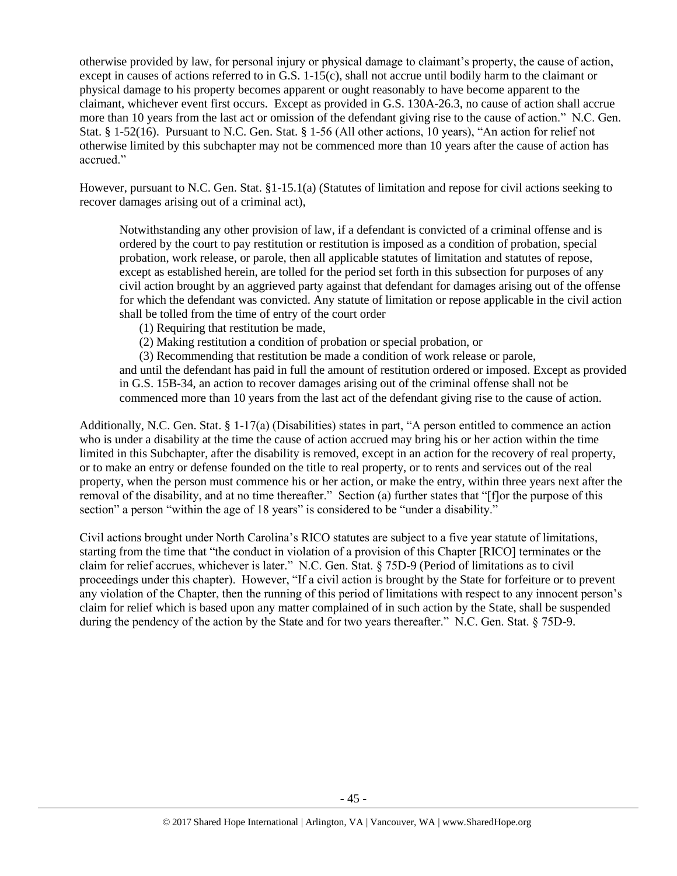otherwise provided by law, for personal injury or physical damage to claimant's property, the cause of action, except in causes of actions referred to in G.S. 1-15(c), shall not accrue until bodily harm to the claimant or physical damage to his property becomes apparent or ought reasonably to have become apparent to the claimant, whichever event first occurs. Except as provided in G.S. 130A-26.3, no cause of action shall accrue more than 10 years from the last act or omission of the defendant giving rise to the cause of action." N.C. Gen. Stat. § 1-52(16). Pursuant to N.C. Gen. Stat. § 1-56 (All other actions, 10 years), "An action for relief not otherwise limited by this subchapter may not be commenced more than 10 years after the cause of action has accrued."

However, pursuant to N.C. Gen. Stat. §1-15.1(a) (Statutes of limitation and repose for civil actions seeking to recover damages arising out of a criminal act),

Notwithstanding any other provision of law, if a defendant is convicted of a criminal offense and is ordered by the court to pay restitution or restitution is imposed as a condition of probation, special probation, work release, or parole, then all applicable statutes of limitation and statutes of repose, except as established herein, are tolled for the period set forth in this subsection for purposes of any civil action brought by an aggrieved party against that defendant for damages arising out of the offense for which the defendant was convicted. Any statute of limitation or repose applicable in the civil action shall be tolled from the time of entry of the court order

- (1) Requiring that restitution be made,
- (2) Making restitution a condition of probation or special probation, or

(3) Recommending that restitution be made a condition of work release or parole,

and until the defendant has paid in full the amount of restitution ordered or imposed. Except as provided in G.S. 15B-34, an action to recover damages arising out of the criminal offense shall not be commenced more than 10 years from the last act of the defendant giving rise to the cause of action.

Additionally, N.C. Gen. Stat. § 1-17(a) (Disabilities) states in part, "A person entitled to commence an action who is under a disability at the time the cause of action accrued may bring his or her action within the time limited in this Subchapter, after the disability is removed, except in an action for the recovery of real property, or to make an entry or defense founded on the title to real property, or to rents and services out of the real property, when the person must commence his or her action, or make the entry, within three years next after the removal of the disability, and at no time thereafter." Section (a) further states that "[f]or the purpose of this section" a person "within the age of 18 years" is considered to be "under a disability."

Civil actions brought under North Carolina's RICO statutes are subject to a five year statute of limitations, starting from the time that "the conduct in violation of a provision of this Chapter [RICO] terminates or the claim for relief accrues, whichever is later." N.C. Gen. Stat. § 75D-9 (Period of limitations as to civil proceedings under this chapter). However, "If a civil action is brought by the State for forfeiture or to prevent any violation of the Chapter, then the running of this period of limitations with respect to any innocent person's claim for relief which is based upon any matter complained of in such action by the State, shall be suspended during the pendency of the action by the State and for two years thereafter." N.C. Gen. Stat. § 75D-9.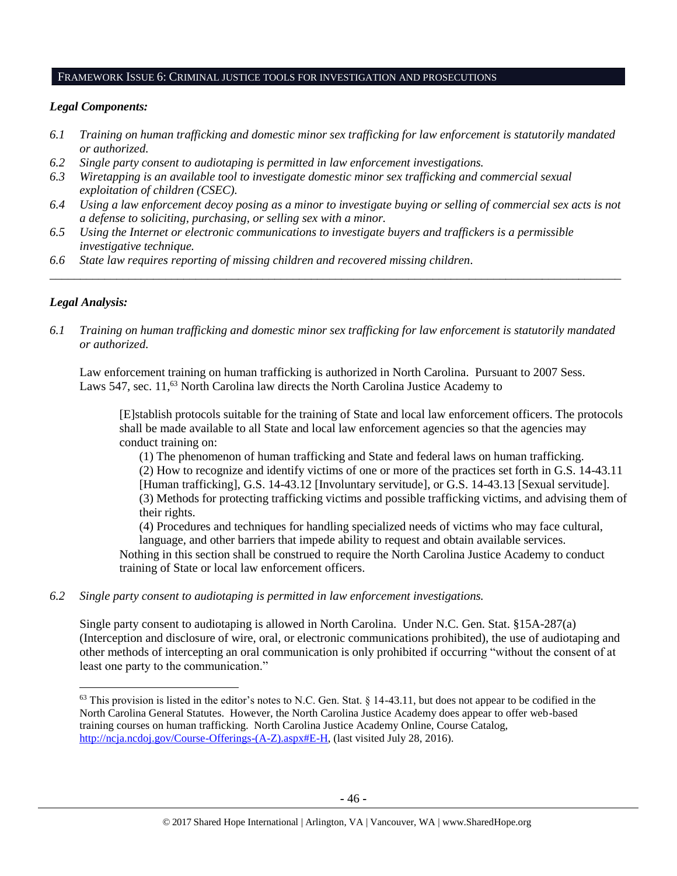#### FRAMEWORK ISSUE 6: CRIMINAL JUSTICE TOOLS FOR INVESTIGATION AND PROSECUTIONS

### *Legal Components:*

- *6.1 Training on human trafficking and domestic minor sex trafficking for law enforcement is statutorily mandated or authorized.*
- *6.2 Single party consent to audiotaping is permitted in law enforcement investigations.*
- *6.3 Wiretapping is an available tool to investigate domestic minor sex trafficking and commercial sexual exploitation of children (CSEC).*
- *6.4 Using a law enforcement decoy posing as a minor to investigate buying or selling of commercial sex acts is not a defense to soliciting, purchasing, or selling sex with a minor.*

*\_\_\_\_\_\_\_\_\_\_\_\_\_\_\_\_\_\_\_\_\_\_\_\_\_\_\_\_\_\_\_\_\_\_\_\_\_\_\_\_\_\_\_\_\_\_\_\_\_\_\_\_\_\_\_\_\_\_\_\_\_\_\_\_\_\_\_\_\_\_\_\_\_\_\_\_\_\_\_\_\_\_\_\_\_\_\_\_\_\_\_\_\_\_*

- *6.5 Using the Internet or electronic communications to investigate buyers and traffickers is a permissible investigative technique.*
- *6.6 State law requires reporting of missing children and recovered missing children.*

# *Legal Analysis:*

l

*6.1 Training on human trafficking and domestic minor sex trafficking for law enforcement is statutorily mandated or authorized.*

Law enforcement training on human trafficking is authorized in North Carolina. Pursuant to 2007 Sess. Laws 547, sec. 11,<sup>63</sup> North Carolina law directs the North Carolina Justice Academy to

[E]stablish protocols suitable for the training of State and local law enforcement officers. The protocols shall be made available to all State and local law enforcement agencies so that the agencies may conduct training on:

(1) The phenomenon of human trafficking and State and federal laws on human trafficking. (2) How to recognize and identify victims of one or more of the practices set forth in G.S. 14-43.11 [Human trafficking], G.S. 14-43.12 [Involuntary servitude], or G.S. 14-43.13 [Sexual servitude]. (3) Methods for protecting trafficking victims and possible trafficking victims, and advising them of their rights.

(4) Procedures and techniques for handling specialized needs of victims who may face cultural, language, and other barriers that impede ability to request and obtain available services.

Nothing in this section shall be construed to require the North Carolina Justice Academy to conduct training of State or local law enforcement officers.

*6.2 Single party consent to audiotaping is permitted in law enforcement investigations.*

Single party consent to audiotaping is allowed in North Carolina. Under N.C. Gen. Stat. §15A-287(a) (Interception and disclosure of wire, oral, or electronic communications prohibited), the use of audiotaping and other methods of intercepting an oral communication is only prohibited if occurring "without the consent of at least one party to the communication."

 $63$  This provision is listed in the editor's notes to N.C. Gen. Stat. § 14-43.11, but does not appear to be codified in the North Carolina General Statutes. However, the North Carolina Justice Academy does appear to offer web-based training courses on human trafficking. North Carolina Justice Academy Online, Course Catalog, [http://ncja.ncdoj.gov/Course-Offerings-\(A-Z\).aspx#E-H,](http://ncja.ncdoj.gov/Course-Offerings-(A-Z).aspx#E-H) (last visited July 28, 2016).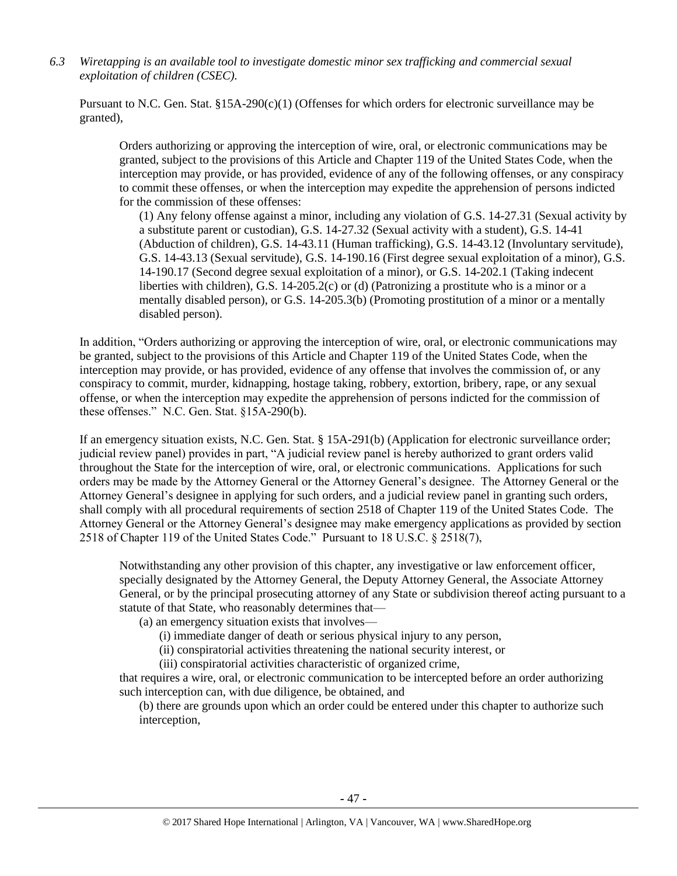*6.3 Wiretapping is an available tool to investigate domestic minor sex trafficking and commercial sexual exploitation of children (CSEC).* 

Pursuant to N.C. Gen. Stat. §15A-290(c)(1) (Offenses for which orders for electronic surveillance may be granted),

Orders authorizing or approving the interception of wire, oral, or electronic communications may be granted, subject to the provisions of this Article and Chapter 119 of the United States Code, when the interception may provide, or has provided, evidence of any of the following offenses, or any conspiracy to commit these offenses, or when the interception may expedite the apprehension of persons indicted for the commission of these offenses:

(1) Any felony offense against a minor, including any violation of G.S. 14-27.31 (Sexual activity by a substitute parent or custodian), G.S. 14-27.32 (Sexual activity with a student), G.S. 14-41 (Abduction of children), G.S. 14-43.11 (Human trafficking), G.S. 14-43.12 (Involuntary servitude), G.S. 14-43.13 (Sexual servitude), G.S. 14-190.16 (First degree sexual exploitation of a minor), G.S. 14-190.17 (Second degree sexual exploitation of a minor), or G.S. 14-202.1 (Taking indecent liberties with children), G.S. 14-205.2(c) or (d) (Patronizing a prostitute who is a minor or a mentally disabled person), or G.S. 14-205.3(b) (Promoting prostitution of a minor or a mentally disabled person).

In addition, "Orders authorizing or approving the interception of wire, oral, or electronic communications may be granted, subject to the provisions of this Article and Chapter 119 of the United States Code, when the interception may provide, or has provided, evidence of any offense that involves the commission of, or any conspiracy to commit, murder, kidnapping, hostage taking, robbery, extortion, bribery, rape, or any sexual offense, or when the interception may expedite the apprehension of persons indicted for the commission of these offenses." N.C. Gen. Stat. §15A-290(b).

If an emergency situation exists, N.C. Gen. Stat. § 15A-291(b) (Application for electronic surveillance order; judicial review panel) provides in part, "A judicial review panel is hereby authorized to grant orders valid throughout the State for the interception of wire, oral, or electronic communications. Applications for such orders may be made by the Attorney General or the Attorney General's designee. The Attorney General or the Attorney General's designee in applying for such orders, and a judicial review panel in granting such orders, shall comply with all procedural requirements of section 2518 of Chapter 119 of the United States Code. The Attorney General or the Attorney General's designee may make emergency applications as provided by section 2518 of Chapter 119 of the United States Code." Pursuant to 18 U.S.C. § 2518(7),

Notwithstanding any other provision of this chapter, any investigative or law enforcement officer, specially designated by the Attorney General, the Deputy Attorney General, the Associate Attorney General, or by the principal prosecuting attorney of any State or subdivision thereof acting pursuant to a statute of that State, who reasonably determines that—

(a) an emergency situation exists that involves—

- (i) immediate danger of death or serious physical injury to any person,
- (ii) conspiratorial activities threatening the national security interest, or
- (iii) conspiratorial activities characteristic of organized crime,

that requires a wire, oral, or electronic communication to be intercepted before an order authorizing such interception can, with due diligence, be obtained, and

(b) there are grounds upon which an order could be entered under this chapter to authorize such interception,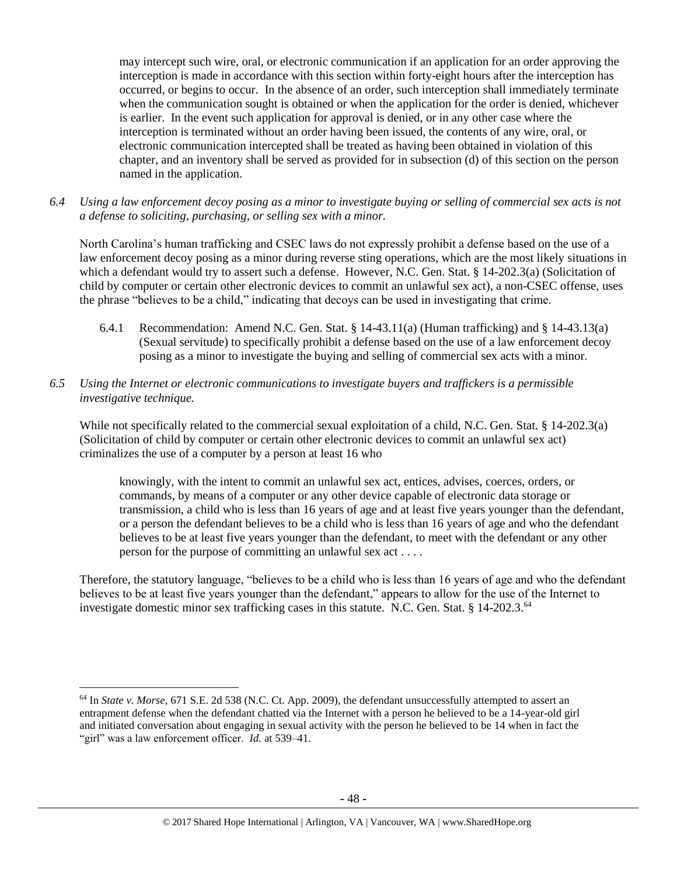may intercept such wire, oral, or electronic communication if an application for an order approving the interception is made in accordance with this section within forty-eight hours after the interception has occurred, or begins to occur. In the absence of an order, such interception shall immediately terminate when the communication sought is obtained or when the application for the order is denied, whichever is earlier. In the event such application for approval is denied, or in any other case where the interception is terminated without an order having been issued, the contents of any wire, oral, or electronic communication intercepted shall be treated as having been obtained in violation of this chapter, and an inventory shall be served as provided for in subsection (d) of this section on the person named in the application.

*6.4 Using a law enforcement decoy posing as a minor to investigate buying or selling of commercial sex acts is not a defense to soliciting, purchasing, or selling sex with a minor.*

North Carolina's human trafficking and CSEC laws do not expressly prohibit a defense based on the use of a law enforcement decoy posing as a minor during reverse sting operations, which are the most likely situations in which a defendant would try to assert such a defense. However, N.C. Gen. Stat. § 14-202.3(a) (Solicitation of child by computer or certain other electronic devices to commit an unlawful sex act), a non-CSEC offense, uses the phrase "believes to be a child," indicating that decoys can be used in investigating that crime.

- 6.4.1 Recommendation: Amend N.C. Gen. Stat. § 14-43.11(a) (Human trafficking) and § 14-43.13(a) (Sexual servitude) to specifically prohibit a defense based on the use of a law enforcement decoy posing as a minor to investigate the buying and selling of commercial sex acts with a minor.
- *6.5 Using the Internet or electronic communications to investigate buyers and traffickers is a permissible investigative technique.*

While not specifically related to the commercial sexual exploitation of a child, N.C. Gen. Stat. § 14-202.3(a) (Solicitation of child by computer or certain other electronic devices to commit an unlawful sex act) criminalizes the use of a computer by a person at least 16 who

knowingly, with the intent to commit an unlawful sex act, entices, advises, coerces, orders, or commands, by means of a computer or any other device capable of electronic data storage or transmission, a child who is less than 16 years of age and at least five years younger than the defendant, or a person the defendant believes to be a child who is less than 16 years of age and who the defendant believes to be at least five years younger than the defendant, to meet with the defendant or any other person for the purpose of committing an unlawful sex act . . . .

Therefore, the statutory language, "believes to be a child who is less than 16 years of age and who the defendant believes to be at least five years younger than the defendant," appears to allow for the use of the Internet to investigate domestic minor sex trafficking cases in this statute. N.C. Gen. Stat. § 14-202.3.<sup>64</sup>

l

<sup>64</sup> In *State v. Morse*, 671 S.E. 2d 538 (N.C. Ct. App. 2009), the defendant unsuccessfully attempted to assert an entrapment defense when the defendant chatted via the Internet with a person he believed to be a 14-year-old girl and initiated conversation about engaging in sexual activity with the person he believed to be 14 when in fact the "girl" was a law enforcement officer. *Id.* at 539–41.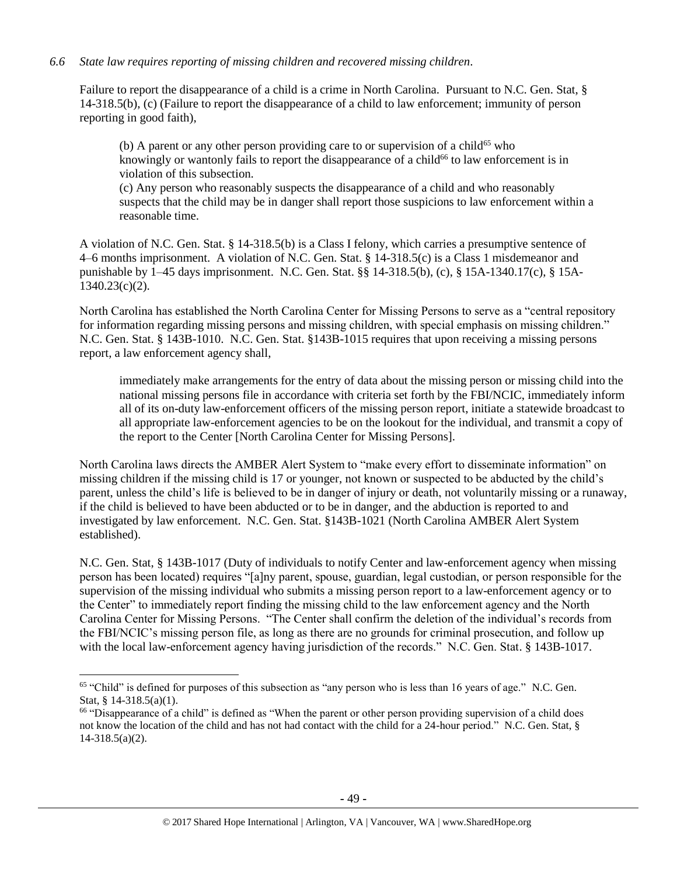### *6.6 State law requires reporting of missing children and recovered missing children.*

Failure to report the disappearance of a child is a crime in North Carolina. Pursuant to N.C. Gen. Stat, § 14-318.5(b), (c) (Failure to report the disappearance of a child to law enforcement; immunity of person reporting in good faith),

(b) A parent or any other person providing care to or supervision of a child<sup>65</sup> who knowingly or wantonly fails to report the disappearance of a child<sup>66</sup> to law enforcement is in violation of this subsection.

(c) Any person who reasonably suspects the disappearance of a child and who reasonably suspects that the child may be in danger shall report those suspicions to law enforcement within a reasonable time.

A violation of N.C. Gen. Stat. § 14-318.5(b) is a Class I felony, which carries a presumptive sentence of 4–6 months imprisonment. A violation of N.C. Gen. Stat. § 14-318.5(c) is a Class 1 misdemeanor and punishable by 1–45 days imprisonment. N.C. Gen. Stat. §§ 14-318.5(b), (c), § 15A-1340.17(c), § 15A-1340.23(c)(2).

North Carolina has established the North Carolina Center for Missing Persons to serve as a "central repository for information regarding missing persons and missing children, with special emphasis on missing children." N.C. Gen. Stat. § 143B-1010. N.C. Gen. Stat. §143B-1015 requires that upon receiving a missing persons report, a law enforcement agency shall,

immediately make arrangements for the entry of data about the missing person or missing child into the national missing persons file in accordance with criteria set forth by the FBI/NCIC, immediately inform all of its on-duty law-enforcement officers of the missing person report, initiate a statewide broadcast to all appropriate law-enforcement agencies to be on the lookout for the individual, and transmit a copy of the report to the Center [North Carolina Center for Missing Persons].

North Carolina laws directs the AMBER Alert System to "make every effort to disseminate information" on missing children if the missing child is 17 or younger, not known or suspected to be abducted by the child's parent, unless the child's life is believed to be in danger of injury or death, not voluntarily missing or a runaway, if the child is believed to have been abducted or to be in danger, and the abduction is reported to and investigated by law enforcement. N.C. Gen. Stat. §143B-1021 (North Carolina AMBER Alert System established).

N.C. Gen. Stat, § 143B-1017 (Duty of individuals to notify Center and law-enforcement agency when missing person has been located) requires "[a]ny parent, spouse, guardian, legal custodian, or person responsible for the supervision of the missing individual who submits a missing person report to a law-enforcement agency or to the Center" to immediately report finding the missing child to the law enforcement agency and the North Carolina Center for Missing Persons. "The Center shall confirm the deletion of the individual's records from the FBI/NCIC's missing person file, as long as there are no grounds for criminal prosecution, and follow up with the local law-enforcement agency having jurisdiction of the records." N.C. Gen. Stat. § 143B-1017.

<sup>&</sup>lt;sup>65</sup> "Child" is defined for purposes of this subsection as "any person who is less than 16 years of age." N.C. Gen. Stat, § 14-318.5(a)(1).

<sup>&</sup>lt;sup>66</sup> "Disappearance of a child" is defined as "When the parent or other person providing supervision of a child does not know the location of the child and has not had contact with the child for a 24-hour period." N.C. Gen. Stat, § 14-318.5(a)(2).